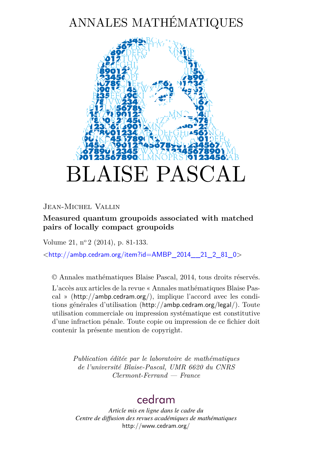# ANNALES MATHÉMATIQUES



Jean-Michel Vallin

**Measured quantum groupoids associated with matched pairs of locally compact groupoids**

Volume 21, n<sup>o</sup> 2 (2014), p. 81-133.

 $\lt$ [http://ambp.cedram.org/item?id=AMBP\\_2014\\_\\_21\\_2\\_81\\_0](http://ambp.cedram.org/item?id=AMBP_2014__21_2_81_0)>

© Annales mathématiques Blaise Pascal, 2014, tous droits réservés.

L'accès aux articles de la revue « Annales mathématiques Blaise Pascal » (<http://ambp.cedram.org/>), implique l'accord avec les conditions générales d'utilisation (<http://ambp.cedram.org/legal/>). Toute utilisation commerciale ou impression systématique est constitutive d'une infraction pénale. Toute copie ou impression de ce fichier doit contenir la présente mention de copyright.

> *Publication éditée par le laboratoire de mathématiques de l'université Blaise-Pascal, UMR 6620 du CNRS Clermont-Ferrand — France*

## [cedram](http://www.cedram.org/)

*Article mis en ligne dans le cadre du Centre de diffusion des revues académiques de mathématiques* <http://www.cedram.org/>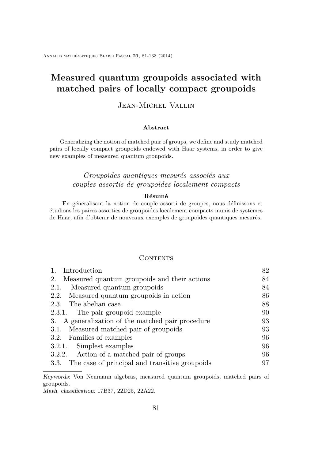Annales mathématiques Blaise Pascal **21**, 81-133 (2014)

## **Measured quantum groupoids associated with matched pairs of locally compact groupoids**

## Jean-Michel Vallin

#### **Abstract**

Generalizing the notion of matched pair of groups, we define and study matched pairs of locally compact groupoids endowed with Haar systems, in order to give new examples of measured quantum groupoids.

## *Groupoïdes quantiques mesurés associés aux couples assortis de groupoïdes localement compacts*

#### **Résumé**

En généralisant la notion de couple assorti de groupes, nous définissons et étudions les paires assorties de groupoides localement compacts munis de systèmes de Haar, afin d'obtenir de nouveaux exemples de groupoïdes quantiques mesurés.

## **CONTENTS**

| Introduction                                        | 82 |
|-----------------------------------------------------|----|
| Measured quantum groupoids and their actions<br>2.  | 84 |
| Measured quantum groupoids<br>2.1.                  | 84 |
| 2.2. Measured quantum groupoids in action           | 86 |
| 2.3. The abelian case                               | 88 |
| 2.3.1. The pair groupoid example                    | 90 |
| 3. A generalization of the matched pair procedure   | 93 |
| 3.1. Measured matched pair of groupoids             | 93 |
| 3.2. Families of examples                           | 96 |
| 3.2.1. Simplest examples                            | 96 |
| 3.2.2. Action of a matched pair of groups           | 96 |
| 3.3. The case of principal and transitive groupoids | 97 |
|                                                     |    |

Keywords: Von Neumann algebras, measured quantum groupoids, matched pairs of groupoids.

Math. classification: 17B37, 22D25, 22A22.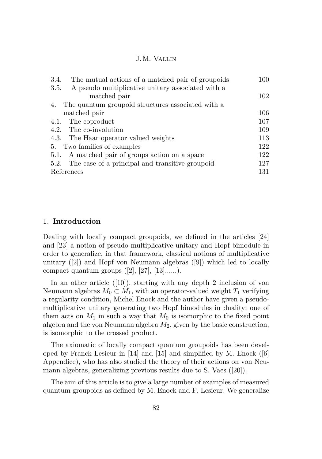<span id="page-2-0"></span>

| 3.4.<br>The mutual actions of a matched pair of groupoids | $100\,$ |
|-----------------------------------------------------------|---------|
| A pseudo multiplicative unitary associated with a<br>3.5. |         |
| matched pair                                              | 102     |
| The quantum groupoid structures associated with a<br>4.   |         |
| matched pair                                              | 106     |
| The coproduct<br>4.1.                                     | 107     |
| 4.2. The co-involution                                    | 109     |
| 4.3. The Haar operator valued weights                     | 113     |
| 5. Two families of examples                               | 122     |
| 5.1. A matched pair of groups action on a space           | 122     |
| 5.2. The case of a principal and transitive groupoid      | 127     |
| References                                                | 131     |

## 1. **Introduction**

Dealing with locally compact groupoids, we defined in the articles [\[24\]](#page-52-0) and [\[23\]](#page-52-0) a notion of pseudo multiplicative unitary and Hopf bimodule in order to generalize, in that framework, classical notions of multiplicative unitary ([\[2\]](#page-51-0)) and Hopf von Neumann algebras ([\[9\]](#page-51-0)) which led to locally compact quantum groups  $([2], [27], [13]......).$  $([2], [27], [13]......).$  $([2], [27], [13]......).$  $([2], [27], [13]......).$  $([2], [27], [13]......).$  $([2], [27], [13]......).$  $([2], [27], [13]......).$ 

In an other article ([\[10\]](#page-51-0)), starting with any depth 2 inclusion of von Neumann algebras  $M_0 \subset M_1$ , with an operator-valued weight  $T_1$  verifying a regularity condition, Michel Enock and the author have given a pseudomultiplicative unitary generating two Hopf bimodules in duality; one of them acts on  $M_1$  in such a way that  $M_0$  is isomorphic to the fixed point algebra and the von Neumann algebra *M*2, given by the basic construction, is isomorphic to the crossed product.

The axiomatic of locally compact quantum groupoids has been developed by Franck Lesieur in [\[14\]](#page-52-0) and [\[15\]](#page-52-0) and simplified by M. Enock ([\[6\]](#page-51-0) Appendice), who has also studied the theory of their actions on von Neumann algebras, generalizing previous results due to S. Vaes ([\[20\]](#page-52-0)).

The aim of this article is to give a large number of examples of measured quantum groupoids as defined by M. Enock and F. Lesieur. We generalize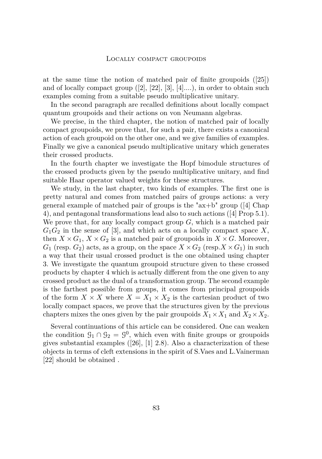at the same time the notion of matched pair of finite groupoids ([\[25\]](#page-53-0)) and of locally compact group  $([2], [22], [3], [4]...),$  $([2], [22], [3], [4]...),$  $([2], [22], [3], [4]...),$  $([2], [22], [3], [4]...),$  $([2], [22], [3], [4]...),$  $([2], [22], [3], [4]...),$  $([2], [22], [3], [4]...),$  $([2], [22], [3], [4]...),$  $([2], [22], [3], [4]...),$  in order to obtain such examples coming from a suitable pseudo multiplicative unitary.

In the second paragraph are recalled definitions about locally compact quantum groupoids and their actions on von Neumann algebras.

We precise, in the third chapter, the notion of matched pair of locally compact groupoids, we prove that, for such a pair, there exists a canonical action of each groupoid on the other one, and we give families of examples. Finally we give a canonical pseudo multiplicative unitary which generates their crossed products.

In the fourth chapter we investigate the Hopf bimodule structures of the crossed products given by the pseudo multiplicative unitary, and find suitable Haar operator valued weights for these structures.

We study, in the last chapter, two kinds of examples. The first one is pretty natural and comes from matched pairs of groups actions: a very general example of matched pair of groups is the " $ax+b$ " group ([\[4\]](#page-51-0) Chap 4), and pentagonal transformations lead also to such actions ([\[4\]](#page-51-0) Prop 5.1). We prove that, for any locally compact group *G*, which is a matched pair  $G_1G_2$  in the sense of [\[3\]](#page-51-0), and which acts on a locally compact space X, then  $X \times G_1$ ,  $X \times G_2$  is a matched pair of groupoids in  $X \times G$ . Moreover,  $G_1$  (resp.  $G_2$ ) acts, as a group, on the space  $X \times G_2$  (resp.  $X \times G_1$ ) in such a way that their usual crossed product is the one obtained using chapter 3. We investigate the quantum groupoid structure given to these crossed products by chapter 4 which is actually different from the one given to any crossed product as the dual of a transformation group. The second example is the farthest possible from groups, it comes from principal groupoids of the form  $X \times X$  where  $X = X_1 \times X_2$  is the cartesian product of two locally compact spaces, we prove that the structures given by the previous chapters mixes the ones given by the pair groupoids  $X_1 \times X_1$  and  $X_2 \times X_2$ .

Several continuations of this article can be considered. One can weaken the condition  $\mathcal{G}_1 \cap \mathcal{G}_2 = \mathcal{G}^0$ , which even with finite groups or groupoids gives substantial examples ([\[26\]](#page-53-0), [\[1\]](#page-51-0) 2.8). Also a characterization of these objects in terms of cleft extensions in the spirit of S.Vaes and L.Vainerman [\[22\]](#page-52-0) should be obtained .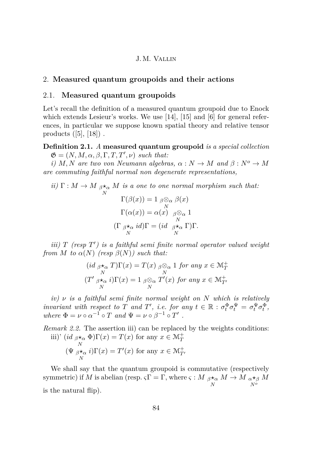## <span id="page-4-0"></span>2. **Measured quantum groupoids and their actions**

## 2.1. **Measured quantum groupoids**

Let's recall the definition of a measured quantum groupoid due to Enock which extends Lesieur's works. We use [\[14\]](#page-52-0), [\[15\]](#page-52-0) and [\[6\]](#page-51-0) for general references, in particular we suppose known spatial theory and relative tensor products  $([5], [18])$  $([5], [18])$  $([5], [18])$  $([5], [18])$  $([5], [18])$ .

**Definition 2.1.** *A* **measured quantum groupoid** *is a special collection*  $\mathfrak{G} = (N, M, \alpha, \beta, \Gamma, T, T', \nu)$  *such that:* 

*i*) *M, N* are two von Neumann algebras,  $\alpha : N \to M$  and  $\beta : N^o \to M$ *are commuting faithful normal non degenerate representations,*

*ii*)  $\Gamma: M \to M$   $_{\beta} \star_{\alpha} M$  *is a one to one normal morphism such that: N*  $\Gamma(\beta(x)) = 1$   $_{\beta} \otimes_{\alpha}$ *N β*(*x*)  $\Gamma(\alpha(x)) = \alpha(x)$   $\beta \otimes_{\alpha}$ *N* 1  $(\Gamma \beta) \star_{\alpha}$ *N*  $id$ ) $\Gamma = (id \beta \star_{\alpha}$ *N* Γ)Γ*.*

*iii*) *T* (resp *T'*) is a faithful semi finite normal operator valued weight *from M to*  $\alpha(N)$  (resp  $\beta(N)$ ) such that:

$$
(id \underset{N}{\beta \star_{\alpha}} T)\Gamma(x) = T(x) \underset{N}{\beta \otimes_{\alpha}} 1 \text{ for any } x \in \mathcal{M}_T^+
$$
  

$$
(T' \underset{N}{\beta \star_{\alpha}} i)\Gamma(x) = 1 \underset{N}{\beta \otimes_{\alpha}} T'(x) \text{ for any } x \in \mathcal{M}_{T'}^+
$$

*iv) ν is a faithful semi finite normal weight on N which is relatively invariant with respect to T and T'*, *i.e. for any*  $t \in \mathbb{R} : \sigma_t^{\Phi} \sigma_t^{\Psi} = \sigma_t^{\Psi} \sigma_t^{\Phi}$ , *where*  $\Phi = \nu \circ \alpha^{-1} \circ T$  *and*  $\Psi = \nu \circ \beta^{-1} \circ T'$ .

*Remark 2.2.* The assertion iii) can be replaced by the weights conditions: iii)'  $(id \, \beta \star_\alpha \Phi) \Gamma(x) = T(x)$  for any  $x \in \mathcal{M}_T^+$ *N*  $(\Psi \beta \star \alpha)$ *N*  $i) \Gamma(x) = T'(x)$  for any  $x \in \mathcal{M}_{T'}^+$ 

We shall say that the quantum groupoid is commutative (respectively  $\sigma$  symmetric) if *M* is abelian (resp.  $\varsigma \Gamma = \Gamma$ , where  $\varsigma : M \underset{\beta \star \alpha}{\ast}$ *N*  $M \to M$   $_{\alpha \star \beta}$ *N<sup>o</sup> M* is the natural flip).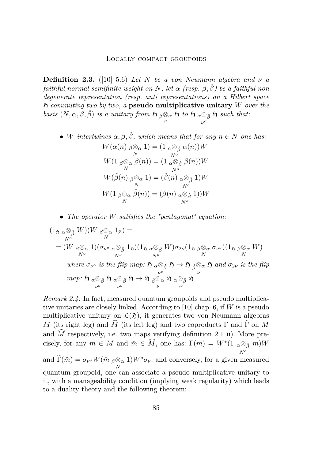<span id="page-5-0"></span>**Definition 2.3.** ([\[10\]](#page-51-0) 5.6) *Let*  $N$  *be a von Neumann algebra and*  $\nu$  *a faithful normal semifinite weight on*  $N$ , let  $\alpha$  (resp.  $\beta$ ,  $\hat{\beta}$ ) be a faithful non *degenerate representation (resp. anti representations) on a Hilbert space* H *commuting two by two, a* **pseudo multiplicative unitary** *W over the basis*  $(N, \alpha, \beta, \hat{\beta})$  *is a unitary from*  $\mathfrak{H} \underset{\nu}{\beta \otimes_{\alpha}} \mathfrak{H}$  *to*  $\mathfrak{H} \underset{\nu^o}{\alpha \otimes_{\hat{\beta}}}$ *ν o*  $\mathfrak{H}$  *such that:* 

- *W intertwines*  $\alpha, \beta, \hat{\beta}$ *, which means that for any*  $n \in N$  *one has: W*(*α*(*n*) *<sup>β</sup>*⊗*<sup>α</sup>*  $\begin{array}{c} \otimes_{\alpha}1) = (1 \ _{\alpha} \otimes_{\hat{\beta}}1 \ N^{\sigma} \end{array}$ *N<sup>o</sup> α*(*n*))*W W*(1 *<sup>β</sup>*⊗*<sup>α</sup>*  $\bigotimes_\alpha \beta(n)) = (1 \bigcirc_{N^o} \beta$ *N<sup>o</sup> β*(*n*))*W*  $W(\hat{\beta}(n)$   $_{\beta}\otimes_{\alpha}$  $\begin{array}{c} \otimes_{\alpha} 1) = (\hat{\beta}(n) \ _{\alpha} \otimes_{\hat{\beta}} 0 \ N \end{array}$ *N<sup>o</sup>* 1)*W W*(1 *<sup>β</sup>*⊗*<sup>α</sup>*  $\frac{\partial}{\partial N} \hat{\beta}(n)$ ) = ( $\beta(n)$  *α* $\frac{\partial}{\partial \hat{\beta}}$ *N<sup>o</sup>* 1))*W*
- *The operator W satisfies the "pentagonal" equation:*

$$
(1_{\mathfrak{H}} \underset{\alpha \otimes_{\hat{\beta}}}{\alpha \otimes_{\hat{\beta}}} W)(W \underset{N}{\beta \otimes_{\alpha}} 1_{\mathfrak{H}}) =
$$
  
\n
$$
= (W \underset{N^o}{\beta \otimes_{\alpha}} 1)(\sigma_{\nu^o} \underset{N^o}{\alpha \otimes_{\hat{\beta}}} 1_{\mathfrak{H}})(1_{\mathfrak{H}} \underset{\alpha \otimes_{\hat{\beta}}}{\alpha \otimes_{\hat{\beta}}} W)\sigma_{2\nu}(1_{\mathfrak{H}} \underset{\beta \otimes_{\alpha}}{\beta \otimes_{\alpha}} \sigma_{\nu^o})(1_{\mathfrak{H}} \underset{N}{\beta \otimes_{\alpha}} W)
$$
  
\nwhere  $\sigma_{\nu^o}$  is the flip map:  $\mathfrak{H} \underset{\alpha \otimes_{\hat{\beta}}}{\alpha \otimes_{\hat{\beta}}} \mathfrak{H} \rightarrow \mathfrak{H} \underset{\beta \otimes_{\alpha}}{\beta \otimes_{\hat{\beta}}} \mathfrak{H} \rightarrow \mathfrak{H} \underset{\beta \otimes_{\hat{\beta}}}{\beta \otimes_{\hat{\beta}}} \mathfrak{H}$  and  $\sigma_{2\nu}$  is the flip map:  $\mathfrak{H} \underset{\nu^o}{\alpha \otimes_{\hat{\beta}}} \mathfrak{H} \underset{\nu^o}{\alpha \otimes_{\hat{\beta}}} \mathfrak{H} \rightarrow \mathfrak{H} \underset{\nu^o}{\beta \otimes_{\hat{\alpha}}} \mathfrak{H} \underset{\nu^o}{\alpha \otimes_{\hat{\beta}}} \mathfrak{H}$ 

*Remark 2.4.* In fact, measured quantum groupoids and pseudo multiplicative unitaries are closely linked. According to [\[10\]](#page-51-0) chap. 6, if *W* is a pseudo multiplicative unitary on  $\mathcal{L}(\mathfrak{H})$ , it generates two von Neumann algebras *M* (its right leg) and  $\widehat{M}$  (its left leg) and two coproducts  $\Gamma$  and  $\widehat{\Gamma}$  on *M* and  $\hat{M}$  respectively, i.e. two maps verifying definition [2.1](#page-4-0) ii). More precisely, for any  $m \in M$  and  $\hat{m} \in \widehat{M}$ , one has:  $\Gamma(m) = W^*(1 \alpha \otimes_{\hat{\beta}} m)W$ *N<sup>o</sup>* and  $\Gamma(\hat{m}) = \sigma_{\nu^o} W(\hat{m} \beta \otimes \alpha)$ *N*  $1)W^* \sigma_{\nu}$ ; and conversely, for a given measured quantum groupoid, one can associate a pseudo multiplicative unitary to it, with a manageability condition (implying weak regularity) which leads to a duality theory and the following theorem: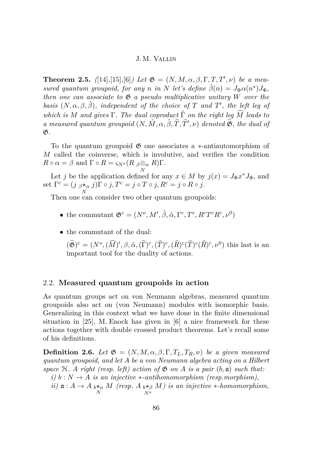<span id="page-6-0"></span>**Theorem 2.5.**  $(14)$ , [\[15\]](#page-52-0), [\[6\]](#page-51-0)*)* Let  $\mathfrak{G} = (N, M, \alpha, \beta, \Gamma, T, T', \nu)$  be a mea*sured quantum groupoid, for any n in N let's define*  $\hat{\beta}(n) = J_{\Phi} \alpha(n^*) J_{\Phi}$ , *then one can associate to*  $\mathfrak{G}$  *a pseudo multiplicative unitary W over the basis*  $(N, \alpha, \beta, \hat{\beta})$ *, independent of the choice of T and T*<sup>'</sup>*, the left leg of which is M* and gives  $\Gamma$ *. The dual coproduct*  $\hat{\Gamma}$  *on the right leg*  $\widehat{M}$  *leads to a* measured quantum groupoid  $(N, \hat{M}, \alpha, \hat{\beta}, \hat{T}, \hat{T'}, \nu)$  denoted  $\hat{\mathfrak{G}}$ , the dual of G*.*

To the quantum groupoid G one associates a ∗-antiautomorphism of *M* called the coinverse, which is involutive, and verifies the condition  $R \circ \alpha = \beta$  and  $\Gamma \circ R = \varsigma_{N^o}(R \beta \otimes_\alpha R)\Gamma$ .

Let *j* be the application defined for any  $x \in M$  by  $j(x) = J_{\Phi}x^*J_{\Phi}$ , and set  $\Gamma^c = (j \, \beta \star_\alpha j) \Gamma \circ j, T^c = j \circ T \circ j, R^c = j \circ R \circ j.$ 

*N*<br>Then one can consider two other quantum groupoids:

- the commutant  $\mathfrak{G}^c = (N^o, M', \hat{\beta}, \hat{\alpha}, \Gamma^c, T^c, R^c T^c R^c, \nu^0)$
- the commutant of the dual:

 $(\hat{\mathfrak{G}})^c = (N^o, (\widehat{M})', \beta, \hat{\alpha}, (\widehat{\Gamma})^c, (\widehat{T})^c, (\widehat{R})^c (\widehat{T})^c (\widehat{R})^c, \nu^0)$  this last is an important tool for the duality of actions.

### 2.2. **Measured quantum groupoids in action**

As quantum groups act on von Neumann algebras, measured quantum groupoids also act on (von Neumann) modules with isomorphic basis. Generalizing in this context what we have done in the finite dimensional situation in [\[25\]](#page-53-0), M. Enock has given in [\[6\]](#page-51-0) a nice framework for these actions together with double crossed product theorems. Let's recall some of his definitions.

**Definition 2.6.** *Let*  $\mathfrak{G} = (N, M, \alpha, \beta, \Gamma, T_L, T_R, \nu)$  *be a given measured quantum groupoid, and let A be a von Neumann algebra acting on a Hilbert space*  $H$ *. A right (resp. left) action of*  $G$  *on*  $A$  *is a pair*  $(b, a)$  *such that:*  $i)$  *b* :  $N \rightarrow A$  *is an injective* \*-antihomomorphism (resp.morphism),  $i$ *ii*)  $a : A \to A$  *b*<sup>\*</sup>*a*</sub> *M (resp. A b*<sup>\*</sup>*ß*<sup>*8*</sup> *N<sup>o</sup> M) is an injective* ∗*-homomorphism,*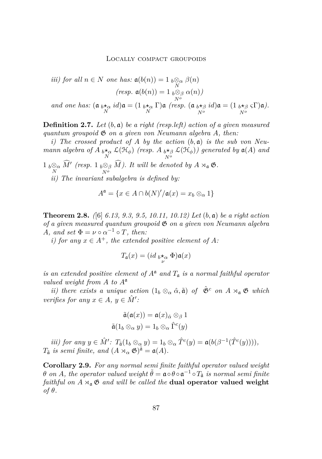<span id="page-7-0"></span>*iii)* for all 
$$
n \in N
$$
 one has:  $\mathfrak{a}(b(n)) = 1 \underset{N}{\underset{N}{b \otimes_{\alpha}}} \beta(n)$   
\n(*resp.*  $\mathfrak{a}(b(n)) = 1 \underset{N}{\underset{N^o}{b \otimes_{\beta}}} \alpha(n)$ )  
\nand one has:  $(\mathfrak{a} \underset{N}{\underset{N}{b \star_{\alpha}}} id) \mathfrak{a} = (1 \underset{N}{\underset{N^o}{b \star_{\beta}}} \Gamma) \mathfrak{a}$  (*resp.*  $(\mathfrak{a} \underset{N^o}{\underset{N^o}{b \star_{\beta}}} id) \mathfrak{a} = (1 \underset{N^o}{\underset{N^o}{b \star_{\beta}}} \Gamma) \mathfrak{a}$ ).

**Definition 2.7.** *Let* (*b,* a) *be a right (resp.left) action of a given measured quantum groupoid* G *on a given von Neumann algebra A, then:*

*i) The crossed product of A by the action* (*b,* a) *is the sub von Neumann algebra of*  $A$   $\underset{N}{\iota \star_{\alpha}}$   $\mathcal{L}(\mathcal{H}_{\phi})$  (resp.  $A$   $\underset{N^o}{\iota \star_{\beta}}$ *N<sup>o</sup>*  $\mathcal{L}(\mathfrak{H}_{\phi})$ ) generated by  $\mathfrak{a}(A)$  and  $1 \overline{b} \otimes_{\alpha}^{\otimes} \widehat{M}'$  (resp.  $1 \overline{b} \otimes_{\beta}^{\otimes}$  $\bigotimes_{\beta} \widehat{M}$ *). It will be denoted by*  $A \rtimes_{\mathfrak{a}} \mathfrak{G}$ *.* 

*ii) The invariant subalgebra is defined by:*

$$
A^{\mathfrak{a}} = \{ x \in A \cap b(N)'/\mathfrak{a}(x) = x_b \otimes_\alpha 1 \}
$$

**Theorem 2.8.** *(*[\[6\]](#page-51-0) *6.13, 9.3, 9.5, 10.11, 10.12) Let* (*b,* a) *be a right action of a given measured quantum groupoid* G *on a given von Neumann algebra A,* and set  $\Phi = \nu \circ \alpha^{-1} \circ T$ *, then:* 

*i)* for any  $x \in A^+$ , the extended positive element of A:

$$
T_{\mathfrak{a}}(x) = (id \underset{\nu}{\iota} \star_{\alpha} \Phi) \mathfrak{a}(x)
$$

*is an extended positive element of*  $A^a$  *and*  $T_a$  *is a normal faithful operator valued weight from A to A*<sup>a</sup>

*ii)* there exists a unique action  $(1_b \otimes_\alpha \hat{\alpha}, \tilde{\mathfrak{a}})$  of  $\hat{\mathfrak{G}}^c$  on  $A \rtimes_\mathfrak{a} \mathfrak{G}$  which *verifies for any*  $x \in A$ ,  $y \in \hat{M}'$ :

$$
\tilde{\mathfrak{a}}(\mathfrak{a}(x)) = \mathfrak{a}(x)_{\hat{\alpha}} \otimes_{\beta} 1
$$

$$
\tilde{\mathfrak{a}}(1_b \otimes_{\alpha} y) = 1_b \otimes_{\alpha} \hat{\Gamma}^c(y)
$$

*iii)* for any  $y \in \hat{M}'$ :  $T_{\tilde{a}}(1_b \otimes_\alpha y) = 1_b \otimes_\alpha \hat{T}^c(y) = \mathfrak{a}(b(\beta^{-1}(\hat{T}^c(y))))$ ,  $T_{\tilde{\mathfrak{a}}}$  *is semi finite, and*  $(A \rtimes_{\alpha} \mathfrak{G})^{\tilde{\mathfrak{a}}} = \mathfrak{a}(A)$ *.* 

**Corollary 2.9.** *For any normal semi finite faithful operator valued weight θ on A, the operator valued weight*  $\tilde{\theta} = \mathfrak{a} \circ \theta \circ \mathfrak{a}^{-1} \circ T_{\tilde{\mathfrak{a}}}$  *is normal semi finite faithful on*  $A \rtimes_{\mathfrak{a}} \mathfrak{G}$  *and will be called the* **dual operator valued weight** *of*  $θ$ *.*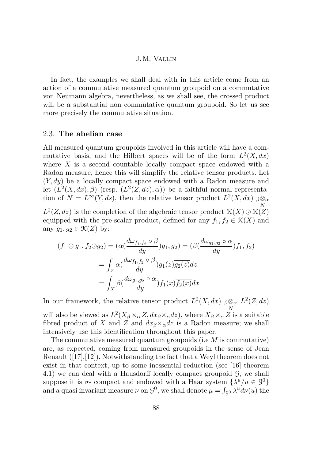<span id="page-8-0"></span>In fact, the examples we shall deal with in this article come from an action of a commutative measured quantum groupoid on a commutative von Neumann algebra, nevertheless, as we shall see, the crossed product will be a substantial non commutative quantum groupoid. So let us see more precisely the commutative situation.

## 2.3. **The abelian case**

All measured quantum groupoids involved in this article will have a commutative basis, and the Hilbert spaces will be of the form  $L^2(X, dx)$ where *X* is a second countable locally compact space endowed with a Radon measure, hence this will simplify the relative tensor products. Let (*Y, dy*) be a locally compact space endowed with a Radon measure and let  $(L^2(X, dx), \beta)$  (resp.  $(L^2(Z, dx), \alpha)$ ) be a faithful normal representation of  $N = L^{\infty}(Y, ds)$ , then the relative tensor product  $L^2(X, dx)$   $\beta \otimes_{\alpha}$ *N*  $L^2(Z, dz)$  is the completion of the algebraic tensor product  $\mathcal{K}(X) \odot \mathcal{K}(Z)$ 

equipped with the pre-scalar product, defined for any  $f_1, f_2 \in \mathcal{K}(X)$  and any  $g_1, g_2 \in \mathcal{K}(Z)$  by:

$$
(f_1 \odot g_1, f_2 \odot g_2) = (\alpha(\frac{d\omega_{f_1, f_2} \circ \beta}{dy})g_1, g_2) = (\beta(\frac{d\omega_{g_1, g_2} \circ \alpha}{dy})f_1, f_2)
$$

$$
= \int_Z \alpha(\frac{d\omega_{f_1, f_2} \circ \beta}{dy})g_1(z)\overline{g_2(z)}dz
$$

$$
= \int_X \beta(\frac{d\omega_{g_1, g_2} \circ \alpha}{dy})f_1(x)\overline{f_2(x)}dx
$$

In our framework, the relative tensor product  $L^2(X, dx)$   $\beta \otimes_\alpha L^2(Z, dz)$ *N* will also be viewed as  $L^2(X_\beta \times_\alpha Z, dx_\beta \times_\alpha dz)$ , where  $X_\beta \times_\alpha Z$  is a suitable fibred product of *X* and *Z* and  $dx_{\beta} \times_{\alpha} dz$  is a Radon measure; we shall

intensively use this identification throughout this paper. The commutative measured quantum groupoids (i.e *M* is commutative) are, as expected, coming from measured groupoids in the sense of Jean Renault ([\[17\]](#page-52-0),[\[12\]](#page-52-0)). Notwithstanding the fact that a Weyl theorem does not exist in that context, up to some inessential reduction (see [\[16\]](#page-52-0) theorem 4.1) we can deal with a Hausdorff locally compact groupoid G, we shall suppose it is  $\sigma$ - compact and endowed with a Haar system  $\{\lambda^u/u \in \mathcal{G}^0\}$ and a quasi invariant measure  $\nu$  on  $\mathcal{G}^0$ , we shall denote  $\mu = \int_{\mathcal{G}^0} \lambda^u d\nu(u)$  the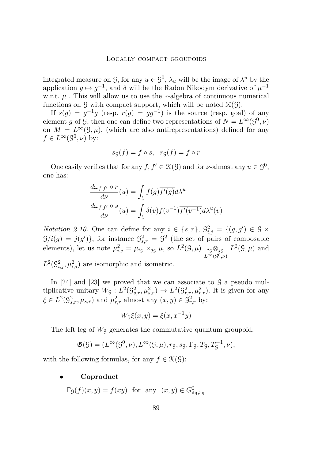integrated measure on  $\mathcal{G}$ , for any  $u \in \mathcal{G}^0$ ,  $\lambda_u$  will be the image of  $\lambda^u$  by the application  $g \mapsto g^{-1}$ , and  $\delta$  will be the Radon Nikodym derivative of  $\mu^{-1}$ w.r.t.  $\mu$ . This will allow us to use the ∗-algebra of continuous numerical functions on  $\mathcal G$  with compact support, which will be noted  $\mathcal K(\mathcal G)$ .

If  $s(g) = g^{-1}g$  (resp.  $r(g) = gg^{-1}$ ) is the source (resp. goal) of any element *g* of *G*, then one can define two representations of  $N = L^{\infty}(9^0, \nu)$ on  $M = L^{\infty}(\mathcal{G}, \mu)$ , (which are also antirepresentations) defined for any  $f \in L^{\infty}(\mathcal{G}^0, \nu)$  by:

$$
s_{\mathcal{G}}(f) = f \circ s, \quad r_{\mathcal{G}}(f) = f \circ r
$$

One easily verifies that for any  $f, f' \in \mathcal{K}(G)$  and for *v*-almost any  $u \in \mathcal{G}^0$ , one has:

$$
\frac{d\omega_{f,f'} \circ r}{d\nu}(u) = \int_{\mathcal{G}} f(g) \overline{f'(g)} d\lambda^u
$$

$$
\frac{d\omega_{f,f'} \circ s}{d\nu}(u) = \int_{\mathcal{G}} \delta(v) f(v^{-1}) \overline{f'(v^{-1})} d\lambda^u(v)
$$

*Notation 2.10.* One can define for any  $i \in \{s, r\}$ ,  $\mathcal{G}_{i,j}^2 = \{(g, g') \in \mathcal{G} \times \mathcal{G}_{i,j} \}$  $G/i(g) = j(g')\},\$ for instance  $\mathcal{G}^2_{s,r} = \mathcal{G}^2$  (the set of pairs of composable elements), let us note  $\mu_{i,j}^2 = \mu_{i_S} \times_{j_S} \mu$ , so  $L^2(\mathcal{G}, \mu)$   $i_S \otimes_{j_S}$  $L^{\infty}(\mathcal{G}^0,\nu)$  $L^2(\mathcal{G}, \mu)$  and

 $L^2(\mathcal{G}_{i,j}^2, \mu_{i,j}^2)$  are isomorphic and isometric.

In  $[24]$  and  $[23]$  we proved that we can associate to  $\mathcal G$  a pseudo multiplicative unitary  $W_g: L^2(\mathcal{G}^2_{s,r}, \mu^2_{s,r}) \to L^2(\mathcal{G}^2_{r,r}, \mu^2_{r,r})$ . It is given for any  $\xi \in L^2(\mathcal{G}_{s,r}^2, \mu_{s,r})$  and  $\mu_{r,r}^2$  almost any  $(x, y) \in \mathcal{G}_{r,r}^2$  by:

$$
W_{\mathcal{G}}\xi(x,y) = \xi(x, x^{-1}y)
$$

The left leg of  $W<sub>G</sub>$  generates the commutative quantum groupoid:

$$
\mathfrak{G}(\mathcal{G}) = (L^{\infty}(\mathcal{G}^0, \nu), L^{\infty}(\mathcal{G}, \mu), r_{\mathcal{G}}, s_{\mathcal{G}}, \Gamma_{\mathcal{G}}, T_{\mathcal{G}}, T_{\mathcal{G}}^{-1}, \nu),
$$

with the following formulas, for any  $f \in \mathcal{K}(\mathcal{G})$ :

### • **Coproduct**

 $\Gamma_{\mathcal{G}}(f)(x, y) = f(xy)$  for any  $(x, y) \in G^2_{s_{\mathcal{G}}, r_{\mathcal{G}}}$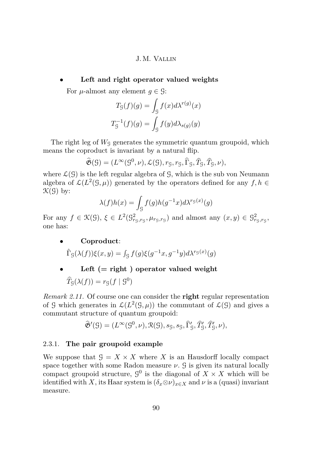## <span id="page-10-0"></span>• **Left and right operator valued weights**

For  $\mu$ -almost any element  $g \in \mathcal{G}$ :

$$
T_g(f)(g) = \int_g f(x)d\lambda^{r(g)}(x)
$$
  

$$
T_g^{-1}(f)(g) = \int_g f(y)d\lambda_{s(g)}(y)
$$

The right leg of  $W<sub>G</sub>$  generates the symmetric quantum groupoid, which means the coproduct is invariant by a natural flip.

$$
\widehat{\mathfrak{G}}(\mathfrak{G})=(L^{\infty}(\mathfrak{G}^0,\nu),\mathcal{L}(\mathfrak{G}),r_{\mathfrak{G}},r_{\mathfrak{G}},\widehat{\Gamma}_{\mathfrak{G}},\widehat{T}_{\mathfrak{G}},\widehat{T}_{\mathfrak{G}},\nu),
$$

where  $\mathcal{L}(\mathcal{G})$  is the left regular algebra of  $\mathcal{G}$ , which is the sub von Neumann algebra of  $\mathcal{L}(L^2(\mathcal{G}, \mu))$  generated by the operators defined for any  $f, h \in$  $\mathcal{K}(\mathcal{G})$  by:

$$
\lambda(f)h(x) = \int_{\mathcal{G}} f(g)h(g^{-1}x)d\lambda^{r_{\mathcal{G}}(x)}(g)
$$

For any  $f \in \mathcal{K}(\mathcal{G})$ ,  $\xi \in L^2(\mathcal{G}^2_{r_g,r_g},\mu_{r_g,r_g})$  and almost any  $(x,y) \in \mathcal{G}^2_{r_g,r_g}$ , one has:

• **Coproduct**:

 $\hat{\Gamma}_{\mathcal{G}}(\lambda(f))\xi(x,y) = \int_{\mathcal{G}}f(g)\xi(g^{-1}x,g^{-1}y)d\lambda^{r_{\mathcal{G}}(x)}(g)$ 

## • **Left (= right ) operator valued weight**  $\widehat{T}_{\mathcal{G}}(\lambda(f)) = r_{\mathcal{G}}(f \mid \mathcal{G}^0)$

*Remark 2.11.* Of course one can consider the **right** regular representation of G which generates in  $\mathcal{L}(L^2(\mathcal{G}, \mu))$  the commutant of  $\mathcal{L}(\mathcal{G})$  and gives a commutant structure of quantum groupoid:

$$
\widehat{\mathfrak{G}}'(G) = (L^{\infty}(G^0, \nu), \mathfrak{R}(G), s_G, s_G, \widehat{\Gamma}'_G, \widehat{T}'_G, \widehat{T}'_G, \nu),
$$

### 2.3.1. **The pair groupoid example**

We suppose that  $G = X \times X$  where X is an Hausdorff locally compact space together with some Radon measure  $\nu$ . G is given its natural locally compact groupoid structure,  $\mathcal{G}^0$  is the diagonal of  $X \times X$  which will be identified with *X*, its Haar system is  $(\delta_x \otimes \nu)_{x \in X}$  and  $\nu$  is a (quasi) invariant measure.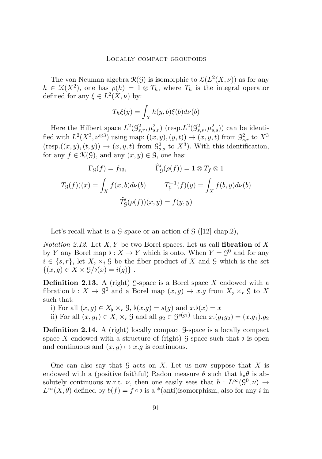The von Neuman algebra  $\mathcal{R}(\mathcal{G})$  is isomorphic to  $\mathcal{L}(L^2(X,\nu))$  as for any  $h \in \mathcal{K}(X^2)$ , one has  $\rho(h) = 1 \otimes T_h$ , where  $T_h$  is the integral operator defined for any  $\xi \in L^2(X, \nu)$  by:

$$
T_h \xi(y) = \int_X h(y, b)\xi(b)d\nu(b)
$$

Here the Hilbert space  $L^2(\mathcal{G}^2_{s,r}, \mu^2_{s,r})$  (resp.  $L^2(\mathcal{G}^2_{s,s}, \mu^2_{s,s})$ ) can be identified with  $L^2(X^3, \nu^{\otimes 3})$  using map:  $((x, y), (y, t)) \rightarrow (x, y, t)$  from  $\mathcal{G}^2_{s,r}$  to  $X^3$  $(\text{resp.}((x, y), (t, y)) \rightarrow (x, y, t) \text{ from } \mathcal{G}^2_{s,s} \text{ to } X^3)$ . With this identification, for any  $f \in \mathcal{K}(\mathcal{G})$ , and any  $(x, y) \in \mathcal{G}$ , one has:

$$
\Gamma_g(f) = f_{13}, \qquad \widehat{\Gamma}'_g(\rho(f)) = 1 \otimes T_f \otimes 1
$$

$$
T_g(f)(x) = \int_X f(x, b) d\nu(b) \qquad T_g^{-1}(f)(y) = \int_X f(b, y) d\nu(b)
$$

$$
\widehat{T}'_g(\rho(f))(x, y) = f(y, y)
$$

Let's recall what is a  $\mathcal{G}\text{-space or an action of } \mathcal{G}$  ([\[12\]](#page-52-0) chap.2),

*Notation 2.12.* Let *X, Y* be two Borel spaces. Let us call **fibration** of *X* by *Y* any Borel map  $\flat : X \to Y$  which is onto. When  $Y = \mathcal{G}^0$  and for any  $i \in \{s, r\}$ , let  $X_{\mathfrak{b}} \times_{i} \mathcal{G}$  be the fiber product of X and G which is the set  $\{(x, g) \in X \times \mathcal{G}/\mathfrak{b}(x) = i(g)\}\.$ 

**Definition 2.13.** A (right) G-space is a Borel space  $X$  endowed with a fibration  $\flat : X \to \mathcal{G}^0$  and a Borel map  $(x, g) \mapsto x.g$  from  $X_{\flat} \times_r \mathcal{G}$  to X such that:

- i) For all  $(x, g) \in X_{\flat} \times_{r} \mathcal{G}$ ,  $\flat(x.g) = s(g)$  and  $x.\flat(x) = x$
- ii) For all  $(x, g_1) \in X$ <sup>[</sup><sub>2</sub></sup> × − ∫ and all  $g_2 \in \mathcal{G}^{s(g_1)}$  then  $x.(g_1g_2) = (x.g_1).g_2$

**Definition 2.14.** A (right) locally compact G-space is a locally compact space X endowed with a structure of (right)  $\mathcal{G}$ -space such that  $\flat$  is open and continuous and  $(x, g) \mapsto x.g$  is continuous.

One can also say that  $G$  acts on  $X$ . Let us now suppose that  $X$  is endowed with a (positive faithful) Radon measure  $\theta$  such that  $\phi_*\theta$  is absolutely continuous w.r.t. *ν*, then one easily sees that  $b: L^{\infty}(\mathcal{G}^0, \nu) \rightarrow$  $L^{\infty}(X,\theta)$  defined by  $b(f) = f \circ b$  is a \*(anti)isomorphism, also for any *i* in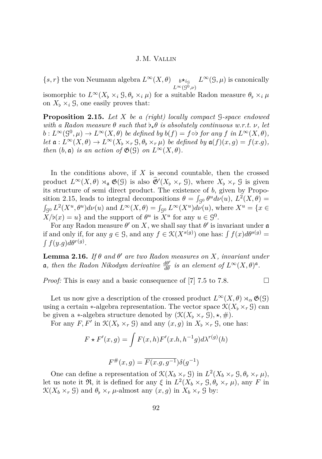<span id="page-12-0"></span> ${s, r}$  the von Neumann algebra  $L^{\infty}(X, \theta)$  *b*<sup>\*</sup>*i*<sub>G</sub></sub>  $L^{\infty}(\mathcal{G}, \mu)$  is canonically  $L^{\infty}(\overline{\mathcal{G}}^{\overline{0}}, \nu)$ isomorphic to  $L^{\infty}(X_{\flat} \times_{i} \mathcal{G}, \theta_{\flat} \times_{i} \mu)$  for a suitable Radon measure  $\theta_{\flat} \times_{i} \mu$ 

on  $X_{\flat} \times_i \mathcal{G}$ , one easily proves that:

**Proposition 2.15.** *Let X be a (right) locally compact* G*-space endowed with a Radon measure*  $\theta$  *such that*  $\flat_{\star} \theta$  *is absolutely continuous w.r.t.*  $\nu$ *, let*  $b: L^{\infty}(\mathcal{G}^0, \mu) \to L^{\infty}(X, \theta)$  *be defined by*  $b(f) = f \circ b$  *for any*  $f$  *in*  $L^{\infty}(X, \theta)$ *, let*  $\mathfrak{a}: L^{\infty}(X, \theta) \to L^{\infty}(X_{\flat} \times_r \mathcal{G}, \theta_{\flat} \times_r \mu)$  *be defined by*  $\mathfrak{a}(f)(x, g) = f(x, g)$ *, then*  $(b, \mathfrak{a})$  *is an action of*  $\mathfrak{G}(\mathfrak{G})$  *on*  $L^{\infty}(X, \theta)$ *.* 

In the conditions above, if *X* is second countable, then the crossed product  $L^{\infty}(X, \theta) \rtimes_{\mathfrak{a}} \mathfrak{G}(\mathfrak{G})$  is also  $\widehat{\mathfrak{G}}'(X_{\flat} \times_r \mathfrak{G})$ , where  $X_{\flat} \times_r \mathfrak{G}$  is given its structure of semi direct product. The existence of *b*, given by Proposition 2.15, leads to integral decompositions  $\theta = \int_{S^0} \theta^u d\nu(u)$ ,  $L^2(X, \theta) =$  $\int_{\mathcal{G}^0} L^2(X^u, \theta^u) d\nu(u)$  and  $L^{\infty}(X, \theta) = \int_{\mathcal{G}^0} L^{\infty}(X^u) d\nu(u)$ , where  $X^u = \{x \in$  $X/\mathfrak{b}(x) = u$  and the support of  $\theta^u$  is  $X^u$  for any  $u \in \mathfrak{g}^0$ .

For any Radon measure  $\theta'$  on X, we shall say that  $\theta'$  is invariant under  $\mathfrak a$ if and only if, for any  $g \in \mathcal{G}$ , and any  $f \in \mathcal{K}(X^{s(g)})$  one has:  $\int f(x)d\theta^{s(g)} =$  $\int f(y,g)d\theta^{r(g)}$ .

**Lemma 2.16.** *If*  $\theta$  *and*  $\theta'$  *are two Radon measures on*  $X$ *, invariant under*  $\mathfrak{a}$ *, then the Radon Nikodym derivative*  $\frac{d\theta'}{d\theta}$  *is an element of*  $L^{\infty}(X,\theta)^{\mathfrak{a}}$ *.* 

*Proof:* This is easy and a basic consequence of [\[7\]](#page-51-0) 7.5 to 7.8. □

Let us now give a description of the crossed product  $L^{\infty}(X,\theta) \rtimes_{\alpha} \mathfrak{G}(\mathcal{G})$ using a certain  $*$ -algebra representation. The vector space  $\mathcal{K}(X_{\flat} \times_r \mathcal{G})$  can be given a  $\ast$ -algebra structure denoted by  $(\mathcal{K}(X_{\flat} \times_r \mathcal{G}), \star, \#)$ .

For any  $F, F'$  in  $\mathcal{K}(X_b \times_r \mathcal{G})$  and any  $(x, g)$  in  $X_b \times_r \mathcal{G}$ , one has:

$$
F \star F'(x, g) = \int F(x, h) F'(x, h, h^{-1}g) d\lambda^{r(g)}(h)
$$

$$
F^{\#}(x, g) = \overline{F(x, g, g^{-1})} \delta(g^{-1})
$$

One can define a representation of  $\mathcal{K}(X_b \times_r \mathcal{G})$  in  $L^2(X_b \times_r \mathcal{G}, \theta_b \times_r \mu)$ , let us note it  $\Re$ , it is defined for any  $\xi$  in  $L^2(X_b \times_r \mathcal{G}, \theta_b \times_r \mu)$ , any  $F$  in  $\mathcal{K}(X_b \times_r \mathcal{G})$  and  $\theta_b \times_r \mu$ -almost any  $(x, g)$  in  $X_b \times_r \mathcal{G}$  by: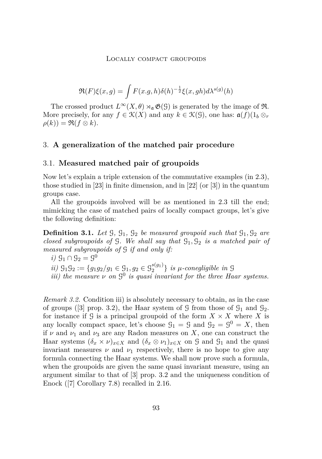$$
\Re(F)\xi(x,g) = \int F(x,g,h)\delta(h)^{-\frac{1}{2}}\xi(x,gh)d\lambda^{s(g)}(h)
$$

<span id="page-13-0"></span>The crossed product  $L^{\infty}(X,\theta) \rtimes_{\mathfrak{a}} \mathfrak{G}(\mathfrak{G})$  is generated by the image of  $\mathfrak{R}$ . More precisely, for any  $f \in \mathcal{K}(X)$  and any  $k \in \mathcal{K}(\mathcal{G})$ , one has:  $\mathfrak{a}(f)(1_b \otimes_r g)$  $\rho(k)$ ) =  $\Re(f \otimes k)$ .

## 3. **A generalization of the matched pair procedure**

## 3.1. **Measured matched pair of groupoids**

Now let's explain a triple extension of the commutative examples (in [2.3\)](#page-8-0), those studied in [\[23\]](#page-52-0) in finite dimension, and in [\[22\]](#page-52-0) (or [\[3\]](#page-51-0)) in the quantum groups case.

All the groupoids involved will be as mentioned in [2.3](#page-8-0) till the end; mimicking the case of matched pairs of locally compact groups, let's give the following definition:

**Definition 3.1.** Let  $\mathcal{G}, \mathcal{G}_1, \mathcal{G}_2$  *be measured groupoid such that*  $\mathcal{G}_1, \mathcal{G}_2$  *are closed subgroupoids of* G*. We shall say that* G1*,* G<sup>2</sup> *is a matched pair of measured subgroupoids of* G *if and only if:*

*i)* 
$$
G_1 \cap G_2 = G^0
$$
 *ii)*  $G_1 G_2 := \{g_1 g_2 / g_1 \in G_1, g_2 \in G_2^{s(g_1)}\}$  *is*  $\mu$ -conegligible in  $G$  *iii)* the measure  $\nu$  on  $G^0$  *is quasi invariant for the three Haar systems.*

*Remark 3.2.* Condition iii) is absolutely necessary to obtain, as in the case of groups ([\[3\]](#page-51-0) prop. 3.2), the Haar system of G from those of  $\mathcal{G}_1$  and  $\mathcal{G}_2$ . for instance if  $\mathcal{G}$  is a principal groupoid of the form  $X \times X$  where  $X$  is any locally compact space, let's choose  $\mathcal{G}_1 = \mathcal{G}$  and  $\mathcal{G}_2 = \mathcal{G}^0 = X$ , then if  $\nu$  and  $\nu_1$  and  $\nu_3$  are any Radon measures on X, one can construct the Haar systems  $(\delta_x \times \nu)_{x \in X}$  and  $(\delta_x \otimes \nu_1)_{x \in X}$  on G and G<sub>1</sub> and the quasi invariant measures  $\nu$  and  $\nu_1$  respectively, there is no hope to give any formula connecting the Haar systems. We shall now prove such a formula, when the groupoids are given the same quasi invariant measure, using an argument similar to that of [\[3\]](#page-51-0) prop. 3.2 and the uniqueness condition of Enock ([\[7\]](#page-51-0) Corollary 7.8) recalled in [2.16.](#page-12-0)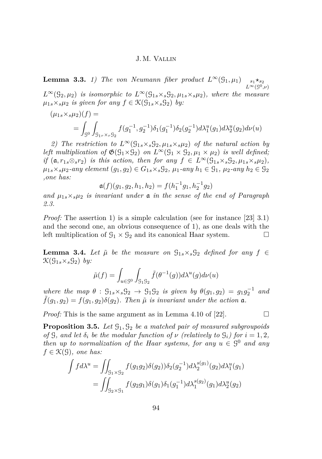<span id="page-14-0"></span>**Lemma 3.3.** *1) The von Neumann fiber product*  $L^{\infty}(\mathcal{G}_1, \mu_1)$  $\star_{s_2}$  $L^{\infty}(\mathcal{G}^0,\nu)$  $L^{\infty}(\mathcal{G}_2, \mu_2)$  *is isomorphic to*  $L^{\infty}(\mathcal{G}_{1s} \times_s \mathcal{G}_2, \mu_{1s} \times_s \mu_2)$ *, where the measure*  $\mu_{1s} \times_s \mu_2$  *is given for any*  $f \in \mathcal{K}(\mathcal{G}_{1s} \times_s \mathcal{G}_2)$  *by:* 

$$
(\mu_{1s} \times_{s} \mu_2)(f) =
$$
  
= 
$$
\int_{\mathcal{G}^0} \int_{\mathcal{G}_{1r} \times_r \mathcal{G}_2} f(g_1^{-1}, g_2^{-1}) \delta_1(g_1^{-1}) \delta_2(g_2^{-1}) d\lambda_1^u(g_1) d\lambda_2^u(g_2) d\nu(u)
$$

2) The restriction to  $L^{\infty}(\mathcal{G}_{1s} \times_s \mathcal{G}_2, \mu_{1s} \times_s \mu_2)$  of the natural action by *left multiplication of*  $\mathfrak{G}(G_1 \times G_2)$  *on*  $L^{\infty}(G_1 \times G_2, \mu_1 \times \mu_2)$  *is well defined; if*  $(a, r_1, \otimes_s r_2)$  *is this action, then for any*  $f \in L^\infty(\mathcal{G}_{1s} \times_s \mathcal{G}_2, \mu_{1s} \times_s \mu_2)$ , *µ*<sub>1</sub>*s*×*sµ*<sub>2</sub>*-any element*  $(g_1, g_2)$  ∈  $G_1$ *s*×*s* $G_2$ *,*  $\mu_1$ *-any*  $h_1$  ∈  $G_1$ *,*  $\mu_2$ *-any*  $h_2$  ∈  $G_2$ *,one has:*

$$
\mathfrak{a}(f)(g_1,g_2,h_1,h_2)=f(h_1^{-1}g_1,h_2^{-1}g_2)
$$

*and*  $\mu_{1s} \times s\mu_{2}$  *is invariant under* **a** *in the sense of the end of Paragraph [2.3.](#page-8-0)*

*Proof:* The assertion 1) is a simple calculation (see for instance [\[23\]](#page-52-0) 3.1) and the second one, an obvious consequence of 1), as one deals with the left multiplication of  $\mathcal{G}_1 \times \mathcal{G}_2$  and its canonical Haar system.

**Lemma 3.4.** Let  $\tilde{\mu}$  be the measure on  $\mathcal{G}_{1s} \times_s \mathcal{G}_2$  defined for any  $f \in$  $\mathfrak{K}(\mathfrak{G}_{1s} \times_s \mathfrak{G}_2)$  by:

$$
\tilde{\mu}(f) = \int_{u \in \mathcal{G}^0} \int_{\mathcal{G}_1 \mathcal{G}_2} \tilde{f}(\theta^{-1}(g)) d\lambda^u(g) d\nu(u)
$$

*where the map*  $\theta$  :  $\mathcal{G}_{1s} \times_s \mathcal{G}_2 \rightarrow \mathcal{G}_1 \mathcal{G}_2$  *is given by*  $\theta(g_1, g_2) = g_1 g_2^{-1}$ *and*  $f(g_1, g_2) = f(g_1, g_2) \delta(g_2)$ . Then  $\tilde{\mu}$  is invariant under the action  $\mathfrak{a}$ .

*Proof:* This is the same argument as in Lemma 4.10 of [\[22\]](#page-52-0).

**Proposition 3.5.** *Let* G1*,* G<sup>2</sup> *be a matched pair of measured subgroupoids of*  $\mathcal{G}$ *, and let*  $\delta_i$  *be the modular function of*  $\nu$  *(relatively to*  $\mathcal{G}_i$ *) for*  $i = 1, 2$ *, then up to normalization of the Haar systems, for any*  $u \in \mathcal{G}^0$  *and any*  $f \in \mathcal{K}(\mathcal{G})$ *, one has:* 

$$
\int f d\lambda^u = \iint_{\mathcal{G}_1 \times \mathcal{G}_2} f(g_1 g_2) \delta(g_2) \delta(g_2^{-1}) d\lambda_2^{s(g_1)}(g_2) d\lambda_1^u(g_1)
$$
  
= 
$$
\iint_{\mathcal{G}_2 \times \mathcal{G}_1} f(g_2 g_1) \delta(g_1) \delta_1(g_1^{-1}) d\lambda_1^{s(g_2)}(g_1) d\lambda_2^u(g_2)
$$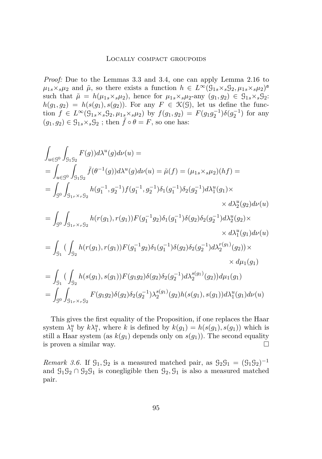*Proof:* Due to the Lemmas [3.3](#page-14-0) and [3.4,](#page-14-0) one can apply Lemma [2.16](#page-12-0) to  $\mu_{1s} \times_s \mu_2$  and  $\tilde{\mu}$ , so there exists a function  $h \in L^{\infty}(\mathcal{G}_{1s} \times_s \mathcal{G}_2, \mu_{1s} \times_s \mu_2)^d$ such that  $\tilde{\mu} = h(\mu_{1s} \times_s \mu_2)$ , hence for  $\mu_{1s} \times_s \mu_2$ -any  $(g_1, g_2) \in \mathcal{G}_{1s} \times_s \mathcal{G}_2$ :  $h(g_1, g_2) = h(s(g_1), s(g_2))$ . For any  $F \in \mathcal{K}(\mathcal{G})$ , let us define the function  $f \in L^{\infty}(\mathcal{G}_{1s} \times_s \mathcal{G}_2, \mu_{1s} \times_s \mu_2)$  by  $f(g_1, g_2) = F(g_1 g_2^{-1}) \delta(g_2^{-1})$  for any  $(g_1, g_2) \in \mathcal{G}_{1s} \times_s \mathcal{G}_2$ ; then  $\tilde{f} \circ \theta = F$ , so one has:

$$
\int_{u\in\mathcal{G}^{0}} \int_{\mathcal{G}_{1}\mathcal{G}_{2}} F(g) d\lambda^{u}(g) d\nu(u) =
$$
\n
$$
= \int_{u\in\mathcal{G}^{0}} \int_{\mathcal{G}_{1}\mathcal{G}_{2}} \tilde{f}(\theta^{-1}(g)) d\lambda^{u}(g) d\nu(u) = \tilde{\mu}(f) = (\mu_{1s} \times_{s} \mu_{2})(hf) =
$$
\n
$$
= \int_{\mathcal{G}^{0}} \int_{\mathcal{G}_{1r} \times_{r} \mathcal{G}_{2}} h(g_{1}^{-1}, g_{2}^{-1}) f(g_{1}^{-1}, g_{2}^{-1}) \delta_{1}(g_{1}^{-1}) \delta_{2}(g_{2}^{-1}) d\lambda_{1}^{u}(g_{1}) \times
$$
\n
$$
\times d\lambda_{2}^{u}(g_{2}) d\nu(u)
$$
\n
$$
= \int_{\mathcal{G}^{0}} \int_{\mathcal{G}_{1r} \times_{r} \mathcal{G}_{2}} h(r(g_{1}), r(g_{1})) F(g_{1}^{-1} g_{2}) \delta_{1}(g_{1}^{-1}) \delta(g_{2}) \delta_{2}(g_{2}^{-1}) d\lambda_{2}^{u}(g_{2}) \times
$$
\n
$$
\times d\lambda_{1}^{u}(g_{1}) d\nu(u)
$$
\n
$$
= \int_{\mathcal{G}_{1}} \left( \int_{\mathcal{G}_{2}} h(r(g_{1}), r(g_{1})) F(g_{1}^{-1} g_{2}) \delta_{1}(g_{1}^{-1}) \delta(g_{2}) \delta_{2}(g_{2}^{-1}) d\lambda_{2}^{r(g_{1})}(g_{2}) \right) \times
$$
\n
$$
\times d\mu_{1}(g_{1})
$$
\n
$$
= \int_{\mathcal{G}_{1}} \left( \int_{\mathcal{G}_{2}} h(s(g_{1}), s(g_{1})) F(g_{1} g_{2}) \delta(g_{2}) \delta_{2}(g_{2}^{-1}) d\lambda_{2}^{s(g_{1})}(g_{2}) d\mu_{1}(g_{1}) \times d\mu_{1}(g_{1}) \right)
$$
\n
$$
= \int_{\mathcal{G}^{0}} \int_{\mathcal{G}_{1r} \times_{r} \mathcal{G}_{2}} F(g_{1} g_{2}) \delta(g_{2}) \delta_{2}(g_{2}^{-1})
$$

This gives the first equality of the Proposition, if one replaces the Haar system  $\lambda_1^u$  by  $k\lambda_1^u$ , where *k* is defined by  $k(g_1) = h(s(g_1), s(g_1))$  which is still a Haar system (as  $k(g_1)$  depends only on  $s(g_1)$ ). The second equality is proven a similar way.  $\Box$ 

*Remark 3.6.* If  $G_1, G_2$  is a measured matched pair, as  $G_2G_1 = (G_1G_2)^{-1}$ and  $\mathcal{G}_1 \mathcal{G}_2 \cap \mathcal{G}_2 \mathcal{G}_1$  is conegligible then  $\mathcal{G}_2, \mathcal{G}_1$  is also a measured matched pair.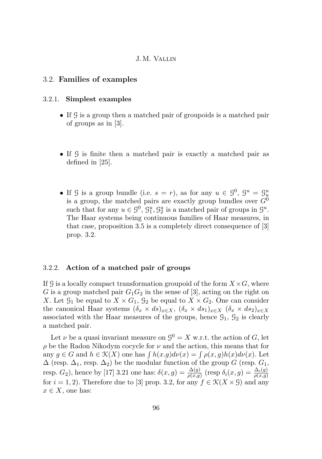## <span id="page-16-0"></span>3.2. **Families of examples**

#### 3.2.1. **Simplest examples**

- If G is a group then a matched pair of groupoids is a matched pair of groups as in [\[3\]](#page-51-0).
- If G is finite then a matched pair is exactly a matched pair as defined in [\[25\]](#page-53-0).
- If G is a group bundle (i.e.  $s = r$ ), as for any  $u \in \mathcal{G}^0$ ,  $\mathcal{G}^u = \mathcal{G}^u_u$ is a group, the matched pairs are exactly group bundles over  $G^0$ such that for any  $u \in \mathcal{G}^0$ ,  $\mathcal{G}_1^u$ ,  $\mathcal{G}_2^u$  is a matched pair of groups in  $\mathcal{G}^u$ . The Haar systems being continuous families of Haar measures, in that case, proposition [3.5](#page-14-0) is a completely direct consequence of [\[3\]](#page-51-0) prop. 3.2.

## 3.2.2. **Action of a matched pair of groups**

If  $\mathcal{G}$  is a locally compact transformation groupoid of the form  $X \times G$ , where *G* is a group matched pair  $G_1G_2$  in the sense of [\[3\]](#page-51-0), acting on the right on *X*. Let  $\mathcal{G}_1$  be equal to  $X \times G_1$ ,  $\mathcal{G}_2$  be equal to  $X \times G_2$ . One can consider the canonical Haar systems  $(\delta_x \times ds)_{x \in X}$ ,  $(\delta_x \times ds_1)_{x \in X}$   $(\delta_x \times ds_2)_{x \in X}$ associated with the Haar measures of the groups, hence  $\mathcal{G}_1$ ,  $\mathcal{G}_2$  is clearly a matched pair.

Let  $\nu$  be a quasi invariant measure on  $\mathcal{G}^0 = X$  w.r.t. the action of *G*, let *ρ* be the Radon Nikodym cocycle for *ν* and the action, this means that for any  $g \in G$  and  $h \in \mathcal{K}(X)$  one has  $\int h(x,g)d\nu(x) = \int \rho(x,g)h(x)d\nu(x)$ . Let  $\Delta$  (resp.  $\Delta_1$ , resp.  $\Delta_2$ ) be the modular function of the group *G* (resp.  $G_1$ , resp. *G*<sub>2</sub>), hence by [\[17\]](#page-52-0) 3.21 one has:  $\delta(x,g) = \frac{\Delta(g)}{\rho(x,g)}$  (resp  $\delta_i(x,g) = \frac{\Delta_i(g)}{\rho(x,g)}$ for  $i = 1, 2$ ). Therefore due to [\[3\]](#page-51-0) prop. 3.2, for any  $f \in \mathcal{K}(X \times \mathcal{G})$  and any  $x \in X$ , one has: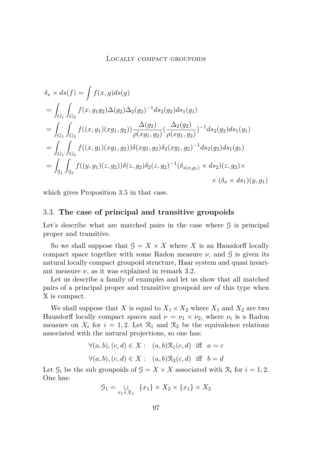<span id="page-17-0"></span>
$$
\delta_x \times ds(f) = \int f(x, g)ds(g)
$$
  
=  $\int_{G_1} \int_{G_2} f(x, g_1g_2) \Delta(g_2) \Delta_2(g_2)^{-1} ds_2(g_2) ds_1(g_1)$   
=  $\int_{G_1} \int_{G_2} f((x, g_1)(xg_1, g_2)) \frac{\Delta(g_2)}{\rho(xg_1, g_2)} (\frac{\Delta_2(g_2)}{\rho(xg_1, g_2)})^{-1} ds_2(g_2) ds_1(g_1)$   
=  $\int_{G_1} \int_{G_2} f((x, g_1)(xg_1, g_2)) \delta(xg_1, g_2) \delta_2(xg_1, g_2)^{-1} ds_2(g_2) ds_1(g_1)$   
=  $\int_{g_1} \int_{g_2} f((y, g_1)(z, g_2)) \delta(z, g_2) \delta_2(z, g_2)^{-1} (\delta_{s(x, g_1)} \times ds_2)(z, g_2) \times \times (\delta_x \times ds_1)(y, g_1)$ 

which gives Proposition [3.5](#page-14-0) in that case.

## 3.3. **The case of principal and transitive groupoids**

Let's describe what are matched pairs in the case where  $\mathcal G$  is principal proper and transitive.

So we shall suppose that  $G = X \times X$  where X is an Hausdorff locally compact space together with some Radon measure  $\nu$ , and  $\mathcal{G}$  is given its natural locally compact groupoid structure, Haar system and quasi invariant measure  $\nu$ , as it was explained in remark [3.2.](#page-13-0)

Let us describe a family of examples and let us show that all matched pairs of a principal proper and transitive groupoid are of this type when X is compact.

We shall suppose that *X* is equal to  $X_1 \times X_2$  where  $X_1$  and  $X_2$  are two Hausdorff locally compact spaces and  $\nu = \nu_1 \times \nu_2$ , where  $\nu_i$  is a Radon measure on  $X_i$  for  $i = 1, 2$ . Let  $\mathcal{R}_1$  and  $\mathcal{R}_2$  be the equivalence relations associated with the natural projections, so one has:

$$
\forall (a, b), (c, d) \in X: (a, b)\mathcal{R}_1(c, d) \text{ iff } a = c
$$
  

$$
\forall (a, b), (c, d) \in X: (a, b)\mathcal{R}_2(c, d) \text{ iff } b = d
$$

Let  $\mathcal{G}_i$  be the sub groupoids of  $\mathcal{G} = X \times X$  associated with  $\mathcal{R}_i$  for  $i = 1, 2$ . One has:

$$
\mathcal{G}_1 = \bigcup_{x_1 \in X_1} \{x_1\} \times X_2 \times \{x_1\} \times X_2
$$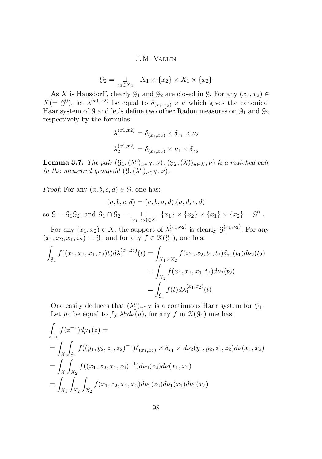$$
\mathcal{G}_2 = \bigcup_{x_2 \in X_2} X_1 \times \{x_2\} \times X_1 \times \{x_2\}
$$

<span id="page-18-0"></span>As *X* is Hausdorff, clearly  $\mathcal{G}_1$  and  $\mathcal{G}_2$  are closed in  $\mathcal{G}$ . For any  $(x_1, x_2) \in$  $X(= \mathcal{G}^0)$ , let  $\lambda^{(x_1,x_2)}$  be equal to  $\delta_{(x_1,x_2)} \times \nu$  which gives the canonical Haar system of  $\mathcal G$  and let's define two other Radon measures on  $\mathcal G_1$  and  $\mathcal G_2$ respectively by the formulas:

$$
\lambda_1^{(x1,x2)} = \delta_{(x_1,x_2)} \times \delta_{x_1} \times \nu_2
$$

$$
\lambda_2^{(x1,x2)} = \delta_{(x_1,x_2)} \times \nu_1 \times \delta_{x_2}
$$

**Lemma 3.7.** *The pair*  $(\mathcal{G}_1, (\lambda_1^u)_{u \in X}, \nu)$ ,  $(\mathcal{G}_2, (\lambda_2^u)_{u \in X}, \nu)$  *is a matched pair in the measured groupoid*  $(\mathcal{G}, (\lambda^u)_{u \in X}, \nu)$ *.* 

*Proof:* For any  $(a, b, c, d) \in \mathcal{G}$ , one has:

$$
(a, b, c, d) = (a, b, a, d) \cdot (a, d, c, d)
$$

so  $\mathcal{G} = \mathcal{G}_1 \mathcal{G}_2$ , and  $\mathcal{G}_1 \cap \mathcal{G}_2 = \bigcup_{(x_1, x_2) \in X} \{x_1\} \times \{x_2\} \times \{x_1\} \times \{x_2\} = \mathcal{G}^0$ .

For any  $(x_1, x_2) \in X$ , the support of  $\lambda_1^{(x_1, x_2)}$  $j_1^{(x_1,x_2)}$  is clearly  $\mathcal{G}_1^{(x_1,x_2)}$  $1^{(x_1,x_2)}$ . For any  $(x_1, x_2, x_1, z_2)$  in  $\mathcal{G}_1$  and for any  $f \in \mathcal{K}(\mathcal{G}_1)$ , one has:

$$
\int_{\mathcal{G}_1} f((x_1, x_2, x_1, z_2)t) d\lambda_1^{(x_1, z_2)}(t) = \int_{X_1 \times X_2} f(x_1, x_2, t_1, t_2) \delta_{x_1}(t_1) d\nu_2(t_2)
$$
\n
$$
= \int_{X_2} f(x_1, x_2, x_1, t_2) d\nu_2(t_2)
$$
\n
$$
= \int_{\mathcal{G}_1} f(t) d\lambda_1^{(x_1, x_2)}(t)
$$

One easily deduces that  $(\lambda_1^u)_{u \in X}$  is a continuous Haar system for  $\mathcal{G}_1$ . Let  $\mu_1$  be equal to  $\int_X \lambda_1^u d\nu(u)$ , for any  $f$  in  $\mathcal{K}(\mathcal{G}_1)$  one has:

$$
\int_{\mathcal{G}_1} f(z^{-1}) d\mu_1(z) =
$$
\n
$$
= \int_X \int_{\mathcal{G}_1} f((y_1, y_2, z_1, z_2)^{-1}) \delta_{(x_1, x_2)} \times \delta_{x_1} \times d\nu_2(y_1, y_2, z_1, z_2) d\nu(x_1, x_2)
$$
\n
$$
= \int_X \int_{X_2} f((x_1, x_2, x_1, z_2)^{-1}) d\nu_2(z_2) d\nu(x_1, x_2)
$$
\n
$$
= \int_{X_1} \int_{X_2} \int_{X_2} f(x_1, z_2, x_1, x_2) d\nu_2(z_2) d\nu_1(x_1) d\nu_2(x_2)
$$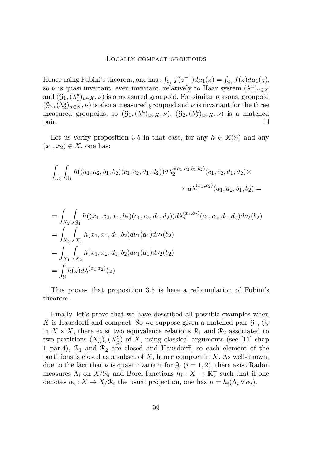Hence using Fubini's theorem, one has :  $\int_{\mathcal{G}_1} f(z^{-1}) d\mu_1(z) = \int_{\mathcal{G}_1} f(z) d\mu_1(z)$ , so  $\nu$  is quasi invariant, even invariant, relatively to Haar system  $(\lambda_1^u)_{u \in X}$ and  $(\mathcal{G}_1, (\lambda_1^u)_{u \in X}, \nu)$  is a measured groupoid. For similar reasons, groupoid  $(\mathcal{G}_2, (\lambda_2^u)_{u \in X}, \nu)$  is also a measured groupoid and  $\nu$  is invariant for the three measured groupoids, so  $(\mathcal{G}_1, (\lambda_1^u)_{u \in X}, \nu)$ ,  $(\mathcal{G}_2, (\lambda_2^u)_{u \in X}, \nu)$  is a matched pair.

Let us verify proposition [3.5](#page-14-0) in that case, for any  $h \in \mathcal{K}(\mathcal{G})$  and any  $(x_1, x_2) \in X$ , one has:

$$
\int_{\mathcal{G}_2} \int_{\mathcal{G}_1} h((a_1, a_2, b_1, b_2)(c_1, c_2, d_1, d_2)) d\lambda_2^{s(a_1, a_2, b_1, b_2)}(c_1, c_2, d_1, d_2) \times
$$
  
\$\times d\lambda\_1^{(x\_1, x\_2)}(a\_1, a\_2, b\_1, b\_2) =

$$
\begin{aligned}\n&= \int_{X_2} \int_{\mathcal{G}_1} h((x_1, x_2, x_1, b_2)(c_1, c_2, d_1, d_2)) d\lambda_2^{(x_1, b_2)}(c_1, c_2, d_1, d_2) d\nu_2(b_2) \\
&= \int_{X_2} \int_{X_1} h(x_1, x_2, d_1, b_2) d\nu_1(d_1) d\nu_2(b_2) \\
&= \int_{X_1} \int_{X_2} h(x_1, x_2, d_1, b_2) d\nu_1(d_1) d\nu_2(b_2) \\
&= \int_{\mathcal{G}} h(z) d\lambda^{(x_1, x_2)}(z)\n\end{aligned}
$$

This proves that proposition [3.5](#page-14-0) is here a reformulation of Fubini's theorem.

Finally, let's prove that we have described all possible examples when X is Hausdorff and compact. So we suppose given a matched pair  $\mathcal{G}_1$ ,  $\mathcal{G}_2$ in  $X \times X$ , there exist two equivalence relations  $\mathcal{R}_1$  and  $\mathcal{R}_2$  associated to two partitions  $(X^1_\alpha)$ ,  $(X^2_\beta)$  of X, using classical arguments (see [\[11\]](#page-52-0) chap 1 par.4),  $\mathcal{R}_1$  and  $\mathcal{R}_2$  are closed and Hausdorff, so each element of the partitions is closed as a subset of *X*, hence compact in *X*. As well-known, due to the fact that  $\nu$  is quasi invariant for  $\mathcal{G}_i$  ( $i = 1, 2$ ), there exist Radon measures  $\Lambda_i$  on  $X/R_i$  and Borel functions  $h_i: X \to \mathbb{R}^+_*$  such that if one denotes  $\alpha_i: X \to X/\mathcal{R}_i$  the usual projection, one has  $\mu = h_i(\Lambda_i \circ \alpha_i)$ .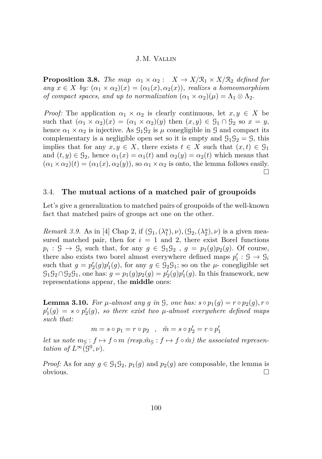<span id="page-20-0"></span>**Proposition 3.8.** *The map*  $\alpha_1 \times \alpha_2$ :  $X \to X/\mathcal{R}_1 \times X/\mathcal{R}_2$  *defined for*  $any \ x \in X \ by: (\alpha_1 \times \alpha_2)(x) = (\alpha_1(x), \alpha_2(x))$ *, realizes a homeomorphism of compact spaces, and up to normalization*  $(\alpha_1 \times \alpha_2)(\mu) = \Lambda_1 \otimes \Lambda_2$ .

*Proof:* The application  $\alpha_1 \times \alpha_2$  is clearly continuous, let  $x, y \in X$  be such that  $(\alpha_1 \times \alpha_2)(x) = (\alpha_1 \times \alpha_2)(y)$  then  $(x, y) \in \mathcal{G}_1 \cap \mathcal{G}_2$  so  $x = y$ , hence  $\alpha_1 \times \alpha_2$  is injective. As  $\mathcal{G}_1 \mathcal{G}_2$  is  $\mu$  conegligible in  $\mathcal{G}$  and compact its complementary is a negligible open set so it is empty and  $\mathcal{G}_1 \mathcal{G}_2 = \mathcal{G}$ , this implies that for any  $x, y \in X$ , there exists  $t \in X$  such that  $(x, t) \in \mathcal{G}_1$ and  $(t, y) \in \mathcal{G}_2$ , hence  $\alpha_1(x) = \alpha_1(t)$  and  $\alpha_2(y) = \alpha_2(t)$  which means that  $(\alpha_1 \times \alpha_2)(t) = (\alpha_1(x), \alpha_2(y))$ , so  $\alpha_1 \times \alpha_2$  is onto, the lemma follows easily.  $\Box$ 

## 3.4. **The mutual actions of a matched pair of groupoids**

Let's give a generalization to matched pairs of groupoids of the well-known fact that matched pairs of groups act one on the other.

*Remark 3.9.* As in [\[4\]](#page-51-0) Chap 2, if  $(G_1, (\lambda_1^u), \nu), (G_2, (\lambda_2^u), \nu)$  is a given measured matched pair, then for  $i = 1$  and 2, there exist Borel functions  $p_i$ :  $\mathcal{G} \to \mathcal{G}_i$  such that, for any  $g \in \mathcal{G}_1 \mathcal{G}_2$ ,  $g = p_1(g)p_2(g)$ . Of course, there also exists two borel almost everywhere defined maps  $p'_i : \mathcal{G} \to \mathcal{G}_i$ such that  $g = p_2'(g)p_1'(g)$ , for any  $g \in \mathcal{G}_2\mathcal{G}_1$ ; so on the  $\mu$ - conegligible set  $G_1G_2 \cap G_2G_1$ , one has:  $g = p_1(g)p_2(g) = p'_2(g)p'_1(g)$ . In this framework, new representations appear, the **middle** ones:

**Lemma 3.10.** For  $\mu$ -almost any  $g$  in  $\mathcal{G}$ , one has:  $s \circ p_1(g) = r \circ p_2(g)$ ,  $r \circ$  $p'_1(g) = s \circ p'_2(g)$ *, so there exist two*  $\mu$ *-almost everywhere defined maps such that:*

$$
m = s \circ p_1 = r \circ p_2 \quad , \quad \hat{m} = s \circ p_2' = r \circ p_1'
$$

*let us note*  $m_g : f \mapsto f \circ m$  (resp. $\hat{m}_g : f \mapsto f \circ \hat{m}$ ) the associated represen*tation of*  $L^{\infty}(\mathcal{G}^0,\nu)$ *.* 

*Proof:* As for any  $g \in \mathcal{G}_1 \mathcal{G}_2$ ,  $p_1(g)$  and  $p_2(g)$  are composable, the lemma is obvious.  $\Box$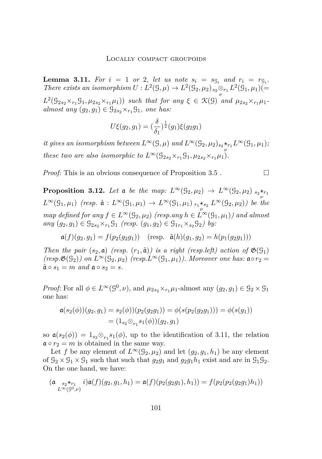<span id="page-21-0"></span>**Lemma 3.11.** For  $i = 1$  or 2, let us note  $s_i = s_{\mathcal{G}_i}$  and  $r_i = r_{\mathcal{G}_i}$ . *There exists an isomorphism*  $U: L^2(\mathcal{G}, \mu) \to L^2(\mathcal{G}_2, \mu_2)_{s_2 \otimes_{r_1} v_2}$  $L^2(\mathcal{G}_1, \mu_1)$ (=

 $L^2(\mathcal{G}_{2s_2} \times_{r_1} \mathcal{G}_1, \mu_{2s_2} \times_{r_1} \mu_1))$  *such that for any*  $\xi \in \mathcal{K}(\mathcal{G})$  *and*  $\mu_{2s_2} \times_{r_1} \mu_1$ *almost any*  $(g_2, g_1) \in \mathcal{G}_{2s_2} \times_{r_1} \mathcal{G}_1$ *, one has:* 

$$
U\xi(g_2, g_1) = (\frac{\delta}{\delta_1})^{\frac{1}{2}}(g_1)\xi(g_2g_1)
$$

*it gives an isomorphism between*  $L^{\infty}(\mathcal{G}, \mu)$  *and*  $L^{\infty}(\mathcal{G}_2, \mu_2)_{s_2 \star_{r_1}} L^{\infty}(\mathcal{G}_1, \mu_1)$ *; these two are also isomorphic to*  $L^{\infty}(\mathcal{G}_{2s_2} \times_{r_1} \mathcal{G}_1, \mu_{2s_2} \times_{r_1} \mu_1)$ *.* 

*Proof:* This is an obvious consequence of Proposition [3.5](#page-14-0) .  $\Box$ 

**Proposition 3.12.** Let a be the map:  $L^{\infty}(\mathcal{G}_2, \mu_2) \to L^{\infty}(\mathcal{G}_2, \mu_2)$   $s_2 \star_{r_1}$  $L^{\infty}(\mathcal{G}_1, \mu_1)$  *(resp.*  $\hat{\mathfrak{a}}: L^{\infty}(\mathcal{G}_1, \mu_1) \to L^{\infty}(\mathcal{G}_1, \mu_1)$   $_{r_1} \star_{s_2} L^{\infty}(\mathcal{G}_2, \mu_2)$ *) be the map defined for any*  $f \in L^{\infty}(\mathcal{G}_2, \mu_2)$  *(resp.any*  $h \in L^{\infty}(\mathcal{G}_1, \mu_1)$ *) and almost*  $any (g_2, g_1) \in \mathcal{G}_{2s_2} \times_{r_1} \mathcal{G}_1$  *(resp.*  $(g_1, g_2) \in \mathcal{G}_{1r_1} \times_{s_2} \mathcal{G}_2$ ) by:

$$
\mathfrak{a}(f)(g_2,g_1) = f(p_2(g_2g_1)) \quad (\text{resp. } \hat{\mathfrak{a}}(h)(g_1,g_2) = h(p_1(g_2g_1)))
$$

*Then the pair*  $(s_2, \mathfrak{a})$  (resp.  $(r_1, \hat{\mathfrak{a}})$ ) is a right (resp. left) action of  $\mathfrak{G}(\mathfrak{G}_1)$  $(resp.\mathfrak{G}(G_2))$  on  $L^{\infty}(G_2,\mu_2)$   $(resp.L^{\infty}(G_1,\mu_1))$ . Moreover one has:  $\mathfrak{a} \circ r_2 =$  $\hat{\mathfrak{a}} \circ s_1 = m$  and  $\mathfrak{a} \circ s_2 = s$ .

*Proof:* For all  $\phi \in L^{\infty}(\mathcal{G}^0, \nu)$ , and  $\mu_{2s_2} \times_{r_1} \mu_1$ -almost any  $(g_2, g_1) \in \mathcal{G}_2 \times \mathcal{G}_1$ one has:

$$
\mathfrak{a}(s_2(\phi))(g_2,g_1) = s_2(\phi))(p_2(g_2g_1)) = \phi(s(p_2(g_2g_1))) = \phi(s(g_1))
$$
  
=  $(1_{s_2} \otimes_{r_1} s_1(\phi))(g_2,g_1)$ 

so  $\mathfrak{a}(s_2(\phi)) = 1_{s_2} \otimes_{r_1} s_1(\phi)$ , up to the identification of 3.11, the relation  $a \circ r_2 = m$  is obtained in the same way.

Let *f* be any element of  $L^{\infty}(\mathcal{G}_2, \mu_2)$  and let  $(g_2, g_1, h_1)$  be any element of  $\mathcal{G}_2 \times \mathcal{G}_1 \times \mathcal{G}_1$  such that such that  $g_2g_1$  and  $g_2g_1h_1$  exist and are in  $\mathcal{G}_1\mathcal{G}_2$ . On the one hand, we have:

$$
(\mathfrak{a}_{L^{\infty}(S^{0},\nu)}*i)\mathfrak{a}(f)(g_{2},g_{1},h_{1})=\mathfrak{a}(f)(p_{2}(g_{2}g_{1}),h_{1}))=f(p_{2}(p_{2}(g_{2}g_{1})h_{1}))
$$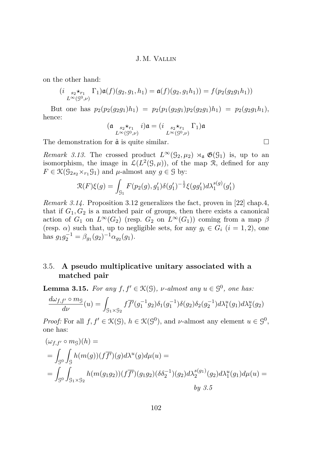<span id="page-22-0"></span>on the other hand:

$$
(i_{L^{\infty}(S^0, \nu)} \Gamma_1) \mathfrak{a}(f)(g_2, g_1, h_1) = \mathfrak{a}(f)(g_2, g_1 h_1)) = f(p_2(g_2 g_1 h_1))
$$

But one has  $p_2(p_2(g_2g_1)h_1) = p_2(p_1(g_2g_1)p_2(g_2g_1)h_1) = p_2(g_2g_1h_1),$ hence:

$$
(\mathfrak{a} \underset{L^{\infty}(\mathcal{G}^0,\nu)}{\underset{s_2 \star_{r_1}}{\star_{r_1}}} i)\mathfrak{a} = (i \underset{L^{\infty}(\mathcal{G}^0,\nu)}{\underset{s_2 \star_{r_1}}{\star_{r_1}}} \Gamma_1)\mathfrak{a}
$$

The demonstration for  $\hat{a}$  is quite similar.  $\square$ 

*Remark 3.13.* The crossed product  $L^{\infty}(\mathcal{G}_2,\mu_2) \rtimes_{\mathfrak{a}} \mathfrak{G}(\mathcal{G}_1)$  is, up to an isomorphism, the image in  $\mathcal{L}(L^2(\mathcal{G},\mu))$ , of the map R, defined for any  $F \in \mathcal{K}(G_{2s_2} \times_{r_1} G_1)$  and  $\mu$ -almost any  $g \in \mathcal{G}$  by:

$$
\mathcal{R}(F)\xi(g) = \int_{\mathcal{G}_1} F(p_2(g), g_1') \delta(g_1')^{-\frac{1}{2}} \xi(gg_1') d\lambda_1^{s(g)}(g_1')
$$

*Remark 3.14.* Proposition [3.12](#page-21-0) generalizes the fact, proven in [\[22\]](#page-52-0) chap.4, that if  $G_1, G_2$  is a matched pair of groups, then there exists a canonical action of  $G_1$  on  $L^{\infty}(G_2)$  (resp.  $G_2$  on  $L^{\infty}(G_1)$ ) coming from a map  $\beta$ (resp.  $\alpha$ ) such that, up to negligible sets, for any  $g_i \in G_i$  ( $i = 1, 2$ ), one has  $g_1 g_2^{-1} = \beta_{g_1}(g_2)^{-1} \alpha_{g_2}(g_1)$ .

## 3.5. **A pseudo multiplicative unitary associated with a matched pair**

**Lemma 3.15.** *For any*  $f, f' \in \mathcal{K}(G)$ , *v*-almost any  $u \in \mathcal{G}^0$ , one has:

$$
\frac{d\omega_{f,f'} \circ m_{\mathcal{G}}}{d\nu}(u) = \int_{\mathcal{G}_1 \times \mathcal{G}_2} f \overline{f'}(g_1^{-1}g_2) \delta_1(g_1^{-1}) \delta(g_2) \delta_2(g_2^{-1}) d\lambda_1^u(g_1) d\lambda_2^u(g_2)
$$

*Proof:* For all  $f, f' \in \mathcal{K}(\mathcal{G})$ ,  $h \in \mathcal{K}(\mathcal{G}^0)$ , and *v*-almost any element  $u \in \mathcal{G}^0$ , one has:

$$
(\omega_{f,f'} \circ m_{\mathcal{G}})(h) =
$$
  
=  $\int_{\mathcal{G}^0} \int_{\mathcal{G}} h(m(g))(f\overline{f'})(g) d\lambda^u(g) d\mu(u) =$   
=  $\int_{\mathcal{G}^0} \int_{\mathcal{G}_1 \times \mathcal{G}_2} h(m(g_1g_2))(f\overline{f'})(g_1g_2)(\delta \delta_2^{-1})(g_2) d\lambda_2^{s(g_1)}(g_2) d\lambda_1^u(g_1) d\mu(u) =$   
by 3.5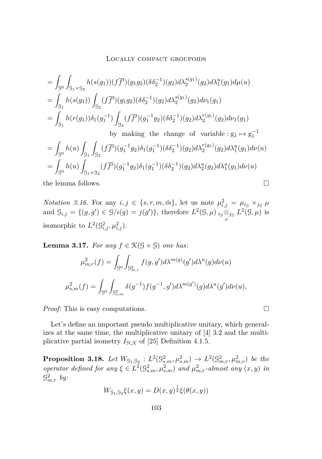<span id="page-23-0"></span>
$$
= \int_{\mathcal{G}^{0}} \int_{\mathcal{G}_{1} \times \mathcal{G}_{2}} h(s(g_{1})) (f\overline{f}')(g_{1}g_{2})(\delta \delta_{2}^{-1})(g_{2}) d\lambda_{2}^{s(g_{1})}(g_{2}) d\lambda_{1}^{u}(g_{1}) d\mu(u)
$$
  
\n
$$
= \int_{\mathcal{G}_{1}} h(s(g_{1})) \int_{\mathcal{G}_{2}} (f\overline{f'})(g_{1}g_{2})(\delta \delta_{2}^{-1})(g_{2}) d\lambda_{2}^{s(g_{1})}(g_{2}) d\nu_{1}(g_{1})
$$
  
\n
$$
= \int_{\mathcal{G}_{1}} h(r(g_{1})) \delta_{1}(g_{1}^{-1}) \int_{\mathcal{G}_{2}} (f\overline{f'})(g_{1}^{-1}g_{2})(\delta \delta_{2}^{-1})(g_{2}) d\lambda_{2}^{r(g_{1})}(g_{2}) d\nu_{1}(g_{1})
$$
  
\nby making the change of variable :  $g_{1} \mapsto g_{1}^{-1}$   
\n
$$
= \int_{\mathcal{G}^{0}} h(u) \int_{\mathcal{G}_{1}} \int_{\mathcal{G}_{2}} (f\overline{f'})(g_{1}^{-1}g_{2}) \delta_{1}(g_{1}^{-1})(\delta \delta_{2}^{-1})(g_{2}) d\lambda_{2}^{r(g_{1})}(g_{2}) d\lambda_{1}^{u}(g_{1}) d\nu(u)
$$
  
\n
$$
= \int_{\mathcal{G}^{0}} h(u) \int_{\mathcal{G}_{1} \times \mathcal{G}_{2}} (f\overline{f'})(g_{1}^{-1}g_{2}) \delta_{1}(g_{1}^{-1})(\delta \delta_{2}^{-1})(g_{2}) d\lambda_{2}^{u}(g_{2}) d\lambda_{1}^{u}(g_{1}) d\nu(u)
$$
  
\nthe lemma follows.

*Notation 3.16.* For any  $i, j \in \{s, r, m, \hat{m}\}\$ , let us note  $\mu_{i,j}^2 = \mu_{i} s \times_{j} \mu_{i}$ and  $\mathcal{G}_{i,j} = \{(g, g') \in \mathcal{G}/i(g) = j(g')\}$ , therefore  $L^2(\mathcal{G}, \mu)$  *i*<sub>g</sub>⊗*j*<sub>g</sub>  $L^2(\mathcal{G},\mu)$  is isomorphic to  $L^2(\mathcal{G}_{i,j}^2, \mu_{i,j}^2)$ .

**Lemma 3.17.** *For any*  $f \in \mathcal{K}(\mathcal{G} \times \mathcal{G})$  *one has:* 

$$
\mu_{m,r}^2(f) = \int_{\mathcal{G}^0} \int_{\mathcal{G}_{m,r}^2} f(g, g') d\lambda^{m(g)}(g') d\lambda^u(g) d\nu(u)
$$
  

$$
\mu_{s,m}^2(f) = \int_{\mathcal{G}^0} \int_{\mathcal{G}_{s,m}^2} \delta(g^{-1}) f(g^{-1}, g') d\lambda^{m(g')}(g) d\lambda^u(g') d\nu(u),
$$

*Proof:* This is easy computations. □

Let's define an important pseudo multiplicative unitary, which generalizes at the same time, the multiplicative unitary of [\[4\]](#page-51-0) 3.2 and the multiplicative partial isometry  $I_{\mathcal{H},\mathcal{K}}$  of [\[25\]](#page-53-0) Definition 4.1.5.

**Proposition 3.18.** Let  $W_{\mathcal{G}_1,\mathcal{G}_2} : L^2(\mathcal{G}_{s,m}^2,\mu_{s,m}^2) \to L^2(\mathcal{G}_{m,r}^2,\mu_{m,r}^2)$  be the *operator defined for any*  $\xi \in L^2(\mathbb{G}^2_{s,m}, \mu^2_{s,m})$  *and*  $\mu^2_{m,r}$ -almost any  $(x, y)$  *in* G 2 *m,r by:*

$$
W_{\mathcal{G}_1, \mathcal{G}_2} \xi(x, y) = D(x, y)^{\frac{1}{2}} \xi(\theta(x, y))
$$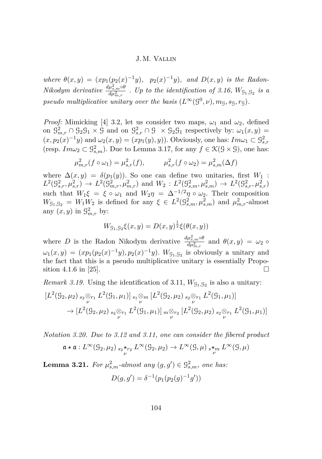<span id="page-24-0"></span>*where*  $\theta(x, y) = (xp_1(p_2(x)^{-1}y), p_2(x)^{-1}y)$ *, and*  $D(x, y)$  *is the Radon-Nikodym derivative*  $\frac{d\mu_{s,m}^2 \circ \theta}{d\mu^2}$  $\frac{\mu_{s,m}\omega}{d\mu_{m,r}^2}$  *. Up to the identification of [3.16,](#page-23-0)*  $W_{\text{G}_1,\text{G}_2}$  *is a pseudo multiplicative unitary over the basis*  $(L^{\infty}(\mathcal{G}^0, \nu), m_{\mathcal{G}}, s_{\mathcal{G}}, r_{\mathcal{G}})$ .

*Proof:* Mimicking [\[4\]](#page-51-0) 3.2, let us consider two maps,  $\omega_1$  and  $\omega_2$ , defined on  $\mathcal{G}^2_{m,r} \cap \mathcal{G}_2 \mathcal{G}_1 \times \mathcal{G}$  and on  $\mathcal{G}^2_{s,r} \cap \mathcal{G} \times \mathcal{G}_2 \mathcal{G}_1$  respectively by:  $\omega_1(x,y) =$  $(x, p_2(x)^{-1}y)$  and  $\omega_2(x, y) = (xp_1(y), y)$ . Obviously, one has:  $Im\omega_1 \subset \mathcal{G}_{s,r}^2$ (resp.  $Im\omega_2 \subset \mathcal{G}_{s,m}^2$ ). Due to Lemma [3.17,](#page-23-0) for any  $f \in \mathcal{K}(\mathcal{G} \times \mathcal{G})$ , one has:

$$
\mu_{m,r}^2(f \circ \omega_1) = \mu_{s,r}^2(f), \qquad \mu_{s,r}^2(f \circ \omega_2) = \mu_{s,m}^2(\Delta f)
$$

where  $\Delta(x, y) = \delta(p_1(y))$ . So one can define two unitaries, first  $W_1$ :  $L^2(\mathcal{G}_{s,r}^2, \mu_{s,r}^2) \to L^2(\mathcal{G}_{m,r}^2, \mu_{m,r}^2)$  and  $W_2: L^2(\mathcal{G}_{s,m}^2, \mu_{s,m}^2) \to L^2(\mathcal{G}_{s,r}^2, \mu_{s,r}^2)$ such that  $W_1\xi = \xi \circ \omega_1$  and  $W_2\eta = \Delta^{-1/2}\eta \circ \omega_2$ . Their composition  $W_{\mathfrak{g}_{1},\mathfrak{g}_{2}} = W_{1}W_{2}$  is defined for any  $\xi \in L^{2}(\mathcal{G}^{2}_{s,m},\mu^{2}_{s,m})$  and  $\mu^{2}_{m,r}$ -almost any  $(x, y)$  in  $\mathcal{G}_{m,r}^2$  by:

$$
W_{\mathcal{G}_1, \mathcal{G}_2} \xi(x, y) = D(x, y)^{\frac{1}{2}} \xi(\theta(x, y))
$$

where *D* is the Radon Nikodym derivative  $\frac{d\mu_{s,m}^2 \delta \phi}{d\mu^2}$  $\frac{\partial \mu_{s,m} \omega}{\partial \mu_{m,r}^2}$  and  $\theta(x,y) = \omega_2$  ο  $\omega_1(x, y) = (xp_1(p_2(x)^{-1}y), p_2(x)^{-1}y)$ .  $W_{\mathcal{G}_1, \mathcal{G}_2}$  is obviously a unitary and the fact that this is a pseudo multiplicative unitary is essentially Propo-sition 4.1.6 in [\[25\]](#page-53-0).

*Remark 3.19.* Using the identification of [3.11,](#page-21-0)  $W_{\mathcal{G}_1, \mathcal{G}_2}$  is also a unitary:

$$
[L^{2}(\mathcal{G}_{2},\mu_{2})_{s_{2}} \otimes_{r_{1}} L^{2}(\mathcal{G}_{1},\mu_{1})]_{s_{1}} \otimes_{m} [L^{2}(\mathcal{G}_{2},\mu_{2})_{s_{2}} \otimes_{r_{1}} L^{2}(\mathcal{G}_{1},\mu_{1})] \rightarrow [L^{2}(\mathcal{G}_{2},\mu_{2})_{s_{2}} \otimes_{r_{1}} L^{2}(\mathcal{G}_{1},\mu_{1})]_{m} \otimes_{r_{2}} [L^{2}(\mathcal{G}_{2},\mu_{2})_{s_{2}} \otimes_{r_{1}} L^{2}(\mathcal{G}_{1},\mu_{1})]
$$

*Notation 3.20. Due to [3.12](#page-21-0) and [3.11,](#page-21-0) one can consider the fibered product*

$$
\mathfrak{a} \star \mathfrak{a}: L^{\infty}(\mathcal{G}_2, \mu_2) \underset{\nu}{\ast}_{s_2} \star_{r_2} L^{\infty}(\mathcal{G}_2, \mu_2) \to L^{\infty}(\mathcal{G}, \mu) \underset{\nu}{\ast}_{s} \star_m L^{\infty}(\mathcal{G}, \mu)
$$

**Lemma 3.21.** For  $\mu_{s,m}^2$ -almost any  $(g, g') \in \mathcal{G}_{s,m}^2$ , one has:

$$
D(g, g') = \delta^{-1}(p_1(p_2(g)^{-1}g'))
$$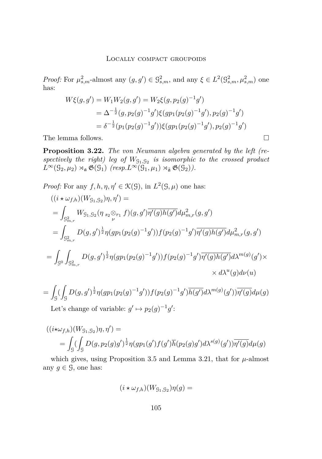<span id="page-25-0"></span>*Proof:* For  $\mu_{s,m}^2$ -almost any  $(g, g') \in \mathcal{G}_{s,m}^2$ , and any  $\xi \in L^2(\mathcal{G}_{s,m}^2, \mu_{s,m}^2)$  one has:

$$
W\xi(g,g') = W_1 W_2(g,g') = W_2 \xi(g,p_2(g)^{-1}g')
$$
  
=  $\Delta^{-\frac{1}{2}}(g,p_2(g)^{-1}g')\xi(gp_1(p_2(g)^{-1}g'),p_2(g)^{-1}g')$   
=  $\delta^{-\frac{1}{2}}(p_1(p_2(g)^{-1}g'))\xi(gp_1(p_2(g)^{-1}g'),p_2(g)^{-1}g')$ 

The lemma follows.  $\Box$ 

**Proposition 3.22.** *The von Neumann algebra generated by the left (re*spectively the right) leg of  $W_{\mathcal{G}_1, \mathcal{G}_2}$  is isomorphic to the crossed product  $L^{\infty}(\mathcal{G}_2, \mu_2) \rtimes_{\mathfrak{a}} \mathfrak{G}(\mathcal{G}_1)$  *(resp.L*<sup>∞</sup>( $\mathfrak{G}_1, \mu_1$ )  $\rtimes_{\hat{\mathfrak{a}}} \mathfrak{G}(\mathcal{G}_2)$ *).* 

*Proof:* For any  $f, h, \eta, \eta' \in \mathcal{K}(\mathcal{G})$ , in  $L^2(\mathcal{G}, \mu)$  one has:

$$
((i \star \omega_{f,h})(W_{g_1,g_2})\eta, \eta') =
$$
  
\n
$$
= \int_{g_{m,r}^2} W_{g_1,g_2}(\eta_{s_2} \otimes_{r_1} f)(g,g') \overline{\eta'(g)h(g')} d\mu_{m,r}^2(g,g')
$$
  
\n
$$
= \int_{g_{m,r}^2} D(g,g')^{\frac{1}{2}} \eta(g p_1(p_2(g)^{-1}g')) f(p_2(g)^{-1}g') \overline{\eta'(g)h(g')} d\mu_{m,r}^2(g,g')
$$
  
\n
$$
= \int_{g_0} \int_{g_{m,r}^2} D(g,g')^{\frac{1}{2}} \eta(g p_1(p_2(g)^{-1}g')) f(p_2(g)^{-1}g') \overline{\eta'(g)h(g')} d\lambda^{m(g)}(g') \times
$$
  
\n
$$
\times d\lambda^u(g) d\nu(u)
$$

$$
= \int_{\mathcal{G}} \left( \int_{\mathcal{G}} D(g, g')^{\frac{1}{2}} \eta(g p_1(p_2(g)^{-1} g')) f(p_2(g)^{-1} g') \overline{h(g')} d\lambda^{m(g)}(g') \overline{\eta'(g)} d\mu(g) \right)
$$
  
Let's change of variable:  $g' \mapsto p_2(g)^{-1} g'$ :

$$
((i\star\omega_{f,h})(W_{g_1,g_2})\eta,\eta') =
$$
  
= 
$$
\int_{\mathcal{G}} (\int_{\mathcal{G}} D(g,p_2(g)g')^{\frac{1}{2}} \eta(gp_1(g')f(g')\overline{h}(p_2(g)g')d\lambda^{s(g)}(g'))\overline{\eta'(g)}d\mu(g))
$$

which gives, using Proposition [3.5](#page-14-0) and Lemma [3.21,](#page-24-0) that for  $\mu$ -almost any  $g \in \mathcal{G}$ , one has:

$$
(i\star\omega_{f,h})(W_{\mathcal{G}_1,\mathcal{G}_2})\eta(g)=
$$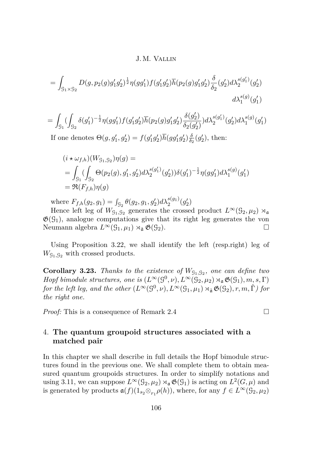<span id="page-26-0"></span>
$$
= \int_{\mathcal{G}_1 \times \mathcal{G}_2} D(g, p_2(g)g'_1g'_2)^{\frac{1}{2}} \eta(gg'_1) f(g'_1g'_2) \overline{h}(p_2(g)g'_1g'_2) \frac{\delta}{\delta_2}(g'_2) d\lambda_2^{s(g'_1)}(g'_2) d\lambda_1^{s(g_2)}(g'_1)
$$

$$
=\int_{\mathcal{G}_1}(\int_{\mathcal{G}_2}\delta(g_1')^{-\frac{1}{2}}\eta(gg_1')f(g_1'g_2')\overline{h}(p_2(g)g_1'g_2')\frac{\delta(g_2')}{\delta_2(g_2')})d\lambda_2^{s(g_1')}(g_2')d\lambda_1^{s(g)}(g_1')
$$

If one denotes  $\Theta(g, g'_1, g'_2) = f(g'_1g'_2)\overline{h}(gg'_1g'_2)\frac{\delta}{\delta_2}$  $\frac{\delta}{\delta_2}(g'_2)$ , then:

$$
(i \star \omega_{f,h})(W_{g_1,g_2})\eta(g) =
$$
  
= 
$$
\int_{g_1} \left( \int_{g_2} \Theta(p_2(g), g_1', g_2') d\lambda_2^{s(g_1')} (g_2')) \delta(g_1')^{-\frac{1}{2}} \eta(g g_1') d\lambda_1^{s(g)}(g_1')
$$
  
= 
$$
\Re(F_{f,h})\eta(g)
$$

where  $F_{f,h}(g_2, g_1) = \int_{\mathcal{G}_2} \theta(g_2, g_1, g'_2) d\lambda_2^{s(g_1)}(g'_2)$ 

Hence left leg of  $W_{9_1,9_2}$  generates the crossed product  $L^{\infty}(9_2,\mu_2)$   $\rtimes_{\mathfrak{a}}$  $\mathfrak{G}(\mathcal{G}_1)$ , analogue computations give that its right leg generates the von Neumann algebra  $L^\infty(\mathcal{G}_1,\mu_1) \rtimes_{\hat{\mathfrak{a}}} \mathfrak{G}(\mathcal{G}_2)$ . □

Using Proposition [3.22,](#page-25-0) we shall identify the left (resp.right) leg of  $W_{\mathcal{G}_1,\mathcal{G}_2}$  with crossed products.

**Corollary 3.23.** *Thanks to the existence of*  $W_{\mathcal{G}_1, \mathcal{G}_2}$ *, one can define two Hopf bimodule structures, one is*  $(L^{\infty}(S^0, \nu), L^{\infty}(S_2, \mu_2) \rtimes_{\mathfrak{a}} \mathfrak{G}(S_1), m, s, \Gamma)$ *for the left leg, and the other*  $(L^{\infty}(\mathcal{G}^0,\nu), L^{\infty}(\mathcal{G}_1,\mu_1) \rtimes_{\hat{\mathfrak{a}}} \mathfrak{G}(\mathcal{G}_2), r, m, \hat{\Gamma})$  for *the right one.*

*Proof:* This is a consequence of Remark [2.4](#page-5-0) □

## 4. **The quantum groupoid structures associated with a matched pair**

In this chapter we shall describe in full details the Hopf bimodule structures found in the previous one. We shall complete them to obtain measured quantum groupoids structures. In order to simplify notations and using [3.11,](#page-21-0) we can suppose  $L^{\infty}(\mathcal{G}_2, \mu_2) \rtimes_{\mathfrak{a}} \mathfrak{G}(\mathcal{G}_1)$  is acting on  $L^2(G, \mu)$  and is generated by products  $\mathfrak{a}(f)(1_{s_2} \otimes_{r_1} \rho(h))$ , where, for any  $f \in L^{\infty}(\mathcal{G}_2, \mu_2)$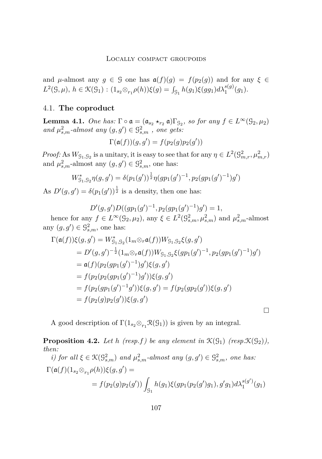<span id="page-27-0"></span>and *µ*-almost any  $g \in \mathcal{G}$  one has  $\mathfrak{a}(f)(g) = f(p_2(g))$  and for any  $\xi \in$  $L^2(\mathcal{G}, \mu), h \in \mathcal{K}(\mathcal{G}_1) : (1_{s_2} \otimes_{r_1} \rho(h))\xi(g) = \int_{\mathcal{G}_1} h(g_1)\xi(gg_1)d\lambda_1^{s(g)}(g_1).$ 

## 4.1. **The coproduct**

**Lemma 4.1.** *One has:*  $\Gamma \circ \mathfrak{a} = (\mathfrak{a}_{s_2} \star_{r_2} \mathfrak{a}) \Gamma_{\mathfrak{g}_2}$ , so for any  $f \in L^{\infty}(\mathfrak{g}_2, \mu_2)$ and  $\mu_{s,m}^2$ -almost any  $(g, g') \in \mathcal{G}_{s,m}^2$ , one gets:

$$
\Gamma(\mathfrak{a}(f))(g,g') = f(p_2(g)p_2(g'))
$$

*Proof:* As  $W_{\mathfrak{g}_1, \mathfrak{g}_2}$  is a unitary, it is easy to see that for any  $\eta \in L^2(\mathfrak{G}_{m,r}^2, \mu_{m,r}^2)$ and  $\mu_{s,m}^2$ -almost any  $(g, g') \in \mathcal{G}_{s,m}^2$ , one has:

$$
W_{91,92}^* \eta(g,g') = \delta(p_1(g'))^{\frac{1}{2}} \eta(g p_1(g')^{-1}, p_2(g p_1(g')^{-1}) g')
$$

As  $D'(g, g') = \delta(p_1(g'))^{\frac{1}{2}}$  is a density, then one has:

 $D'(g, g')D((gp_1(g')^{-1}, p_2(gp_1(g')^{-1})g') = 1,$ hence for any  $f \in L^{\infty}(\mathcal{G}_2, \mu_2)$ , any  $\xi \in L^2(\mathcal{G}_{s,m}^2, \mu_{s,m}^2)$  and  $\mu_{s,m}^2$ -almost any  $(g, g') \in \mathcal{G}^2_{s,m}$ , one has:

$$
\Gamma(\mathfrak{a}(f))\xi(g,g') = W_{\mathfrak{S}_1,\mathfrak{S}_2}^*(1_m \otimes_r \mathfrak{a}(f))W_{\mathfrak{S}_1,\mathfrak{S}_2}\xi(g,g')
$$
  
\n
$$
= D'(g,g')^{-\frac{1}{2}}(1_m \otimes_r \mathfrak{a}(f))W_{\mathfrak{S}_1,\mathfrak{S}_2}\xi(gp_1(g')^{-1},p_2(gp_1(g')^{-1})g')
$$
  
\n
$$
= \mathfrak{a}(f)(p_2(gp_1(g')^{-1})g')\xi(g,g')
$$
  
\n
$$
= f(p_2(p_2(gp_1(g')^{-1})g'))\xi(g,g')
$$
  
\n
$$
= f(p_2(gp_1(g')^{-1}g'))\xi(g,g') = f(p_2(gp_2(g'))\xi(g,g')
$$
  
\n
$$
= f(p_2(g)p_2(g'))\xi(g,g')
$$

A good description of  $\Gamma(1_{s_2} \otimes_{r_1} \mathcal{R}(\mathcal{G}_1))$  is given by an integral.

**Proposition 4.2.** Let *h* (resp.f) be any element in  $\mathcal{K}(\mathcal{G}_1)$  (resp. $\mathcal{K}(\mathcal{G}_2)$ ), *then:*  $\sim$ 

*i)* for all 
$$
\xi \in \mathcal{K}(\mathcal{G}_{s,m}^2)
$$
 and  $\mu_{s,m}^2$ -almost any  $(g, g') \in \mathcal{G}_{s,m}^2$ , one has:  
\n
$$
\Gamma(\mathfrak{a}(f)(1_{s_2} \otimes_{r_1} \rho(h))\xi(g, g') =
$$
\n
$$
= f(p_2(g)p_2(g')) \int_{\mathcal{G}_1} h(g_1)\xi(gp_1(p_2(g')g_1), g'g_1) d\lambda_1^{s(g')}(g_1)
$$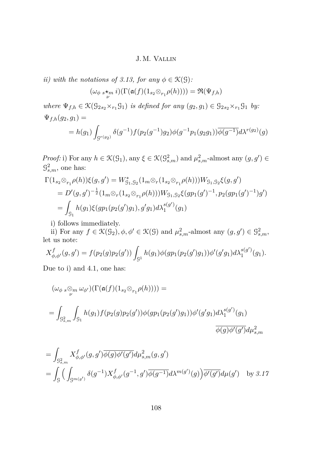*ii)* with the notations of [3.13,](#page-22-0) for any  $\phi \in \mathcal{K}(\mathcal{G})$ :

 $(\omega_{\phi} s \star_m i)(\Gamma(\mathfrak{a}(f)(1_{s_2} \otimes_{r_1} \rho(h)))) = \mathfrak{R}(\Psi_{f,h})$ 

 $where \ \Psi_{f,h} \in \mathcal{K}(\mathcal{G}_{2s_2} \times_{r_1} \mathcal{G}_1) \ \text{is defined for any} \ (g_2,g_1) \in \mathcal{G}_{2s_2} \times_{r_1} \mathcal{G}_1 \ \text{by:}$  $\Psi_{f,h}(g_2,g_1) =$ 

$$
= h(g_1) \int_{g^{r(g_2)}} \delta(g^{-1}) f(p_2(g^{-1}) g_2) \phi(g^{-1} p_1(g_2 g_1)) \overline{\phi(g^{-1})} d\lambda^{r(g_2)}(g)
$$

*Proof:* i) For any  $h \in \mathcal{K}(\mathcal{G}_1)$ , any  $\xi \in \mathcal{K}(\mathcal{G}_{s,m}^2)$  and  $\mu_{s,m}^2$ -almost any  $(g, g') \in$  $\mathcal{G}_{s,m}^2$ , one has:

$$
\Gamma(1_{s_2} \otimes_{r_1} \rho(h))\xi(g, g') = W_{\mathcal{G}_1, \mathcal{G}_2}^*(1_m \otimes_r (1_{s_2} \otimes_{r_1} \rho(h)))W_{\mathcal{G}_1, \mathcal{G}_2}\xi(g, g')
$$
  
=  $D'(g, g')^{-\frac{1}{2}}(1_m \otimes_r (1_{s_2} \otimes_{r_1} \rho(h)))W_{\mathcal{G}_1, \mathcal{G}_2}\xi(gp_1(g')^{-1}, p_2(gp_1(g')^{-1})g')$   
=  $\int_{\mathcal{G}_1} h(g_1)\xi(gp_1(p_2(g')g_1), g'g_1)d\lambda_1^{s(g')}(g_1)$ 

i) follows immediately.

ii) For any  $f \in \mathcal{K}(\mathcal{G}_2), \phi, \phi' \in \mathcal{K}(\mathcal{G})$  and  $\mu^2_{s,m}$ -almost any  $(g, g') \in \mathcal{G}^2_{s,m}$ , let us note:

$$
X_{\phi,\phi'}^f(g,g') = f(p_2(g)p_2(g')) \int_{\mathcal{G}^1} h(g_1)\phi(gp_1(p_2(g')g_1))\phi'(g'g_1)d\lambda_1^{s(g')}(g_1).
$$

Due to i) and [4.1,](#page-27-0) one has:

$$
\begin{aligned} & (\omega_{\phi} \, s \underset{\nu}{\otimes_m} \, \omega_{\phi'}) (\Gamma(\mathfrak{a}(f)(1_{s_2} \otimes_{r_1} \rho(h)))) = \\ & = \int_{\mathcal{G}_{s,m}^2} \int_{\mathcal{G}_1} h(g_1) f(p_2(g) p_2(g')) \phi(g p_1(p_2(g') g_1)) \phi'(g' g_1) d\lambda_1^{s(g')} (g_1) \\ & \overline{\phi(g) \phi'(g')} d\mu_{s,m}^2 \end{aligned}
$$

$$
= \int_{\mathcal{G}_{s,m}^{2}} X_{\phi,\phi'}^{f}(g,g') \overline{\phi(g)\phi'(g')} d\mu_{s,m}^{2}(g,g')
$$
  
= 
$$
\int_{\mathcal{G}} \Big( \int_{\mathcal{G}^{m(g')}} \delta(g^{-1}) X_{\phi,\phi'}^{f}(g^{-1},g') \overline{\phi(g^{-1})} d\lambda^{m(g')}(g) \Big) \overline{\phi'(g')} d\mu(g') \text{ by } \mathcal{Z}.17
$$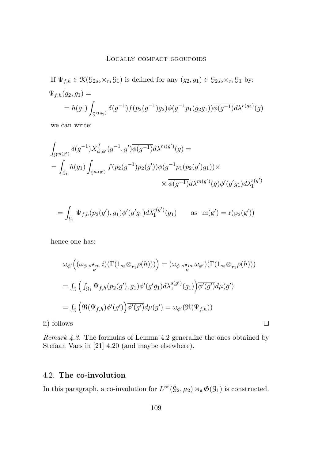<span id="page-29-0"></span>If  $\Psi_{f,h} \in \mathcal{K}(\mathcal{G}_{2s_2} \times_{r_1} \mathcal{G}_1)$  is defined for any  $(g_2, g_1) \in \mathcal{G}_{2s_2} \times_{r_1} \mathcal{G}_1$  by:  $\Psi_{f,h}(g_2,g_1) =$  $= h(g_1)$  $\int_{\mathcal{G}^{r(g_2)}} \delta(g^{-1}) f(p_2(g^{-1}) g_2) \phi(g^{-1} p_1(g_2 g_1)) \overline{\phi(g^{-1})} d\lambda^{r(g_2)}(g)$ 

we can write:

$$
\int_{\mathcal{G}^{m(g')}} \delta(g^{-1}) X^f_{\phi,\phi'}(g^{-1},g') \overline{\phi(g^{-1})} d\lambda^{m(g')}(g) =
$$
\n
$$
= \int_{\mathcal{G}_1} h(g_1) \int_{\mathcal{G}^{m(g')}} f(p_2(g^{-1}) p_2(g')) \phi(g^{-1} p_1(p_2(g') g_1)) \times
$$
\n
$$
\times \overline{\phi(g^{-1})} d\lambda^{m(g')}(g) \phi'(g' g_1) d\lambda_1^{s(g')}
$$

$$
= \int_{\mathcal{G}_1} \Psi_{f,h}(p_2(g'), g_1) \phi'(g'g_1) d\lambda_1^{s(g')}(g_1) \quad \text{as } m(g') = r(p_2(g'))
$$

hence one has:

$$
\omega_{\phi'}((\omega_{\phi} *_{\nu}^* i)(\Gamma(1_{s_2} \otimes_{r_1} \rho(h)))) = (\omega_{\phi} *_{\nu}^* \omega_{\phi'})(\Gamma(1_{s_2} \otimes_{r_1} \rho(h)))
$$
  
= 
$$
\int_{\mathcal{G}} \left( \int_{\mathcal{G}_1} \Psi_{f,h}(p_2(g'), g_1) \phi'(g'g_1) d\lambda_1^{s(g')}(g_1) \right) \overline{\phi'(g')} d\mu(g')
$$
  
= 
$$
\int_{\mathcal{G}} \left( \Re(\Psi_{f,h}) \phi'(g') \right) \overline{\phi'(g')} d\mu(g') = \omega_{\phi'}(\Re(\Psi_{f,h}))
$$

ii) follows

*Remark 4.3.* The formulas of Lemma [4.2](#page-27-0) generalize the ones obtained by Stefaan Vaes in [\[21\]](#page-52-0) 4.20 (and maybe elsewhere).

## 4.2. **The co-involution**

In this paragraph, a co-involution for  $L^{\infty}(\mathcal{G}_2,\mu_2) \rtimes_{\mathfrak{a}} \mathfrak{G}(\mathcal{G}_1)$  is constructed.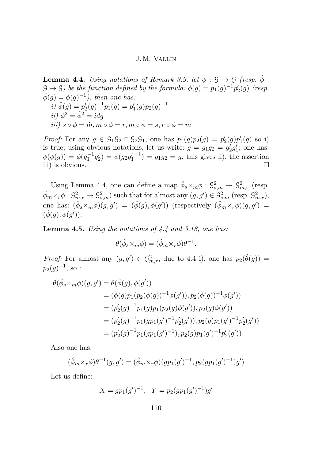<span id="page-30-0"></span>**Lemma 4.4.** *Using notations of Remark [3.9,](#page-20-0) let*  $\phi$  :  $\mathcal{G} \rightarrow \mathcal{G}$  *(resp.*  $\hat{\phi}$ )  $\mathcal{G} \to \mathcal{G}$ ) be the function defined by the formula:  $\phi(g) = p_1(g)^{-1} p_2'(g)$  (resp.  $\hat{\phi}(g) = \phi(g)^{-1}$ , then one has:  $i) \hat{\phi}(g) = p'_2(g)^{-1}p_1(g) = p'_1(g)p_2(g)^{-1}$ *ii*)  $\phi^2 = \hat{\phi}^2 = idg$ *iii*)  $s \circ \phi = \hat{m}, m \circ \phi = r, m \circ \hat{\phi} = s, r \circ \phi = m$ 

*Proof:* For any  $g \in G_1G_2 \cap G_2G_1$ , one has  $p_1(g)p_2(g) = p'_2(g)p'_1(g)$  so i) is true; using obvious notations, let us write:  $g = g_1 g_2 = g'_2 g'_1$ ; one has:  $\phi(\phi(g)) = \phi(g_1^{-1}g_2') = \phi(g_2g_1')$  $(z^{-1}) = g_1 g_2 = g$ , this gives ii), the assertion iii) is obvious.

Using Lemma 4.4, one can define a map  $\hat{\phi}_s \times_m \phi : \mathcal{G}^2_{s,m} \to \mathcal{G}^2_{m,r}$  (resp.  $\hat{\phi}_m \times_r \phi : \mathcal{G}_{m,r}^2 \to \mathcal{G}_{s,m}^2$  such that for almost any  $(g, g') \in \mathcal{G}_{s,m}^2$  (resp.  $\mathcal{G}_{m,r}^2$ ), one has:  $(\hat{\phi}_s \times_m \phi)(g, g') = (\hat{\phi}(g), \phi(g'))$  (respectively  $(\hat{\phi}_m \times_r \phi)(g, g') =$  $(\hat{\phi}(g), \phi(g'))$ .

**Lemma 4.5.** *Using the notations of 4.4 and [3.18,](#page-23-0) one has:*

$$
\theta(\hat{\phi}_s \times_m \phi) = (\hat{\phi}_m \times_r \phi)\theta^{-1}.
$$

*Proof:* For almost any  $(g, g') \in \mathcal{G}^2_{m,r}$ , due to 4.4 i), one has  $p_2(\hat{\theta}(g))$  =  $p_2(g)^{-1}$ , so :

$$
\theta(\hat{\phi}_s \times_m \phi)(g, g') = \theta(\hat{\phi}(g), \phi(g'))
$$
  
=  $(\hat{\phi}(g)p_1(p_2(\hat{\phi}(g))^{-1}\phi(g')), p_2(\hat{\phi}(g))^{-1}\phi(g'))$   
=  $(p'_2(g)^{-1}p_1(g)p_1(p_2(g)\phi(g')), p_2(g)\phi(g'))$   
=  $(p'_2(g)^{-1}p_1(gp_1(g')^{-1}p'_2(g')), p_2(g)p_1(g')^{-1}p'_2(g'))$   
=  $(p'_2(g)^{-1}p_1(gp_1(g')^{-1}), p_2(g)p_1(g')^{-1}p'_2(g'))$ 

Also one has:

$$
(\hat{\phi}_m \times_r \phi) \theta^{-1}(g, g') = (\hat{\phi}_m \times_r \phi) (gp_1(g')^{-1}, p_2(gp_1(g')^{-1})g')
$$

Let us define:

$$
X = gp_1(g')^{-1}, \quad Y = p_2(gp_1(g')^{-1})g'
$$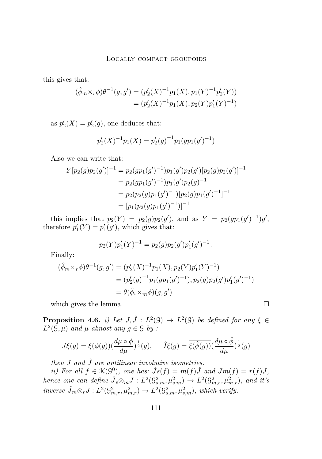<span id="page-31-0"></span>this gives that:

$$
(\hat{\phi}_m \times_r \phi) \theta^{-1}(g, g') = (p_2'(X)^{-1} p_1(X), p_1(Y)^{-1} p_2'(Y))
$$
  
=  $(p_2'(X)^{-1} p_1(X), p_2(Y) p_1'(Y)^{-1})$ 

as  $p_2'(X) = p_2'(g)$ , one deduces that:

$$
p_2'(X)^{-1}p_1(X) = p_2'(g)^{-1}p_1(gp_1(g')^{-1})
$$

Also we can write that:

$$
Y[p_2(g)p_2(g')]^{-1} = p_2(gp_1(g')^{-1})p_1(g')p_2(g')[p_2(g)p_2(g')]^{-1}
$$
  
=  $p_2(gp_1(g')^{-1})p_1(g')p_2(g)^{-1}$   
=  $p_2(p_2(g)p_1(g')^{-1})[p_2(g)p_1(g')^{-1}]^{-1}$   
=  $[p_1(p_2(g)p_1(g')^{-1})]^{-1}$ 

this implies that  $p_2(Y) = p_2(g)p_2(g')$ , and as  $Y = p_2(gp_1(g')^{-1})g'$ , therefore  $p'_1(Y) = p'_1(g')$ , which gives that:

$$
p_2(Y)p'_1(Y)^{-1} = p_2(g)p_2(g')p'_1(g')^{-1}.
$$

Finally:

$$
(\hat{\phi}_m \times_r \phi) \theta^{-1}(g, g') = (p'_2(X)^{-1} p_1(X), p_2(Y) p'_1(Y)^{-1})
$$
  
=  $(p'_2(g)^{-1} p_1(g p_1(g')^{-1}), p_2(g) p_2(g') p'_1(g')^{-1})$   
=  $\theta(\hat{\phi}_s \times_m \phi)(g, g')$ 

which gives the lemma.  $\Box$ 

**Proposition 4.6.** *i)* Let  $J, \hat{J} : L^2(\mathcal{G}) \to L^2(\mathcal{G})$  be defined for any  $\xi \in$  $L^2(\mathcal{G}, \mu)$  *and*  $\mu$ *-almost any*  $g \in \mathcal{G}$  *by :* 

$$
J\xi(g)=\overline{\xi(\phi(g))}(\frac{d\mu\circ\phi}{d\mu})^{\frac{1}{2}}(g),\quad \ \hat{J}\xi(g)=\overline{\xi(\hat{\phi}(g))}(\frac{d\mu\circ\hat{\phi}}{d\mu})^{\frac{1}{2}}(g)
$$

*then*  $J$  *and*  $\hat{J}$  *are antilinear involutive isometries.* 

*ii*) For all  $f \in \mathcal{K}(\mathcal{G}^0)$ , one has:  $\hat{J}s(f) = m(\overline{f})\hat{J}$  and  $Jm(f) = r(\overline{f})J$ , *hence one can define*  $\hat{J}_s \otimes_m J : L^2(\mathbb{G}^2_{s,m}, \mu^2_{s,m}) \to L^2(\mathbb{G}^2_{m,r}, \mu^2_{m,r})$ , and it's  $inverse \hat{J}_m \otimes_r J : L^2(\mathbb{G}_{m,r}^2, \mu_{m,r}^2) \to L^2(\mathbb{G}_{s,m}^2, \mu_{s,m}^2)$ , which verify: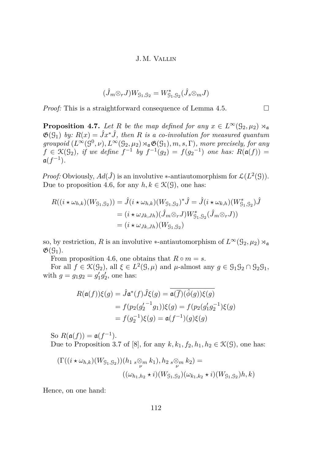$$
(\hat{J}_m\otimes_r J)W_{\mathcal{G}_1,\mathcal{G}_2}=W_{\mathcal{G}_1,\mathcal{G}_2}^*(\hat{J}_s\otimes_m J)
$$

<span id="page-32-0"></span>*Proof:* This is a straightforward consequence of Lemma [4.5.](#page-30-0)  $\Box$ 

**Proposition 4.7.** *Let R be the map defined for any*  $x \in L^{\infty}(\mathcal{G}_2, \mu_2) \rtimes_{\mathfrak{a}}$  $\mathfrak{G}(G_1)$  *by:*  $R(x) = \hat{J}x^*\hat{J}$ , then R is a co-involution for measured quantum  $groupoid \ (L^{\infty}(\mathcal{G}^0, \nu), L^{\infty}(\mathcal{G}_2, \mu_2) \rtimes_{\mathfrak{a}} \mathfrak{G}(\mathcal{G}_1), m, s, \Gamma)$ *, more precisely, for any*  $f \in \mathfrak{K}(\mathfrak{g}_2)$ , if we define  $f^{-1}$  by  $f^{-1}(g_2) = f(g_2^{-1})$  one has:  $R(\mathfrak{a}(f)) =$  $a(f^{-1})$ .

*Proof:* Obviously,  $Ad(\hat{J})$  is an involutive \*-antiautomorphism for  $\mathcal{L}(L^2(\mathcal{G}))$ . Due to proposition [4.6,](#page-31-0) for any  $h, k \in \mathcal{K}(\mathcal{G})$ , one has:

$$
R((i \star \omega_{h,k})(W_{\mathcal{G}_1,\mathcal{G}_2})) = \hat{J}(i \star \omega_{h,k})(W_{\mathcal{G}_1,\mathcal{G}_2})^* \hat{J} = \hat{J}(i \star \omega_{k,h})(W_{\mathcal{G}_1,\mathcal{G}_2}^*) \hat{J}
$$
  
=  $(i \star \omega_{Jk,Jh})(\hat{J}_m \otimes_r J)W_{\mathcal{G}_1,\mathcal{G}_2}^*(\hat{J}_m \otimes_r J))$   
=  $(i \star \omega_{Jk,Jh})(W_{\mathcal{G}_1,\mathcal{G}_2})$ 

so, by restriction, *R* is an involutive \*-antiautomorphism of  $L^{\infty}(\mathcal{G}_2,\mu_2) \rtimes_{\mathfrak{a}}$  $\mathfrak{G}(\mathfrak{G}_1).$ 

From proposition [4.6,](#page-31-0) one obtains that  $R \circ m = s$ .

For all  $f \in \mathcal{K}(\mathcal{G}_2)$ , all  $\xi \in L^2(\mathcal{G}, \mu)$  and  $\mu$ -almost any  $g \in \mathcal{G}_1 \mathcal{G}_2 \cap \mathcal{G}_2 \mathcal{G}_1$ , with  $g = g_1 g_2 = g'_1 g'_2$ , one has:

$$
R(\mathfrak{a}(f))\xi(g) = \hat{J}\mathfrak{a}^*(f)\hat{J}\xi(g) = \mathfrak{a}(\overline{f})(\hat{\phi}(g))\xi(g)
$$
  
=  $f(p_2(g_2'^{-1}g_1))\xi(g) = f(p_2(g_1'g_2^{-1})\xi(g))$   
=  $f(g_2^{-1})\xi(g) = \mathfrak{a}(f^{-1})(g)\xi(g)$ 

So  $R(\mathfrak{a}(f)) = \mathfrak{a}(f^{-1})$ . Due to Proposition 3.7 of [\[8\]](#page-51-0), for any  $k, k_1, f_2, h_1, h_2 \in \mathcal{K}(\mathcal{G})$ , one has:

$$
\begin{aligned} (\Gamma((i \star \omega_{h,k})(W_{\mathcal{G}_1,\mathcal{G}_2}))(h_1 \, {}_{s}\otimes_m k_1), h_2 \, {}_{s}\otimes_m k_2) &= \\ & ((\omega_{h_1,h_2} \star i)(W_{\mathcal{G}_1,\mathcal{G}_2})(\omega_{k_1,k_2} \star i)(W_{\mathcal{G}_1,\mathcal{G}_2})h, k) \end{aligned}
$$

Hence, on one hand: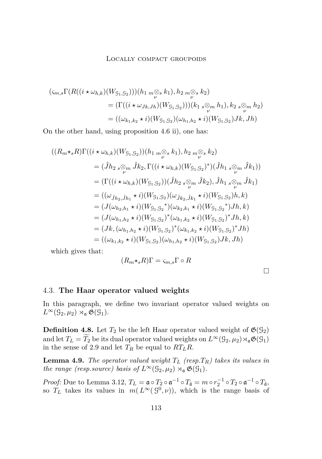<span id="page-33-0"></span>
$$
\begin{aligned} (\varsigma_{m,s}\Gamma(R((i \star \omega_{h,k})(W_{\mathcal{G}_1,\mathcal{G}_2})))(h_1 \underset{\nu}{m} \otimes_s k_1), h_2 \underset{\nu}{m} \otimes_s k_2) \\ &= (\Gamma((i \star \omega_{Jk,Jh})(W_{\mathcal{G}_1,\mathcal{G}_2})))(k_1 \underset{\nu}{s} \otimes_m h_1), k_2 \underset{\nu}{s} \otimes_m h_2) \\ &= ((\omega_{k_1,k_2} \star i)(W_{\mathcal{G}_1,\mathcal{G}_2})(\omega_{h_1,h_2} \star i)(W_{\mathcal{G}_1,\mathcal{G}_2})Jk, Jh) \end{aligned}
$$

On the other hand, using proposition [4.6](#page-31-0) ii), one has:

$$
((R_{m} \star_{s} R)\Gamma((i \star \omega_{h,k})(W_{91,92}))(h_{1 m} \otimes_{s} k_{1}), h_{2 m} \otimes_{s} k_{2})
$$
  
\n
$$
= (\hat{J}h_{2 s} \otimes_{m} \hat{J}k_{2}, \Gamma((i \star \omega_{h,k})(W_{91,92})^{*})(\hat{J}h_{1 s} \otimes_{m} \hat{J}k_{1}))
$$
  
\n
$$
= (\Gamma((i \star \omega_{h,k})(W_{91,92}))(\hat{J}h_{2 s} \otimes_{m} \hat{J}k_{2}), \hat{J}h_{1 s} \otimes_{m} \hat{J}k_{1})
$$
  
\n
$$
= ((\omega_{\hat{J}h_{2},\hat{J}h_{1}} \star i)(W_{91,92})(\omega_{\hat{J}k_{2},\hat{J}k_{1}} \star i)(W_{91,92})h, k)
$$
  
\n
$$
= (J(\omega_{h_{2},h_{1}} \star i)(W_{91,92}^{*})(\omega_{k_{2},k_{1}} \star i)(W_{91,92}^{*})Jh, k)
$$
  
\n
$$
= (J(\omega_{h_{1},h_{2}} \star i)(W_{91,92})^{*}(\omega_{k_{1},k_{2}} \star i)(W_{91,92})^{*}Jh, k)
$$
  
\n
$$
= (Jk, (\omega_{h_{1},h_{2}} \star i)(W_{91,92})^{*}(\omega_{k_{1},k_{2}} \star i)(W_{91,92})^{*}Jh)
$$
  
\n
$$
= ((\omega_{k_{1},k_{2}} \star i)(W_{91,92})(\omega_{h_{1},h_{2}} \star i)(W_{91,92})Jk, Jh)
$$
  
\n
$$
= ((\omega_{k_{1},k_{2}} \star i)(W_{91,92})(\omega_{h_{1},h_{2}} \star i)(W_{91,92})Jk, Jh)
$$

which gives that:

$$
(R_m\star_s R)\Gamma = \varsigma_{m,s}\Gamma \circ R
$$

## 4.3. **The Haar operator valued weights**

In this paragraph, we define two invariant operator valued weights on  $L^{\infty}(\mathcal{G}_2,\mu_2) \rtimes_{\mathfrak{a}} \mathfrak{G}(\mathcal{G}_1).$ 

**Definition 4.8.** Let  $T_2$  be the left Haar operator valued weight of  $\mathfrak{G}(\mathcal{G}_2)$ and let  $T_L = T_2$  be its dual operator valued weights on  $L^{\infty}(\mathcal{G}_2, \mu_2) \rtimes_{\mathfrak{a}} \mathfrak{G}(\mathcal{G}_1)$ in the sense of [2.9](#page-7-0) and let  $T_R$  be equal to  $RT_LR$ .

**Lemma 4.9.** *The operator valued weight T<sup>L</sup> (resp.TR) takes its values in the range (resp.source) basis of*  $L^{\infty}(\mathcal{G}_2, \mu_2) \rtimes_{\mathfrak{a}} \mathfrak{G}(\mathcal{G}_1)$ *.* 

*Proof:* Due to Lemma [3.12,](#page-21-0)  $T_L = \mathfrak{a} \circ T_2 \circ \mathfrak{a}^{-1} \circ T_{\tilde{\mathfrak{a}}} = m \circ r_2^{-1} \circ T_2 \circ \mathfrak{a}^{-1} \circ T_{\tilde{\mathfrak{a}}}$ , so  $T_L$  takes its values in  $m(L^{\infty}(9^0,\nu))$ , which is the range basis of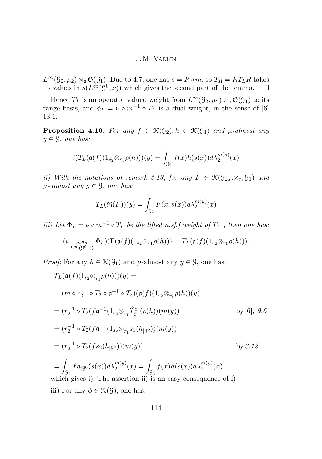<span id="page-34-0"></span> $L^{\infty}(\mathcal{G}_2, \mu_2) \rtimes_{\mathfrak{a}} \mathfrak{G}(\mathcal{G}_1)$ . Due to [4.7,](#page-32-0) one has  $s = R \circ m$ , so  $T_R = RT_LR$  takes its values in  $s(L^{\infty}(\mathcal{G}^0,\nu))$  which gives the second part of the lemma.  $\square$ 

Hence  $T_L$  is an operator valued weight from  $L^{\infty}(\mathcal{G}_2, \mu_2) \rtimes_{\mathfrak{a}} \mathfrak{G}(\mathcal{G}_1)$  to its range basis, and  $\phi_L = \nu \circ m^{-1} \circ T_L$  is a dual weight, in the sense of [\[6\]](#page-51-0) 13.1.

**Proposition 4.10.** For any  $f \in \mathcal{K}(\mathcal{G}_2), h \in \mathcal{K}(\mathcal{G}_1)$  and  $\mu$ -almost any  $y \in \mathcal{G}$ *, one has:* 

$$
i)T_{L}(\mathfrak{a}(f)(1_{s_2}\otimes_{r_1}\rho(h)))(y)=\int_{\mathfrak{S}_2}f(x)h(s(x))d\lambda_2^{m(y)}(x)
$$

*ii)* With the notations of remark [3.13,](#page-22-0) for any  $F \in \mathcal{K}(\mathcal{G}_{2s2} \times_{r_1} \mathcal{G}_1)$  and  $\mu$ *-almost any*  $y \in \mathcal{G}$ *, one has:* 

$$
T_L(\mathfrak{R}(F))(y) = \int_{\mathcal{G}_2} F(x, s(x))d\lambda_2^{m(y)}(x)
$$

*iii)* Let  $\Phi_L = \nu \circ m^{-1} \circ T_L$  be the lifted n.sf.f weight of  $T_L$ , then one has:

$$
(i_{L^{\infty}(\mathcal{S}^0,\nu)} \Phi_L))\Gamma(\mathfrak{a}(f)(1_{s_2} \otimes_{r_1} \rho(h))) = T_L(\mathfrak{a}(f)(1_{s_2} \otimes_{r_1} \rho(h))).
$$

*Proof:* For any  $h \in \mathcal{K}(\mathcal{G}_1)$  and  $\mu$ -almost any  $y \in \mathcal{G}$ , one has:

$$
T_L(\mathfrak{a}(f)(1_{s_2} \otimes_{r_1} \rho(h)))(y) =
$$
  
=  $(m \circ r_2^{-1} \circ T_2 \circ \mathfrak{a}^{-1} \circ T_{\tilde{\mathfrak{a}}})(\mathfrak{a}(f)(1_{s_2} \otimes_{r_1} \rho(h))(y))$   
=  $(r_2^{-1} \circ T_2(f\mathfrak{a}^{-1}(1_{s_2} \otimes_{r_1} \hat{T}_{g_1}^c(\rho(h))(m(y)))$  by [6], 9.6  
=  $(r_2^{-1} \circ T_2(f\mathfrak{a}^{-1}(1_{s_2} \otimes_{r_1} s_1(h_{|\mathcal{G}^0}))(m(y))$   
=  $(r_2^{-1} \circ T_2(f s_2(h_{|\mathcal{G}^0}))(m(y))$  by 3.12  
=  $\int_{\mathcal{G}_2} f h_{|\mathcal{G}^0}(s(x)) d\lambda_2^{m(y)}(x) = \int_{\mathcal{G}_2} f(x)h(s(x)) d\lambda_2^{m(y)}(x)$   
which gives i). The assertion ii) is an easy consequence of i)

iii) For any  $\phi \in \mathcal{K}(\mathcal{G})$ , one has: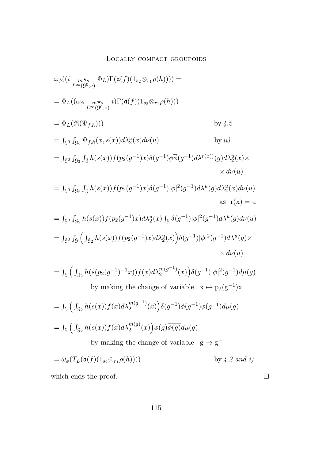$$
\omega_{\phi}((i_{L_{\infty}^{m}} \ast_{\infty}^{m}} \Phi_{L})\Gamma(\mathfrak{a}(f)(1_{s_{2}} \otimes_{r_{1}} \rho(h)))) =
$$
\n
$$
= \Phi_{L}((\omega_{\phi_{L_{\infty}^{m}} \ast_{s_{0}}} \cdot i)\Gamma(\mathfrak{a}(f)(1_{s_{2}} \otimes_{r_{1}} \rho(h)))
$$
\n
$$
= \Phi_{L}(\Re(\Psi_{f,h})))
$$
\n
$$
= \int_{S^{0}} \int_{S_{2}} \Psi_{f,h}(x, s(x)) d\lambda_{2}^{u}(x) d\nu(u)
$$
\n
$$
= \int_{S^{0}} \int_{S_{2}} \int_{S} h(s(x)) f(p_{2}(g^{-1})x) \delta(g^{-1}) \phi_{\phi}^{-1}(g^{-1}) d\lambda^{r(x)}(g) d\lambda_{2}^{u}(x) \times d\nu(u)
$$
\n
$$
= \int_{S^{0}} \int_{S_{2}} \int_{S} h(s(x)) f(p_{2}(g^{-1})x) \delta(g^{-1}) |\phi|^{2}(g^{-1}) d\lambda^{u}(g) d\lambda_{2}^{u}(x) d\nu(u)
$$
\n
$$
= \int_{S^{0}} \int_{S_{2}} h(s(x)) f(p_{2}(g^{-1})x) d\lambda_{2}^{u}(x) \int_{S} \delta(g^{-1}) |\phi|^{2}(g^{-1}) d\lambda^{u}(g) d\nu(u)
$$
\n
$$
= \int_{S^{0}} \int_{S} \int_{S_{2}} h(s(x)) f(p_{2}(g^{-1})x) d\lambda_{2}^{u}(x) \int_{S} \delta(g^{-1}) |\phi|^{2}(g^{-1}) d\lambda^{u}(g) d\nu(u)
$$
\n
$$
= \int_{S^{0}} \int_{S_{2}} h(s(x)) f(p_{2}(g^{-1})x) d\lambda_{2}^{n}(x) \int_{S} \delta(g^{-1}) |\phi|^{2}(g^{-1}) d\lambda^{u}(g) \times d\nu(u)
$$
\n
$$
= \int_{S} \int_{S_{2}} h(s(x)) f(p_{2}(g^{-1})x) d\lambda_{2}^{n(g^{-1})}(x) \int_{S} \delta(g^{-1}) |\phi|^{2}(g^{-1}) d\mu(g)
$$
\n
$$
= \int_{S} \int_{S_{2}} h(s(x)) f(x) d\lambda_{2}^{m
$$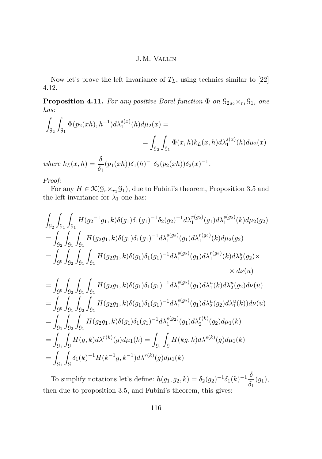<span id="page-36-0"></span>Now let's prove the left invariance of  $T_L$ , using technics similar to [\[22\]](#page-52-0) 4.12.

**Proposition 4.11.** *For any positive Borel function*  $\Phi$  *on*  $\mathcal{G}_{2s_2} \times_{r_1} \mathcal{G}_1$ *, one has:*

$$
\int_{\mathcal{G}_2} \int_{\mathcal{G}_1} \Phi(p_2(xh), h^{-1}) d\lambda_1^{s(x)}(h) d\mu_2(x) =
$$
\n
$$
= \int_{\mathcal{G}_2} \int_{\mathcal{G}_1} \Phi(x, h) k_L(x, h) d\lambda_1^{s(x)}(h) d\mu_2(x)
$$
\nwhere  $k_L(x, h) = \frac{\delta}{\delta_1} (p_1(xh)) \delta_1(h)^{-1} \delta_2(p_2(xh)) \delta_2(x)^{-1}.$ 

*Proof:*

For any  $H \in \mathcal{K}(\mathcal{G}_r \times_{r_1} \mathcal{G}_1)$ , due to Fubini's theorem, Proposition [3.5](#page-14-0) and the left invariance for  $\lambda_1$  one has:

$$
\int_{\mathcal{G}_{2}} \int_{\mathcal{G}_{1}} \int_{\mathcal{G}_{1}} H(g_{2}^{-1}g_{1}, k) \delta(g_{1}) \delta_{1}(g_{1})^{-1} \delta_{2}(g_{2})^{-1} d\lambda_{1}^{r(g_{2})}(g_{1}) d\lambda_{1}^{s(g_{2})}(k) d\mu_{2}(g_{2})
$$
\n
$$
= \int_{\mathcal{G}_{2}} \int_{\mathcal{G}_{1}} \int_{\mathcal{G}_{1}} H(g_{2}g_{1}, k) \delta(g_{1}) \delta_{1}(g_{1})^{-1} d\lambda_{1}^{s(g_{2})}(g_{1}) d\lambda_{1}^{r(g_{2})}(k) d\mu_{2}(g_{2})
$$
\n
$$
= \int_{\mathcal{G}^{0}} \int_{\mathcal{G}_{2}} \int_{\mathcal{G}_{1}} \int_{\mathcal{G}_{1}} H(g_{2}g_{1}, k) \delta(g_{1}) \delta_{1}(g_{1})^{-1} d\lambda_{1}^{s(g_{2})}(g_{1}) d\lambda_{1}^{r(g_{2})}(k) d\lambda_{2}^{u}(g_{2}) \times
$$
\n
$$
\times d\nu(u)
$$
\n
$$
= \int_{\mathcal{G}^{0}} \int_{\mathcal{G}_{2}} \int_{\mathcal{G}_{1}} \int_{\mathcal{G}_{1}} H(g_{2}g_{1}, k) \delta(g_{1}) \delta_{1}(g_{1})^{-1} d\lambda_{1}^{s(g_{2})}(g_{1}) d\lambda_{1}^{u}(k) d\lambda_{2}^{u}(g_{2}) d\nu(u)
$$
\n
$$
= \int_{\mathcal{G}^{0}} \int_{\mathcal{G}_{1}} \int_{\mathcal{G}_{2}} \int_{\mathcal{G}_{1}} H(g_{2}g_{1}, k) \delta(g_{1}) \delta_{1}(g_{1})^{-1} d\lambda_{1}^{s(g_{2})}(g_{1}) d\lambda_{2}^{u}(g_{2}) d\lambda_{1}^{u}(k) d\nu(u)
$$
\n
$$
= \int_{\mathcal{G}_{1}} \int_{\mathcal{G}_{2}} \int_{\mathcal{G}_{1}} H(g_{2}g_{1}, k) \delta(g_{1}) \delta_{1}(g_{1})^{-1} d\lambda_{1}^{s(g_{2})}(g_{1}) d\lambda_{2}^{r}(g_{2}) d\mu_{1}(k)
$$
\n<math display="block</math>

To simplify notations let's define:  $h(g_1, g_2, k) = \delta_2(g_2)^{-1} \delta_1(k)^{-1} \frac{\delta_2(k)}{s}$  $\frac{\delta}{\delta_1}(g_1),$ then due to proposition [3.5,](#page-14-0) and Fubini's theorem, this gives: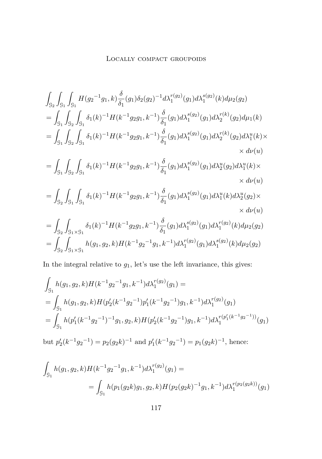$$
\int_{\mathcal{G}_{2}} \int_{\mathcal{G}_{1}} \int_{\mathcal{G}_{1}} H(g_{2}^{-1}g_{1}, k) \frac{\delta}{\delta_{1}}(g_{1}) \delta_{2}(g_{2})^{-1} d\lambda_{1}^{r(g_{2})}(g_{1}) d\lambda_{1}^{s(g_{2})}(k) d\mu_{2}(g_{2})
$$
\n
$$
= \int_{\mathcal{G}_{1}} \int_{\mathcal{G}_{2}} \int_{\mathcal{G}_{1}} \delta_{1}(k)^{-1} H(k^{-1}g_{2}g_{1}, k^{-1}) \frac{\delta}{\delta_{1}}(g_{1}) d\lambda_{1}^{s(g_{2})}(g_{1}) d\lambda_{2}^{r(k)}(g_{2}) d\mu_{1}(k)
$$
\n
$$
= \int_{\mathcal{G}_{1}} \int_{\mathcal{G}_{2}} \int_{\mathcal{G}_{1}} \delta_{1}(k)^{-1} H(k^{-1}g_{2}g_{1}, k^{-1}) \frac{\delta}{\delta_{1}}(g_{1}) d\lambda_{1}^{s(g_{2})}(g_{1}) d\lambda_{2}^{r(k)}(g_{2}) d\lambda_{1}^{u}(k) \times
$$
\n
$$
\times d\nu(u)
$$
\n
$$
= \int_{\mathcal{G}_{1}} \int_{\mathcal{G}_{2}} \int_{\mathcal{G}_{1}} \delta_{1}(k)^{-1} H(k^{-1}g_{2}g_{1}, k^{-1}) \frac{\delta}{\delta_{1}}(g_{1}) d\lambda_{1}^{s(g_{2})}(g_{1}) d\lambda_{2}^{u}(g_{2}) d\lambda_{1}^{u}(k) \times
$$
\n
$$
\times d\nu(u)
$$
\n
$$
= \int_{\mathcal{G}_{2}} \int_{\mathcal{G}_{1}} \int_{\mathcal{G}_{1}} \delta_{1}(k)^{-1} H(k^{-1}g_{2}g_{1}, k^{-1}) \frac{\delta}{\delta_{1}}(g_{1}) d\lambda_{1}^{s(g_{2})}(g_{1}) d\lambda_{1}^{u}(k) d\lambda_{2}^{u}(g_{2}) \times
$$
\n
$$
\times d\nu(u)
$$
\n
$$
= \int_{\mathcal{G}_{2}} \int_{\mathcal{G}_{1}} \delta_{1}(k)^{-1} H(k^{-1}g_{2}g_{1}, k^{-1}) \frac{\delta}{\delta_{1}}(g_{1}) d\lambda_{1}^{s(g_{
$$

In the integral relative to  $g_1$ , let's use the left invariance, this gives:

$$
\int_{\mathcal{G}_1} h(g_1, g_2, k) H(k^{-1}g_2^{-1}g_1, k^{-1}) d\lambda_1^{r(g_2)}(g_1) =
$$
\n
$$
= \int_{\mathcal{G}_1} h(g_1, g_2, k) H(p_2'(k^{-1}g_2^{-1})p_1'(k^{-1}g_2^{-1})g_1, k^{-1}) d\lambda_1^{r(g_2)}(g_1)
$$
\n
$$
= \int_{\mathcal{G}_1} h(p_1'(k^{-1}g_2^{-1})^{-1}g_1, g_2, k) H(p_2'(k^{-1}g_2^{-1})g_1, k^{-1}) d\lambda_1^{r(p_1'(k^{-1}g_2^{-1}))}(g_1)
$$

but  $p'_2(k^{-1}g_2^{-1}) = p_2(g_2k)^{-1}$  and  $p'_1(k^{-1}g_2^{-1}) = p_1(g_2k)^{-1}$ , hence:

$$
\int_{\mathcal{G}_1} h(g_1, g_2, k) H(k^{-1} g_2^{-1} g_1, k^{-1}) d\lambda_1^{r(g_2)}(g_1) =
$$
\n
$$
= \int_{\mathcal{G}_1} h(p_1(g_2 k) g_1, g_2, k) H(p_2(g_2 k)^{-1} g_1, k^{-1}) d\lambda_1^{r(p_2(g_2 k))}(g_1)
$$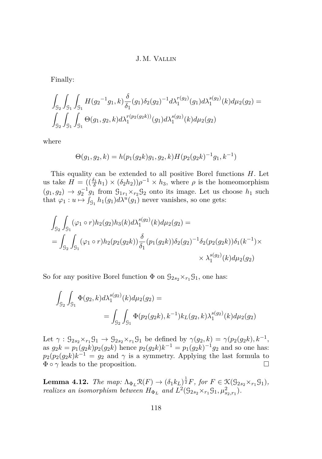Finally:

$$
\int_{\mathcal{G}_2} \int_{\mathcal{G}_1} \int_{\mathcal{G}_1} H(g_2^{-1}g_1, k) \frac{\delta}{\delta_1}(g_1) \delta_2(g_2)^{-1} d\lambda_1^{r(g_2)}(g_1) d\lambda_1^{s(g_2)}(k) d\mu_2(g_2) =
$$
  

$$
\int_{\mathcal{G}_2} \int_{\mathcal{G}_1} \int_{\mathcal{G}_1} \Theta(g_1, g_2, k) d\lambda_1^{r(g_2(g_2 k))}(g_1) d\lambda_1^{s(g_2)}(k) d\mu_2(g_2)
$$

where

$$
\Theta(g_1, g_2, k) = h(p_1(g_2 k) g_1, g_2, k) H(p_2(g_2 k)^{-1} g_1, k^{-1})
$$

This equality can be extended to all positive Borel functions *H*. Let us take  $H = \left( \left( \frac{\delta_1}{\delta} h_1 \right) \times (\delta_2 h_2) \right) \rho^{-1} \times h_3$ , where  $\rho$  is the homeomorphism  $(g_1, g_2) \rightarrow g_2^{-1} g_1$  from  $\mathcal{G}_{1r_1} \times_{r_2} \mathcal{G}_2$  onto its image. Let us choose  $h_1$  such that  $\varphi_1: u \mapsto \int_{\mathcal{G}_1} h_1(g_1) d\lambda^u(g_1)$  never vanishes, so one gets:

$$
\int_{\mathcal{G}_2} \int_{\mathcal{G}_1} (\varphi_1 \circ r) h_2(g_2) h_3(k) d\lambda_1^{s(g_2)}(k) d\mu_2(g_2) =
$$
\n
$$
= \int_{\mathcal{G}_2} \int_{\mathcal{G}_1} (\varphi_1 \circ r) h_2(p_2(g_2 k)) \frac{\delta}{\delta_1} (p_1(g_2 k)) \delta_2(g_2)^{-1} \delta_2(p_2(g_2 k)) \delta_1(k^{-1}) \times
$$
\n
$$
\times \lambda_1^{s(g_2)}(k) d\mu_2(g_2)
$$

So for any positive Borel function  $\Phi$  on  $\mathcal{G}_{2s_2} \times_{r_1} \mathcal{G}_1$ , one has:

$$
\int_{\mathcal{G}_2} \int_{\mathcal{G}_1} \Phi(g_2, k) d\lambda_1^{s(g_2)}(k) d\mu_2(g_2) =
$$
  
= 
$$
\int_{\mathcal{G}_2} \int_{\mathcal{G}_1} \Phi(p_2(g_2k), k^{-1}) k_L(g_2, k) \lambda_1^{s(g_2)}(k) d\mu_2(g_2)
$$

Let  $\gamma$  :  $\mathcal{G}_{2s_2} \times_{r_1} \mathcal{G}_1 \rightarrow \mathcal{G}_{2s_2} \times_{r_1} \mathcal{G}_1$  be defined by  $\gamma(g_2, k) = \gamma(p_2(g_2 k), k^{-1},$ as  $g_2k = p_1(g_2k)p_2(g_2k)$  hence  $p_2(g_2k)k^{-1} = p_1(g_2k)^{-1}g_2$  and so one has:  $p_2(p_2(g_2k)k^{-1} = g_2$  and  $\gamma$  is a symmetry. Applying the last formula to  $\Phi \circ \gamma$  leads to the proposition.

**Lemma 4.12.** *The map:*  $\Lambda_{\Phi_L} \mathfrak{R}(F) \to (\delta_1 k_L)^{\frac{1}{2}} F$ *, for*  $F \in \mathfrak{K}(\mathfrak{G}_{2s_2} \times_{r_1} \mathfrak{G}_1)$ *, realizes an isomorphism between*  $H_{\Phi_L}$  and  $L^2(\mathcal{G}_{2s_2} \times_{r_1} \mathcal{G}_1, \mu_{s_2,r_1}^2)$ .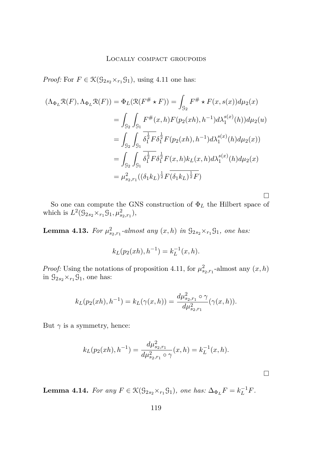<span id="page-39-0"></span>*Proof:* For  $F \in \mathcal{K}(\mathcal{G}_{2s_2} \times_{r_1} \mathcal{G}_1)$ , using [4.11](#page-36-0) one has:

$$
(\Lambda_{\Phi_L} \mathcal{R}(F), \Lambda_{\Phi_L} \mathcal{R}(F)) = \Phi_L(\mathcal{R}(F^{\#} \star F)) = \int_{\mathcal{G}_2} F^{\#} \star F(x, s(x)) d\mu_2(x)
$$
  
\n
$$
= \int_{\mathcal{G}_2} \int_{\mathcal{G}_1} F^{\#}(x, h) F(p_2(xh), h^{-1}) d\lambda_1^{s(x)}(h) d\mu_2(u)
$$
  
\n
$$
= \int_{\mathcal{G}_2} \int_{\mathcal{G}_1} \overline{\delta_1^{\frac{1}{2}} F \delta_1^{\frac{1}{2}} F(p_2(xh), h^{-1}) d\lambda_1^{s(x)}(h) d\mu_2(x)}
$$
  
\n
$$
= \int_{\mathcal{G}_2} \int_{\mathcal{G}_1} \overline{\delta_1^{\frac{1}{2}} F \delta_1^{\frac{1}{2}} F(x, h) k_L(x, h) d\lambda_1^{s(x)}(h) d\mu_2(x)}
$$
  
\n
$$
= \mu_{s_2, r_1}^2 ((\delta_1 k_L)^{\frac{1}{2}} F(\delta_1 k_L)^{\frac{1}{2}} F)
$$

So one can compute the GNS construction of Φ*<sup>L</sup>* the Hilbert space of which is  $L^2(\mathcal{G}_{2s_2} \times_{r_1} \mathcal{G}_1, \mu^2_{s_2, r_1}),$ 

**Lemma 4.13.** For  $\mu_{s_2, r_1}^2$ -almost any  $(x, h)$  in  $\mathcal{G}_{2s_2} \times_{r_1} \mathcal{G}_1$ , one has:

$$
k_L(p_2(xh), h^{-1}) = k_L^{-1}(x, h).
$$

*Proof:* Using the notations of proposition [4.11,](#page-36-0) for  $\mu_{s_2, r_1}^2$ -almost any  $(x, h)$ in  $\mathcal{G}_{2s_2} \times_{r_1} \mathcal{G}_1$ , one has:

$$
k_L(p_2(xh), h^{-1}) = k_L(\gamma(x, h)) = \frac{d\mu_{s_2, r_1}^2 \circ \gamma}{d\mu_{s_2, r_1}^2}(\gamma(x, h)).
$$

But  $\gamma$  is a symmetry, hence:

$$
k_L(p_2(xh), h^{-1}) = \frac{d\mu_{s_2, r_1}^2}{d\mu_{s_2, r_1}^2 \circ \gamma}(x, h) = k_L^{-1}(x, h).
$$

 $\Box$ 

**Lemma 4.14.** For any  $F \in \mathcal{K}(\mathcal{G}_{2s_2} \times_{r_1} \mathcal{G}_1)$ , one has:  $\Delta_{\Phi_L} F = k_L^{-1} F$ .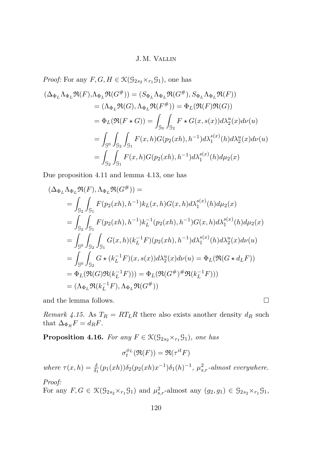<span id="page-40-0"></span>*Proof:* For any  $F, G, H \in \mathcal{K}(\mathcal{G}_{2s_2} \times_{r_1} \mathcal{G}_1)$ , one has

$$
(\Delta_{\Phi_L}\Lambda_{\Phi_L}\mathfrak{R}(F), \Lambda_{\Phi_L}\mathfrak{R}(G^{\#})) = (S_{\Phi_L}\Lambda_{\Phi_L}\mathfrak{R}(G^{\#}), S_{\Phi_L}\Lambda_{\Phi_L}\mathfrak{R}(F))
$$
  
\n
$$
= (\Lambda_{\Phi_L}\mathfrak{R}(G), \Lambda_{\Phi_L}\mathfrak{R}(F^{\#})) = \Phi_L(\mathfrak{R}(F)\mathfrak{R}(G))
$$
  
\n
$$
= \Phi_L(\mathfrak{R}(F \star G)) = \int_{\mathcal{G}_0} \int_{\mathcal{G}_2} F \star G(x, s(x)) d\lambda_2^u(x) d\nu(u)
$$
  
\n
$$
= \int_{\mathcal{G}^0} \int_{\mathcal{G}_2} \int_{\mathcal{G}_1} F(x, h)G(p_2(xh), h^{-1}) d\lambda_1^{s(x)}(h) d\lambda_2^u(x) d\nu(u)
$$
  
\n
$$
= \int_{\mathcal{G}_2} \int_{\mathcal{G}_1} F(x, h)G(p_2(xh), h^{-1}) d\lambda_1^{s(x)}(h) d\mu_2(x)
$$

Due proposition [4.11](#page-36-0) and lemma [4.13,](#page-39-0) one has

$$
(\Delta_{\Phi_L} \Lambda_{\Phi_L} \mathfrak{R}(F), \Lambda_{\Phi_L} \mathfrak{R}(G^{\#})) =
$$
  
\n
$$
= \int_{\mathcal{G}_2} \int_{\mathcal{G}_1} F(p_2(xh), h^{-1}) k_L(x, h) G(x, h) d\lambda_1^{s(x)}(h) d\mu_2(x)
$$
  
\n
$$
= \int_{\mathcal{G}_2} \int_{\mathcal{G}_1} F(p_2(xh), h^{-1}) k_L^{-1}(p_2(xh), h^{-1}) G(x, h) d\lambda_1^{s(x)}(h) d\mu_2(x)
$$
  
\n
$$
= \int_{\mathcal{G}^0} \int_{\mathcal{G}_2} \int_{\mathcal{G}_1} G(x, h) (k_L^{-1} F)(p_2(xh), h^{-1}) d\lambda_1^{s(x)}(h) d\lambda_2^u(x) d\nu(u)
$$
  
\n
$$
= \int_{\mathcal{G}^0} \int_{\mathcal{G}_2} G \star (k_L^{-1} F)(x, s(x)) d\lambda_2^u(x) d\nu(u) = \Phi_L(\mathfrak{R}(G \star d_L F))
$$
  
\n
$$
= \Phi_L(\mathfrak{R}(G) \mathfrak{R}(k_L^{-1} F))) = \Phi_L(\mathfrak{R}(G^{\#})^{\#} \mathfrak{R}(k_L^{-1} F)))
$$
  
\n
$$
= (\Lambda_{\Phi_L} \mathfrak{R}(k_L^{-1} F), \Lambda_{\Phi_L} \mathfrak{R}(G^{\#}))
$$

and the lemma follows.  $\hfill \square$ 

*Remark 4.15.* As  $T_R = RT_LR$  there also exists another density  $d_R$  such that  $\Delta_{\Phi_R} F = d_R F$ .

**Proposition 4.16.** *For any*  $F \in \mathcal{K}(\mathcal{G}_{2s_2} \times_{r_1} \mathcal{G}_1)$ *, one has* 

$$
\sigma_t^{\phi_L}(\Re(F)) = \Re(\tau^{it}F)
$$

 $where \tau(x, h) = \frac{\delta}{\delta_1}(p_1(xh))\delta_2(p_2(xh)x^{-1})\delta_1(h)^{-1}, \mu_{s,r}^2$ *-almost everywhere.* 

*Proof:*

For any  $F, G \in \mathcal{K}(\mathcal{G}_{2s_2} \times_{r_1} \mathcal{G}_1)$  and  $\mu_{s,r}^2$ -almost any  $(g_2, g_1) \in \mathcal{G}_{2s_2} \times_{r_1} \mathcal{G}_1$ ,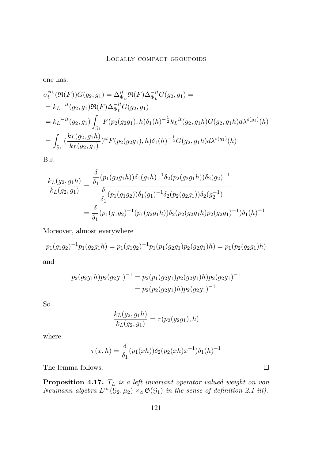one has:

$$
\sigma_t^{\phi_L}(\Re(F))G(g_2, g_1) = \Delta_{\Phi_L}^{it} \Re(F)\Delta_{\Phi_L}^{-it}G(g_2, g_1) =
$$
  
\n
$$
= k_L^{-it}(g_2, g_1)\Re(F)\Delta_{\Phi_L}^{-it}G(g_2, g_1)
$$
  
\n
$$
= k_L^{-it}(g_2, g_1) \int_{\mathcal{G}_1} F(p_2(g_2g_1), h)\delta_1(h)^{-\frac{1}{2}} k_L^{it}(g_2, g_1h)G(g_2, g_1h)d\lambda^{s(g_1)}(h)
$$
  
\n
$$
= \int_{\mathcal{G}_1} \left(\frac{k_L(g_2, g_1h)}{k_L(g_2, g_1)}\right)^{it} F(p_2(g_2g_1), h)\delta_1(h)^{-\frac{1}{2}}G(g_2, g_1h)d\lambda^{s(g_1)}(h)
$$

But

$$
\frac{k_L(g_2, g_1 h)}{k_L(g_2, g_1)} = \frac{\frac{\delta}{\delta_1}(p_1(g_2g_1 h))\delta_1(g_1 h)^{-1}\delta_2(p_2(g_2g_1 h))\delta_2(g_2)^{-1}}{\frac{\delta}{\delta_1}(p_1(g_1g_2))\delta_1(g_1)^{-1}\delta_2(p_2(g_2g_1))\delta_2(g_2^{-1})}
$$
  
=  $\frac{\delta}{\delta_1}(p_1(g_1g_2)^{-1}(p_1(g_2g_1 h))\delta_2(p_2(g_2g_1 h)p_2(g_2g_1)^{-1})\delta_1(h)^{-1}$ 

Moreover, almost everywhere

$$
p_1(g_1g_2)^{-1}p_1(g_2g_1h) = p_1(g_1g_2)^{-1}p_1(p_1(g_2g_1)p_2(g_2g_1)h) = p_1(p_2(g_2g_1)h)
$$

and

$$
p_2(g_2g_1h)p_2(g_2g_1)^{-1} = p_2(p_1(g_2g_1)p_2(g_2g_1)h)p_2(g_2g_1)^{-1}
$$
  
=  $p_2(p_2(g_2g_1)h)p_2(g_2g_1)^{-1}$ 

So

$$
\frac{k_L(g_2, g_1 h)}{k_L(g_2, g_1)} = \tau(p_2(g_2 g_1), h)
$$

where

$$
\tau(x,h) = \frac{\delta}{\delta_1}(p_1(xh))\delta_2(p_2(xh)x^{-1})\delta_1(h)^{-1}
$$

The lemma follows.  $\hfill \square$ 

**Proposition 4.17.** *T<sup>L</sup> is a left invariant operator valued weight on von Neumann algebra*  $L^{\infty}(\mathcal{G}_2, \mu_2) \rtimes_{\mathfrak{a}} \mathfrak{G}(\mathcal{G}_1)$  *in the sense of definition* [2.1](#page-4-0) *iii*).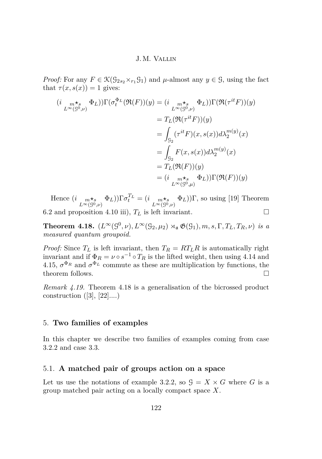<span id="page-42-0"></span>*Proof:* For any  $F \in \mathcal{K}(\mathcal{G}_{2s_2} \times_{r_1} \mathcal{G}_1)$  and  $\mu$ -almost any  $y \in \mathcal{G}$ , using the fact that  $\tau(x, s(x)) = 1$  gives:

$$
(i \underset{L^{\infty}(\mathcal{G}^{0},\nu)}{\underset{L^{\infty}(\mathcal{G}^{0},\nu)}{\ast}} \Phi_{L}))\Gamma(\sigma_{t}^{\Phi_{L}}(\mathfrak{R}(F))(y) = (i \underset{L^{\infty}(\mathcal{G}^{0},\nu)}{\underset{L^{\infty}(\mathcal{G}^{0},\nu)}{\ast}} \Phi_{L}))\Gamma(\mathfrak{R}(\tau^{it}F))(y)
$$
  
\n
$$
= T_{L}(\mathfrak{R}(\tau^{it}F))(y)
$$
  
\n
$$
= \int_{\mathcal{G}_{2}} (\tau^{it}F)(x,s(x))d\lambda_{2}^{m(y)}(x)
$$
  
\n
$$
= \int_{\mathcal{G}_{2}} F(x,s(x))d\lambda_{2}^{m(y)}(x)
$$
  
\n
$$
= T_{L}(\mathfrak{R}(F))(y)
$$
  
\n
$$
= (i \underset{L^{\infty}(\mathcal{G}^{0},\mu)}{\underset{L^{\infty}(\mathcal{G}^{0},\mu)}{\ast}} \Phi_{L}))\Gamma(\mathfrak{R}(F))(y)
$$

Hence  $(i \max_{L^{\infty}(\mathcal{G}^{0},\nu)} \Phi_L) \Gamma \sigma_t^{T_L} = (i \max_{L^{\infty}(\mathcal{G}^{0},\nu)} \Phi_L) \Gamma$ , so using [\[19\]](#page-52-0) Theorem 6.2 and proposition [4.10](#page-34-0) iii),  $T_L$  is left invariant.

**Theorem 4.18.**  $(L^{\infty}(\mathcal{G}^0, \nu), L^{\infty}(\mathcal{G}_2, \mu_2) \rtimes_{\mathfrak{a}} \mathfrak{G}(\mathcal{G}_1), m, s, \Gamma, T_L, T_R, \nu)$  *is a measured quantum groupoid.*

*Proof:* Since  $T_L$  is left invariant, then  $T_R = RT_LR$  is automatically right invariant and if  $\Phi_R = \nu \circ s^{-1} \circ T_R$  is the lifted weight, then using [4.14](#page-39-0) and [4.15,](#page-40-0)  $\sigma^{\Phi_R}$  and  $\sigma^{\Phi_L}$  commute as these are multiplication by functions, the theorem follows.  $\Box$ 

*Remark 4.19.* Theorem 4.18 is a generalisation of the bicrossed product construction  $([3], [22]...)$  $([3], [22]...)$  $([3], [22]...)$  $([3], [22]...)$  $([3], [22]...)$ 

## 5. **Two families of examples**

In this chapter we describe two families of examples coming from case [3.2.2](#page-16-0) and case [3.3.](#page-17-0)

### 5.1. **A matched pair of groups action on a space**

Let us use the notations of example [3.2.2,](#page-16-0) so  $\mathcal{G} = X \times G$  where *G* is a group matched pair acting on a locally compact space *X*.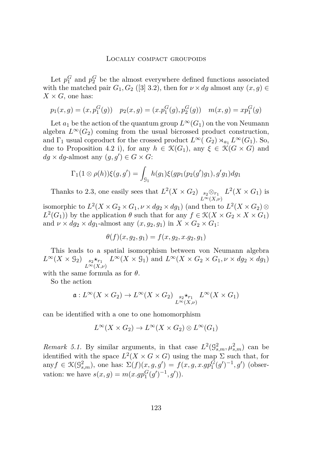<span id="page-43-0"></span>Let  $p_1^G$  and  $p_2^G$  be the almost everywhere defined functions associated with the matched pair  $G_1, G_2$  ([\[3\]](#page-51-0) 3.2), then for  $\nu \times dg$  almost any  $(x, g) \in$  $X \times G$ , one has:

$$
p_1(x,g) = (x, p_1^G(g))
$$
  $p_2(x,g) = (x. p_1^G(g), p_2^G(g))$   $m(x,g) = xp_1^G(g)$ 

Let  $a_1$  be the action of the quantum group  $L^{\infty}(G_1)$  on the von Neumann algebra  $L^{\infty}(G_2)$  coming from the usual bicrossed product construction, and  $\Gamma_1$  usual coproduct for the crossed product  $L^{\infty}(G_2) \rtimes_{a_1} L^{\infty}(G_1)$ . So, due to Proposition [4.2](#page-27-0) i), for any  $h \in \mathcal{K}(G_1)$ , any  $\xi \in \mathcal{K}(G \times G)$  and  $dg \times dg$ -almost any  $(g, g') \in G \times G$ :

$$
\Gamma_1(1\otimes\rho(h))\xi(g,g') = \int_{\mathcal{G}_1} h(g_1)\xi(gp_1(p_2(g')g_1),g'g_1)dg_1
$$

Thanks to [2.3,](#page-8-0) one easily sees that  $L^2(X \times G_2)$  *s*<sub>2</sub>⊗*r*<sub>1</sub>  $L^{\infty}(X,\nu)$  $L^2(X \times G_1)$  is

isomorphic to  $L^2(X \times G_2 \times G_1, \nu \times dg_2 \times dg_1)$  (and then to  $L^2(X \times G_2)$ )  $L^2(G_1)$ ) by the application  $\theta$  such that for any  $f \in \mathcal{K}(X \times G_2 \times X \times G_1)$ and  $\nu \times dg_2 \times dg_1$ -almost any  $(x, g_2, g_1)$  in  $X \times G_2 \times G_1$ :

$$
\theta(f)(x, g_2, g_1) = f(x, g_2, x.g_2, g_1)
$$

This leads to a spatial isomorphism between von Neumann algebra  $L^{\infty}(X \times \mathcal{G}_2)$   $s_2 \star_{r_1}$ *L*∞(*X,ν*)  $L^{\infty}(X \times \mathcal{G}_1)$  and  $L^{\infty}(X \times G_2 \times G_1, \nu \times dg_2 \times dg_1)$ 

with the same formula as for *θ*.

So the action

$$
\mathfrak{a}: L^{\infty}(X \times G_2) \to L^{\infty}(X \times G_2) \xrightarrow[L^{\infty}(X, \nu)]{} L^{\infty}(X \times G_1)
$$

can be identified with a one to one homomorphism

$$
L^{\infty}(X \times G_2) \to L^{\infty}(X \times G_2) \otimes L^{\infty}(G_1)
$$

*Remark 5.1.* By similar arguments, in that case  $L^2(\mathcal{G}_{s,m}^2, \mu_{s,m}^2)$  can be identified with the space  $L^2(X \times G \times G)$  using the map  $\Sigma$  such that, for any $f \in \mathcal{K}(\mathcal{G}_{s,m}^2)$ , one has:  $\Sigma(f)(x, g, g') = f(x, g, x.gp_1^G(g')^{-1}, g')$  (observation: we have  $s(x, g) = m(x \cdot gp_1^G(g')^{-1}, g')$ .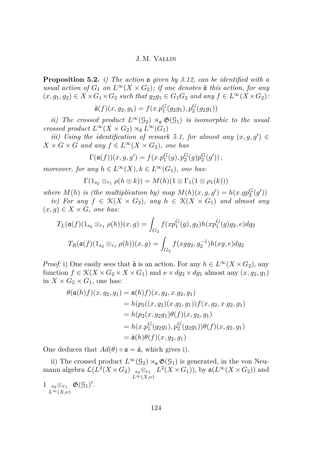<span id="page-44-0"></span>**Proposition 5.2.** *i) The action* a *given by [3.12,](#page-21-0) can be identified with a usual action of*  $G_1$  *on*  $L^\infty(X \times G_2)$ *; if one denotes*  $\tilde{a}$  *this action, for any*  $(x, g_1, g_2) \in X \times G_1 \times G_2$  *such that*  $g_2g_1 \in G_1G_2$  *and any*  $f \in L^{\infty}(X \times G_2)$ *:* 

$$
\tilde{\mathfrak{a}}(f)(x, g_2, g_1) = f(x \cdot p_1^G(g_2 g_1), p_2^G(g_2 g_1))
$$

*ii)* The crossed product  $L^{\infty}(\mathcal{G}_2) \rtimes_{\mathfrak{a}} \mathfrak{G}(\mathcal{G}_1)$  *is isomorphic to the usual crossed product*  $L^{\infty}(X \times G_2) \rtimes_{\tilde{a}} L^{\infty}(G_1)$ 

*iii)* Using the identification of remark [5.1,](#page-43-0) for almost any  $(x, g, g') \in$  $X \times G \times G$  *and any*  $f \in L^{\infty}(X \times G_2)$ *, one has* 

$$
\Gamma(\mathfrak{a}(f))(x,g,g') = f(x.p_1^G(g), p_2^G(g)p_2^G(g'))\,;
$$

*moreover, for any*  $h \in L^{\infty}(X)$ ,  $k \in L^{\infty}(G_1)$ *, one has:* 

$$
\Gamma(1_{s_2} \otimes_{r_1} \rho(h \otimes k)) = M(h)(1 \otimes \Gamma_1(1 \otimes \rho_1(k)))
$$

*where*  $M(h)$  *is (the multiplication by) map*  $M(h)(x, g, g') = h(x.gp_2^G(g'))$ *iv)* For any  $f \in \mathcal{K}(X \times G_2)$ , any  $h \in \mathcal{K}(X \times G_1)$  and almost any

 $(x, g) \in X \times G$ , one has:

$$
T_L(\mathfrak{a}(f)(1_{s_2} \otimes_{r_1} \rho(h))(x, g) = \int_{G_2} f(x p_1^G(g), g_2) h(x p_1^G(g) g_2, e) dg_2
$$

$$
T_R(\mathfrak{a}(f)(1_{s_2} \otimes_{r_1} \rho(h))(x, g) = \int_{G_2} f(x g g_2, g_2^{-1}) h(x g, e) dg_2
$$

*Proof:* i) One easily sees that  $\tilde{a}$  is an action. For any  $h \in L^{\infty}(X \times G_2)$ , any function  $f \in \mathcal{K}(X \times G_2 \times X \times G_1)$  and  $\nu \times dg_2 \times dg_1$  almost any  $(x, g_2, g_1)$ in  $X \times G_2 \times G_1$ , one has:

$$
\theta(\mathfrak{a}(h)f)(x, g_2, g_1) = \mathfrak{a}(h)f)(x, g_2, x.g_2, g_1)
$$
  
\n
$$
= h(p_2((x, g_2)(x.g_2, g_1))f(x, g_2, x.g_2, g_1)
$$
  
\n
$$
= h(p_2(x, g_2g_1)\theta(f)(x, g_2, g_1)
$$
  
\n
$$
= h(x.p_1^G(g_2g_1), p_2^G(g_2g_1))\theta(f)(x, g_2, g_1)
$$
  
\n
$$
= \tilde{\mathfrak{a}}(h)\theta(f)(x, g_2, g_1)
$$

One deduces that  $Ad(\theta) \circ \mathfrak{a} = \tilde{\mathfrak{a}}$ , which gives i).

ii) The crossed product  $L^{\infty}(\mathcal{G}_2) \rtimes_{\mathfrak{a}} \mathfrak{G}(\mathcal{G}_1)$  is generated, in the von Neumann algebra  $\mathcal{L}(L^2(X \times G_2)$ <sub>s2</sub>⊗<sub>*r*1</sub></sub>  $L^{\infty}(X,\nu)$  $L^2(X \times G_1)$ , by  $\mathfrak{a}(L^{\infty}(X \times G_2))$  and

1 *<sup>s</sup>*2⊗*r*<sup>1</sup> *L*∞(*X,ν*)  $\mathfrak{G}(\mathfrak{G}_1)'$ .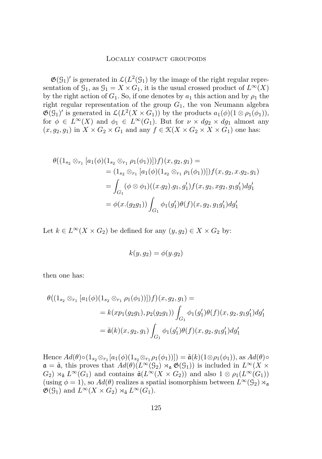$\mathfrak{G}(G_1)'$  is generated in  $\mathcal{L}(L^2(G_1))$  by the image of the right regular representation of  $\mathcal{G}_1$ , as  $\mathcal{G}_1 = X \times G_1$ , it is the usual crossed product of  $L^{\infty}(X)$ by the right action of  $G_1$ . So, if one denotes by  $a_1$  this action and by  $\rho_1$  the right regular representation of the group  $G_1$ , the von Neumann algebra  $\mathfrak{G}(\mathcal{G}_1)'$  is generated in  $\mathcal{L}(L^2(X \times G_1))$  by the products  $a_1(\phi)(1 \otimes \rho_1(\phi_1)),$ for  $\phi \in L^{\infty}(X)$  and  $\phi_1 \in L^{\infty}(G_1)$ . But for  $\nu \times dg_2 \times dg_1$  almost any  $(x, g_2, g_1)$  in  $X \times G_2 \times G_1$  and any  $f \in \mathcal{K}(X \times G_2 \times X \times G_1)$  one has:

$$
\theta((1_{s_2} \otimes_{r_1} [a_1(\phi)(1_{s_2} \otimes_{r_1} \rho_1(\phi_1))])f)(x, g_2, g_1) =
$$
  
\n
$$
= (1_{s_2} \otimes_{r_1} [a_1(\phi)(1_{s_2} \otimes_{r_1} \rho_1(\phi_1))])f(x, g_2, x.g_2, g_1)
$$
  
\n
$$
= \int_{G_1} (\phi \otimes \phi_1)((x.g_2).g_1, g'_1) f(x, g_2, xg_2, g_1g'_1) dg'_1
$$
  
\n
$$
= \phi(x.(g_2g_1)) \int_{G_1} \phi_1(g'_1)\theta(f)(x, g_2, g_1g'_1) dg'_1
$$

Let  $k \in L^{\infty}(X \times G_2)$  be defined for any  $(y, g_2) \in X \times G_2$  by:

$$
k(y, g_2) = \phi(y. g_2)
$$

then one has:

$$
\theta((1_{s_2} \otimes_{r_1} [a_1(\phi)(1_{s_2} \otimes_{r_1} \rho_1(\phi_1))])f)(x, g_2, g_1) =
$$
  
=  $k(xp_1(g_2g_1), p_2(g_2g_1)) \int_{G_1} \phi_1(g'_1)\theta(f)(x, g_2, g_1g'_1)dg'_1$   
=  $\tilde{\mathfrak{a}}(k)(x, g_2, g_1) \int_{G_1} \phi_1(g'_1)\theta(f)(x, g_2, g_1g'_1)dg'_1$ 

Hence  $Ad(\theta) \circ (1_{s_2} \otimes_{r_1} [a_1(\phi)(1_{s_2} \otimes_{r_1} \rho_1(\phi_1))]) = \tilde{a}(k)(1 \otimes \rho_1(\phi_1)),$  as  $Ad(\theta) \circ$  $\mathfrak{a} = \tilde{\mathfrak{a}}$ , this proves that  $Ad(\theta)(L^{\infty}(\mathcal{G}_2) \rtimes_{\mathfrak{a}} \mathfrak{G}(\mathcal{G}_1))$  is included in  $L^{\infty}(X \times$  $G_2$ )  $\rtimes$   $\tilde{a}$  *L*<sup>∞</sup>( $G_1$ ) and contains  $\tilde{a}(L^\infty(X \times G_2))$  and also  $1 \otimes \rho_1(L^\infty(G_1))$ (using  $\phi = 1$ ), so  $Ad(\theta)$  realizes a spatial isomorphism between  $L^{\infty}(\mathcal{G}_2) \rtimes_{\mathfrak{a}}$  $\mathfrak{G}(G_1)$  and  $L^{\infty}(X \times G_2) \rtimes_{\tilde{\mathfrak{a}}} L^{\infty}(G_1)$ .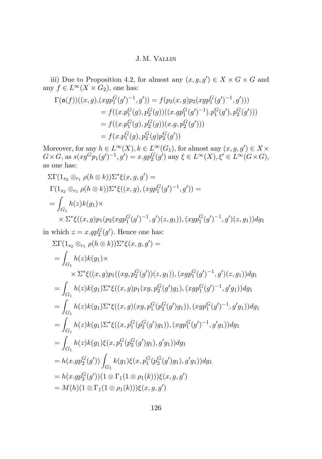iii) Due to Proposition [4.2,](#page-27-0) for almost any  $(x, g, g') \in X \times G \times G$  and any  $f \in L^{\infty}(X \times G_2)$ , one has:

$$
\Gamma(\mathfrak{a}(f))((x,g),(xgp_1^G(g')^{-1},g')) = f(p_2(x,g)p_2(xgp_1^G(g')^{-1},g')))
$$
  
=  $f((x.p_1^G(g),p_2^G(g))((x.gp_1^G(g')^{-1}).p_1^G(g'),p_2^G(g')))$   
=  $f((x.p_1^G(g),p_2^G(g))(x.g,p_2^G(g')))$   
=  $f(x.p_1^G(g),p_2^G(g)p_2^G(g'))$ 

Moreover, for any  $h \in L^{\infty}(X)$ ,  $k \in L^{\infty}(G_1)$ , for almost any  $(x, g, g') \in X \times$  $G \times G$ , as  $s(xg^Gp_1(g')^{-1}, g') = x.gp_2^G(g')$  any  $\xi \in L^\infty(X), \xi' \in L^\infty(G \times G)$ , as one has:

$$
\Sigma \Gamma(1_{s_2} \otimes_{r_1} \rho(h \otimes k)) \Sigma^* \xi(x, g, g') =
$$
  
\n
$$
\Gamma(1_{s_2} \otimes_{r_1} \rho(h \otimes k)) \Sigma^* \xi((x, g), (xgp_1^G(g')^{-1}, g')) =
$$
  
\n
$$
= \int_{G_1} h(z)k(g_1) \times
$$
  
\n
$$
\times \Sigma^* \xi((x, g)p_1(p_2(xgp_1^G(g')^{-1}, g')(z, g_1)), (xgp_1^G(g')^{-1}, g')(z, g_1)) dg_1
$$

in which  $z = x.gp_2^G(g')$ . Hence one has:

$$
\Sigma\Gamma(1_{s_2} \otimes_{r_1} \rho(h \otimes k))\Sigma^*\xi(x, g, g') =
$$
\n
$$
= \int_{G_1} h(z)k(g_1) \times
$$
\n
$$
\times \Sigma^*\xi((x, g)p_1((xg, p_2^G(g'))(z, g_1)), (xgp_1^G(g')^{-1}, g')(z, g_1))dg_1
$$
\n
$$
= \int_{G_1} h(z)k(g_1)\Sigma^*\xi((x, g)p_1(xg, p_2^G(g')g_1), (xgp_1^G(g')^{-1}, g'g_1))dg_1
$$
\n
$$
= \int_{G_1} h(z)k(g_1)\Sigma^*\xi((x, g)(xg, p_1^G(p_2^G(g')g_1)), (xgp_1^G(g')^{-1}, g'g_1))dg_1
$$
\n
$$
= \int_{G_1} h(z)k(g_1)\Sigma^*\xi((x, p_1^G(p_2^G(g')g_1)), (xgp_1^G(g')^{-1}, g'g_1))dg_1
$$
\n
$$
= \int_{G_1} h(z)k(g_1)\xi(x, p_1^G(p_2^G(g')g_1), g'g_1))dg_1
$$
\n
$$
= h(x.gp_2^G(g')) \int_{G_1} k(g_1)\xi(x, p_1^G(p_2^G(g')g_1), g'g_1))dg_1
$$
\n
$$
= h(x.gp_2^G(g'))(1 \otimes \Gamma_1(1 \otimes \rho_1(k)))\xi(x, g, g')
$$
\n
$$
= M(h)(1 \otimes \Gamma_1(1 \otimes \rho_1(k)))\xi(x, g, g')
$$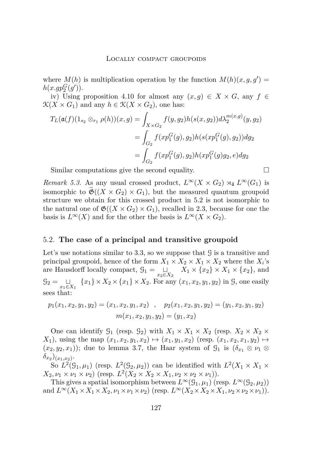<span id="page-47-0"></span>where  $M(h)$  is multiplication operation by the function  $M(h)(x, g, g') =$  $h(x.gp_2^G(g'))$ .

iv) Using proposition [4.10](#page-34-0) for almost any  $(x, g) \in X \times G$ , any  $f \in$  $\mathcal{K}(X \times G_1)$  and any  $h \in \mathcal{K}(X \times G_2)$ , one has:

$$
T_L(\mathfrak{a}(f)(1_{s_2} \otimes_{r_1} \rho(h))(x, g) = \int_{X \times G_2} f(y, g_2) h(s(x, g_2)) d\lambda_2^{m(x, g)}(y, g_2)
$$
  
= 
$$
\int_{G_2} f(x p_1^G(g), g_2) h(s(x p_1^G(g), g_2)) dg_2
$$
  
= 
$$
\int_{G_2} f(x p_1^G(g), g_2) h(x p_1^G(g) g_2, e) dg_2
$$

Similar computations give the second equality.

*Remark 5.3.* As any usual crossed product,  $L^{\infty}(X \times G_2) \rtimes_{\tilde{a}} L^{\infty}(G_1)$  is isomorphic to  $\mathfrak{G}((X \times G_2) \times G_1)$ , but the measured quantum groupoid structure we obtain for this crossed product in [5.2](#page-44-0) is not isomorphic to the natural one of  $\mathfrak{G}((X \times G_2) \times G_1)$ , recalled in [2.3,](#page-8-0) because for one the basis is  $L^{\infty}(X)$  and for the other the basis is  $L^{\infty}(X \times G_2)$ .

## 5.2. **The case of a principal and transitive groupoid**

Let's use notations similar to [3.3,](#page-17-0) so we suppose that  $\mathcal G$  is a transitive and principal groupoid, hence of the form  $X_1 \times X_2 \times X_1 \times X_2$  where the  $X_i$ 's are Hausdorff locally compact,  $\mathcal{G}_1 = \bigcup_{x_2 \in X_2} X_1 \times \{x_2\} \times X_1 \times \{x_2\}$ , and  $G_2 = \bigcup_{x_1 \in X_1} \{x_1\} \times X_2 \times \{x_1\} \times X_2$ . For any  $(x_1, x_2, y_1, y_2)$  in G, one easily sees that:

$$
p_1(x_1, x_2, y_1, y_2) = (x_1, x_2, y_1, x_2) , p_2(x_1, x_2, y_1, y_2) = (y_1, x_2, y_1, y_2) m(x_1, x_2, y_1, y_2) = (y_1, x_2)
$$

One can identify  $\mathcal{G}_1$  (resp.  $\mathcal{G}_2$ ) with  $X_1 \times X_1 \times X_2$  (resp.  $X_2 \times X_2 \times X_1$ *X*<sub>1</sub>), using the map  $(x_1, x_2, y_1, x_2)$   $\mapsto$   $(x_1, y_1, x_2)$  (resp.  $(x_1, x_2, x_1, y_2)$   $\mapsto$  $(x_2, y_2, x_1)$ ; due to lemma [3.7,](#page-18-0) the Haar system of  $\mathcal{G}_1$  is  $(\delta_{x_1} \otimes \nu_1 \otimes \mathcal{G}_2)$  $\delta_{x_2}(x_1,x_2)$ .

So  $L^2(\mathcal{G}_1, \mu_1)$  (resp.  $L^2(\mathcal{G}_2, \mu_2)$ ) can be identified with  $L^2(X_1 \times X_1 \times$  $X_2, \nu_1 \times \nu_1 \times \nu_2$  (resp.  $L^2(X_2 \times X_2 \times X_1, \nu_2 \times \nu_2 \times \nu_1)$ ).

This gives a spatial isomorphism between  $L^{\infty}(\mathcal{G}_1, \mu_1)$  (resp.  $L^{\infty}(\mathcal{G}_2, \mu_2)$ ) and  $L^{\infty}(X_1 \times X_1 \times X_2, \nu_1 \times \nu_1 \times \nu_2)$  (resp.  $L^{\infty}(X_2 \times X_2 \times X_1, \nu_2 \times \nu_2 \times \nu_1)$ ).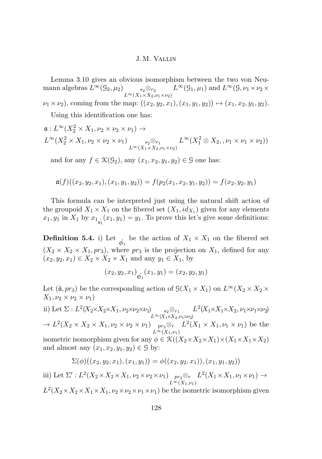Lemma [3.10](#page-20-0) gives an obvious isomorphism between the two von Neumann algebras  $L^{\infty}(\mathcal{G}_2, \mu_2)$  *s*<sub>2</sub>⊗<sub>*r*<sub>2</sub></sub>  $L^{\infty}(X_1 \times X_2, \nu_1 \times \nu_2)$  $L^{\infty}(\mathcal{G}_1, \mu_1)$  and  $L^{\infty}(\mathcal{G}, \nu_1 \times \nu_2 \times$  $\nu_1 \times \nu_2$ , coming from the map:  $((x_2, y_2, x_1), (x_1, y_1, y_2)) \mapsto (x_1, x_2, y_1, y_2)$ .

Using this identification one has:

$$
\mathfrak{a}: L^{\infty}(X_2^2 \times X_1, \nu_2 \times \nu_2 \times \nu_1) \to
$$
  

$$
L^{\infty}(X_2^2 \times X_1, \nu_2 \times \nu_2 \times \nu_1) \underset{L^{\infty}(X_1 \times X_2, \nu_1 \times \nu_2)}{\longrightarrow} L^{\infty}(X_1^2 \otimes X_2, \nu_1 \times \nu_1 \times \nu_2))
$$

and for any  $f \in \mathcal{K}(\mathcal{G}_2)$ , any  $(x_1, x_2, y_1, y_2) \in \mathcal{G}$  one has:

$$
\mathfrak{a}(f)((x_2,y_2,x_1),(x_1,y_1,y_2))=f(p_2(x_1,x_2,y_1,y_2))=f(x_2,y_2,y_1)
$$

This formula can be interpreted just using the natural shift action of the groupoid  $X_1 \times X_1$  on the fibered set  $(X_1, id_{X_1})$  given for any elements  $x_1, y_1$  in  $X_1$  by  $x_1_{\xi_1}(x_1, y_1) = y_1$ . To prove this let's give some definitions:

**Definition 5.4.** i) Let  $\underset{\mathfrak{S}_1}{\cdot}$  be the action of  $X_1 \times X_1$  on the fibered set  $(X_2 \times X_2 \times X_1, pr_3)$ , where  $pr_3$  is the projection on  $X_1$ , defined for any  $(x_2, y_2, x_1) \in X_2 \times X_2 \times X_1$  and any  $y_1 \in X_1$ , by

$$
(x_2, y_2, x_1)
$$
 <sub>$\dot{\mathfrak{S}}_1$</sub>  $(x_1, y_1) = (x_2, y_2, y_1)$ 

Let  $(\tilde{a}, pr_3)$  be the corresponding action of  $\mathcal{G}(X_1 \times X_1)$  on  $L^{\infty}(X_2 \times X_2 \times Y_1)$  $X_1, \nu_2 \times \nu_2 \times \nu_1$ 

ii) Let  $\Sigma: L^2(X_2 \times X_2 \times X_1, \nu_2 \times \nu_2 \times \nu_1)$  *s*<sub>2</sub>⊗<sub>*r*<sub>1</sub></sub>  $L^{\infty}(X_1 \times X_2, \nu_1 \times \nu_2)$  $L^2(X_1 \times X_1 \times X_2, \nu_1 \times \nu_1 \times \nu_2)$  $\rightarrow L^2(X_2 \times X_2 \times X_1, \nu_2 \times \nu_2 \times \nu_1)$   $_{pr_3\otimes r}$  $L^{\infty}(X_1,\nu_1)$  $L^2(X_1 \times X_1, \nu_1 \times \nu_1)$  be the isometric isomorphism given for any  $\phi \in \mathcal{K}((X_2 \times X_2 \times X_1) \times (X_1 \times X_1 \times X_2)$ and almost any  $(x_1, x_2, y_1, y_2) \in \mathcal{G}$  by:

$$
\Sigma(\phi)((x_2, y_2, x_1), (x_1, y_1)) = \phi((x_2, y_2, x_1)), (x_1, y_1, y_2))
$$

iii) Let 
$$
\Sigma': L^2(X_2 \times X_2 \times X_1, \nu_2 \times \nu_2 \times \nu_1) \underset{L^{\infty}(X_1,\nu_1)}{\underset{p r_3 \otimes r}{\text{pr}}} L^2(X_1 \times X_1, \nu_1 \times \nu_1) \to
$$

 $L^2(X_2 \times X_2 \times X_1 \times X_1, \nu_2 \times \nu_2 \times \nu_1 \times \nu_1)$  be the isometric isomorphism given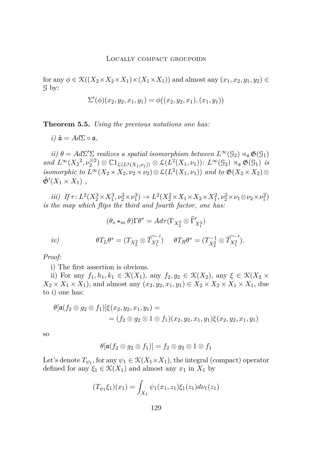for any  $\phi \in \mathcal{K}((X_2 \times X_2 \times X_1) \times (X_1 \times X_1))$  and almost any  $(x_1, x_2, y_1, y_2) \in$ G by:

$$
\Sigma'(\phi)(x_2, y_2, x_1, y_1) = \phi((x_2, y_2, x_1), (x_1, y_1))
$$

**Theorem 5.5.** *Using the previous notations one has:*

 $i) \tilde{a} = Ad\Sigma \circ \mathfrak{a},$ 

*ii*)  $\theta = Ad\Sigma' \Sigma$  *realizes a spatial isomorphism between*  $L^{\infty}(\mathcal{G}_2) \rtimes_{\mathfrak{a}} \mathfrak{G}(\mathcal{G}_1)$  $and L^{\infty}(X_2^2, \nu_2^{\otimes 2}) \otimes \mathbb{C}1_{\mathcal{L}(L^2(X_1,\nu_1))} \otimes \mathcal{L}(L^2(X_1,\nu_1))$ :  $L^{\infty}(\mathcal{G}_2) \rtimes_{\mathfrak{a}} \mathfrak{G}(\mathcal{G}_1)$  *is isomorphic to*  $L^{\infty}(X_2 \times X_2, \nu_2 \times \nu_2) \otimes \mathcal{L}(L^2(X_1, \nu_1))$  *and to*  $\mathfrak{G}(X_2 \times X_2) \otimes$  $\hat{\mathfrak{G}}'(X_1 \times X_1)$ ,

*iii*) *If*  $\tau$ :  $L^2(X_2^3 \times X_1^3, \nu_2^3 \times \nu_1^3) \to L^2(X_2^2 \times X_1 \times X_2 \times X_1^2, \nu_2^2 \times \nu_1 \otimes \nu_2 \times \nu_1^2)$ *is the map which flips the third and fourth factor, one has:*

$$
(\theta_s \star_m \theta) \Gamma \theta^* = A d\tau (\Gamma_{X_2^2} \otimes \widehat{\Gamma}'_{X_1^2})
$$
  
iv) 
$$
\theta T_L \theta^* = (T_{X_2^2} \otimes \widehat{T_{X_1^2}}') \qquad \theta T_R \theta^* = (T_{X_2^2}^{-1} \otimes \widehat{T_{X_1^2}}').
$$

*Proof:*

i) The first assertion is obvious.

ii) For any  $f_1, h_1, k_1 \in \mathcal{K}(X_1)$ , any  $f_2, g_2 \in \mathcal{K}(X_2)$ , any  $\xi \in \mathcal{K}(X_2 \times$  $X_2 \times X_1 \times X_1$ , and almost any  $(x_2, y_2, x_1, y_1) \in X_2 \times X_2 \times X_1 \times X_1$ , due to i) one has:

$$
\theta[\mathfrak{a}(f_2 \otimes g_2 \otimes f_1)]\xi(x_2, y_2, x_1, y_1) ==(f_2 \otimes g_2 \otimes 1 \otimes f_1)(x_2, y_2, x_1, y_1)\xi(x_2, y_2, x_1, y_1)
$$

so

$$
\theta[\mathfrak{a}(f_2 \otimes g_2 \otimes f_1)] = f_2 \otimes g_2 \otimes 1 \otimes f_1
$$

Let's denote  $T_{\psi_1}$ , for any  $\psi_1 \in \mathcal{K}(X_1 \times X_1)$ , the integral (compact) operator defined for any  $\xi_1 \in \mathcal{K}(X_1)$  and almost any  $x_1$  in  $X_1$  by

$$
(T_{\psi_1}\xi_1)(x_1) = \int_{X_1} \psi_1(x_1, z_1)\xi_1(z_1) d\nu_1(z_1)
$$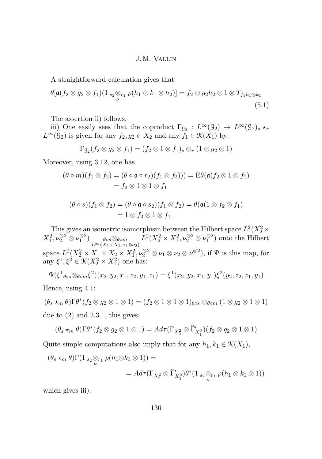A straightforward calculation gives that

$$
\theta[\mathfrak{a}(f_2 \otimes g_2 \otimes f_1)(1_{s_2} \otimes_{r_1} \rho(h_1 \otimes k_1 \otimes h_2)] = f_2 \otimes g_2 h_2 \otimes 1 \otimes T_{f_1 h_1 \otimes k_1}
$$
\n(5.1)

The assertion ii) follows.

iii) One easily sees that the coproduct  $\Gamma_{\mathcal{G}_2}: L^{\infty}(\mathcal{G}_2) \to L^{\infty}(\mathcal{G}_2)$ <sub>*s*  $\star$ *r*</sub>  $L^{\infty}(\mathcal{G}_2)$  is given for any  $f_2, g_2 \in X_2$  and any  $f_1 \in \mathcal{K}(X_1)$  by:

$$
\Gamma_{\mathcal{G}_2}(f_2 \otimes g_2 \otimes f_1) = (f_2 \otimes 1 \otimes f_1)_s \otimes_r (1 \otimes g_2 \otimes 1)
$$

Moreover, using [3.12,](#page-21-0) one has

$$
(\theta \circ m)(f_1 \otimes f_2) = (\theta \circ \mathfrak{a} \circ r_2)(f_1 \otimes f_2)) = \mathbb{E}\theta(\mathfrak{a}(f_2 \otimes 1 \otimes f_1)
$$
  
=  $f_2 \otimes 1 \otimes 1 \otimes f_1$ 

$$
(\theta \circ s)(f_1 \otimes f_2) = (\theta \circ \mathfrak{a} \circ s_2)(f_1 \otimes f_2) = \theta(\mathfrak{a}(1 \otimes f_2 \otimes f_1))
$$
  
= 1 \otimes f\_2 \otimes 1 \otimes f\_1

This gives an isometric isomorphism between the Hilbert space  $L^2(X_2^2 \times$  $X_1^2, \nu_2^{\otimes 2} \otimes \nu_1^{\otimes 2}$ )  $\theta \circ s \otimes \theta \circ m$  $L^{\infty}(X_1 \times X_2, \nu_1 \otimes \nu_2)$  $L^2(X_2^2 \times X_1^2, \nu_2^{\otimes 2} \otimes \nu_1^{\otimes 2})$  onto the Hilbert space  $L^2(X_2^2 \times X_1 \times X_2 \times X_1^2, \nu_2^{\otimes 2} \otimes \nu_1 \otimes \nu_2 \otimes \nu_1^{\otimes 2})$ , if  $\Psi$  is this map, for any  $\xi^1, \xi^2 \in \mathcal{K}(X_2^2 \times X_1^2)$  one has:

$$
\Psi(\xi^1{}_{\theta \circ s} \otimes_{\theta \circ m} \xi^2)(x_2, y_2, x_1, z_2, y_1, z_1) = \xi^1(x_2, y_2, x_1, y_1)\xi^2(y_2, z_2, z_1, y_1)
$$

Hence, using [4.1:](#page-27-0)

 $(\theta_s \star_m \theta) \Gamma \theta^* (f_2 \otimes g_2 \otimes 1 \otimes 1) = (f_2 \otimes 1 \otimes 1 \otimes 1)_{\theta \circ s} \otimes_{\theta \circ m} (1 \otimes g_2 \otimes 1 \otimes 1)$ due to (2) and [2.3.1,](#page-10-0) this gives:

$$
(\theta_s \star_m \theta) \Gamma \theta^*(f_2 \otimes g_2 \otimes 1 \otimes 1) = Ad_{\tau}(\Gamma_{X_2^2} \otimes \widehat{\Gamma}'_{X_1^2})(f_2 \otimes g_2 \otimes 1 \otimes 1)
$$

Quite simple computations also imply that for any  $h_1, k_1 \in \mathcal{K}(X_1)$ ,

$$
(\theta_s \star_m \theta) \Gamma(1_{s_2} \otimes_{r_1} \rho(h_1 \otimes k_1 \otimes 1)) =
$$
  
=  $Ad\tau(\Gamma_{X_2^2} \otimes \widehat{\Gamma}'_{X_1^2}) \theta^*(1_{s_2} \otimes_{r_1} \rho(h_1 \otimes k_1 \otimes 1))$ 

which gives iii).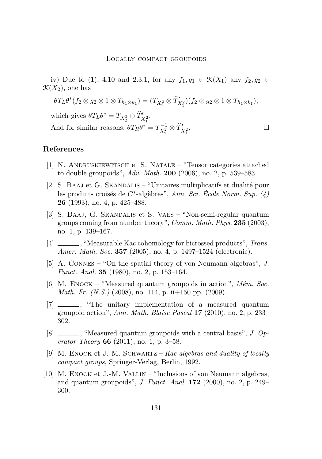<span id="page-51-0"></span>iv) Due to (1), [4.10](#page-34-0) and [2.3.1,](#page-10-0) for any  $f_1, g_1 \in \mathcal{K}(X_1)$  any  $f_2, g_2 \in$  $\mathcal{K}(X_2)$ , one has

$$
\theta T_L \theta^*(f_2 \otimes g_2 \otimes 1 \otimes T_{h_1 \otimes k_1}) = (T_{X_2^2} \otimes \widehat{T}'_{X_1^2})(f_2 \otimes g_2 \otimes 1 \otimes T_{h_1 \otimes k_1}),
$$

which gives  $\theta T_L \theta^* = T_{X_2^2} \otimes \hat{T}'_{X_1^2}$ . And for similar reasons:  $\theta T_R \theta^* = T_{X_2^2}^{-1} \otimes \hat{T}'_{X_1^2}$ .

## **References**

- [1] N. Andruskiewitsch et S. Natale "Tensor categories attached to double groupoids", *Adv. Math.* **200** (2006), no. 2, p. 539–583.
- [2] S. BAAJ et G. SKANDALIS "Unitaires multiplicatifs et dualité pour les produits croisés de *C* ∗ -algèbres", *Ann. Sci. École Norm. Sup. (4)* **26** (1993), no. 4, p. 425–488.
- [3] S. Baaj, G. Skandalis et S. Vaes "Non-semi-regular quantum groups coming from number theory", *Comm. Math. Phys.* **235** (2003), no. 1, p. 139–167.
- [4] , "Measurable Kac cohomology for bicrossed products", *Trans. Amer. Math. Soc.* **357** (2005), no. 4, p. 1497–1524 (electronic).
- [5] A. Connes "On the spatial theory of von Neumann algebras", *J. Funct. Anal.* **35** (1980), no. 2, p. 153–164.
- [6] M. Enock "Measured quantum groupoids in action", *Mém. Soc. Math. Fr. (N.S.)* (2008), no. 114, p. ii+150 pp. (2009).
- [7]  $\frac{1}{\sqrt{2}}$ , "The unitary implementation of a measured quantum groupoid action", *Ann. Math. Blaise Pascal* **17** (2010), no. 2, p. 233– 302.
- [8] \_\_\_\_, "Measured quantum groupoids with a central basis", *J. Operator Theory* **66** (2011), no. 1, p. 3–58.
- [9] M. Enock et J.-M. Schwartz *Kac algebras and duality of locally compact groups*, Springer-Verlag, Berlin, 1992.
- [10] M. ENOCK et J.-M. VALLIN "Inclusions of von Neumann algebras, and quantum groupoids", *J. Funct. Anal.* **172** (2000), no. 2, p. 249– 300.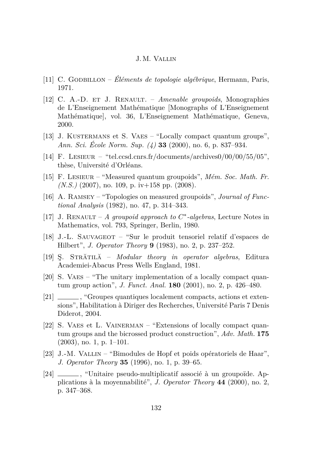- <span id="page-52-0"></span>[11] C. Godbillon – *Éléments de topologie algébrique*, Hermann, Paris, 1971.
- [12] C. A.-D. et J. Renault. *Amenable groupoids*, Monographies de L'Enseignement Mathématique [Monographs of L'Enseignement Mathématique], vol. 36, L'Enseignement Mathématique, Geneva, 2000.
- [13] J. KUSTERMANS et S. VAES "Locally compact quantum groups", *Ann. Sci. École Norm. Sup. (4)* **33** (2000), no. 6, p. 837–934.
- [14] F. LESIEUR "tel.ccsd.cnrs.fr/documents/archives $0/00/00/55/05$ ", thèse, Université d'Orléans.
- [15] F. Lesieur "Measured quantum groupoids", *Mém. Soc. Math. Fr. (N.S.)* (2007), no. 109, p. iv+158 pp. (2008).
- [16] A. Ramsey "Topologies on measured groupoids", *Journal of Functional Analysis* (1982), no. 47, p. 314–343.
- [17] J. RENAULT  $\dot{A}$  groupoid approach to  $C^*$ -algebras, Lecture Notes in Mathematics, vol. 793, Springer, Berlin, 1980.
- [18] J.-L. Sauvageot "Sur le produit tensoriel relatif d'espaces de Hilbert", *J. Operator Theory* **9** (1983), no. 2, p. 237–252.
- [19] Ş. Strătilă *Modular theory in operator algebras*, Editura Academiei-Abacus Press Wells England, 1981.
- [20] S. VAES "The unitary implementation of a locally compact quantum group action", *J. Funct. Anal.* **180** (2001), no. 2, p. 426–480.
- [21] \_\_\_\_\_\_\_, "Groupes quantiques localement compacts, actions et extensions", Habilitation à Diriger des Recherches, Université Paris 7 Denis Diderot, 2004.
- [22] S. VAES et L. VAINERMAN "Extensions of locally compact quantum groups and the bicrossed product construction", *Adv. Math.* **175**  $(2003)$ , no. 1, p. 1–101.
- [23] J.-M. Vallin "Bimodules de Hopf et poids opératoriels de Haar", *J. Operator Theory* **35** (1996), no. 1, p. 39–65.
- [24] \_\_\_\_\_\_, "Unitaire pseudo-multiplicatif associé à un groupoïde. Applications à la moyennabilité", *J. Operator Theory* **44** (2000), no. 2, p. 347–368.